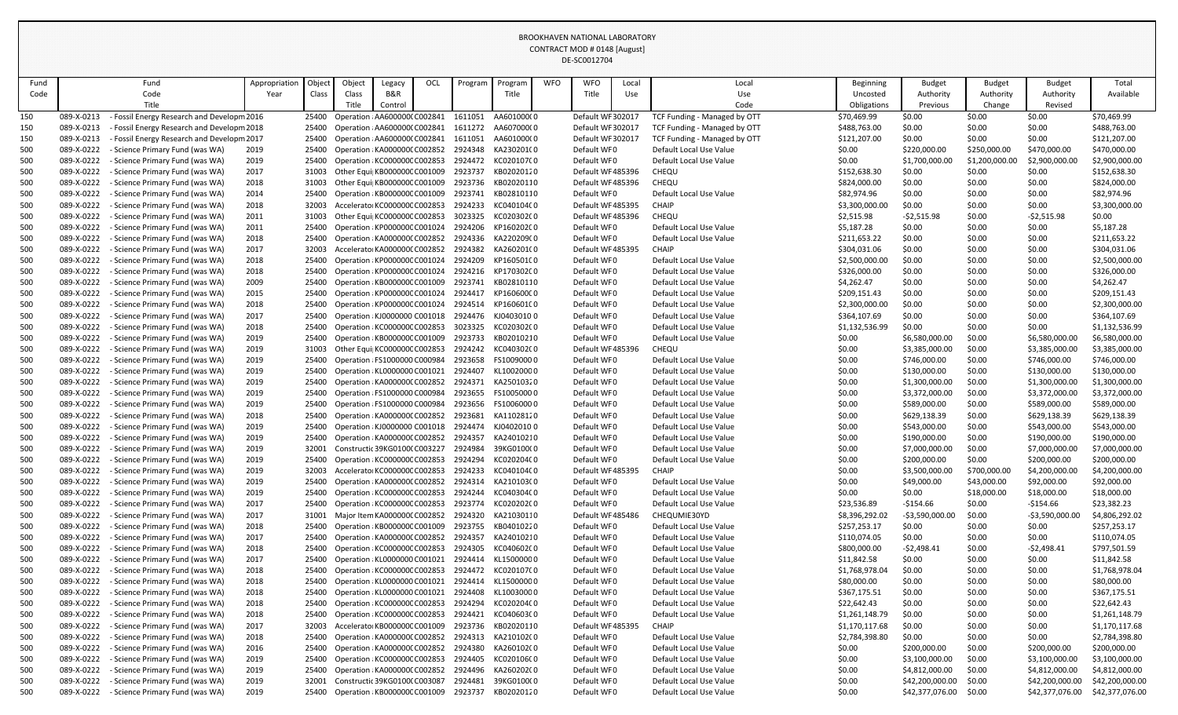| Fund       |                          | Fund                                                           | Appropriation | Object         | Object                                                         | Legacy  | OCL | Program            | Progran                  | <b>WFO</b> | WFO                        | Local | Local                                              | Beginning                      | <b>Budget</b>    | <b>Budget</b>    | <b>Budget</b>    | Total                          |
|------------|--------------------------|----------------------------------------------------------------|---------------|----------------|----------------------------------------------------------------|---------|-----|--------------------|--------------------------|------------|----------------------------|-------|----------------------------------------------------|--------------------------------|------------------|------------------|------------------|--------------------------------|
| Code       |                          | Code                                                           | Year          | Class          | Class                                                          | B&R     |     |                    | Title                    |            | Title                      | Use   | Use                                                | Uncosted                       | Authority        | Authority        | Authority        | Available                      |
|            |                          | Title                                                          |               |                | Title                                                          | Control |     |                    |                          |            |                            |       | Code                                               | Obligations                    | Previous         | Change           | Revised          |                                |
| 150        | 089-X-0213               | Fossil Energy Research and Developm 2016                       |               | 25400          | Operation : AA6000000 C002841                                  |         |     | 1611051            | AA601000(0               |            | Default WF 302017          |       | TCF Funding - Managed by OTT                       | \$70,469.99                    | \$0.00           | \$0.00           | \$0.00           | \$70,469.99                    |
| 150        | 089-X-0213               | Fossil Energy Research and Developm 2018                       |               | 25400          | Operation : AA6000000 C002841                                  |         |     | 1611272            | AA607000(0               |            | Default WF 302017          |       | TCF Funding - Managed by OTT                       | \$488,763.00                   | \$0.00           | \$0.00           | \$0.00           | \$488,763.00                   |
| 150        | 089-X-0213               | Fossil Energy Research and Developm 2017                       |               | 25400          | Operation : AA6000000 C002841                                  |         |     | 1611051            | AA601000(0               |            | Default WF 302017          |       | TCF Funding - Managed by OTT                       | \$121,207.00                   | \$0.00           | \$0.00           | \$0.00           | \$121,207.00                   |
| 500        | 089-X-0222               | Science Primary Fund (was WA)                                  | 2019          | 25400          | Operation : KA0000000 C002852                                  |         |     | 2924348            | KA230201(0               |            | Default WF0                |       | Default Local Use Value                            | \$0.00                         | \$220,000.00     | \$250,000.00     | \$470,000.00     | \$470,000.00                   |
| 500        | 089-X-0222               | Science Primary Fund (was WA)                                  | 2019          | 25400          | Operation : KC000000C C002853                                  |         |     | 2924472            | KC020107C0               |            | Default WF0                |       | Default Local Use Value                            | \$0.00                         | \$1,700,000.00   | \$1,200,000.00   | \$2,900,000.00   | \$2,900,000.00                 |
| 500        | 089-X-0222               | Science Primary Fund (was WA)                                  | 2017          | 31003          | Other Equi KB000000C C001009                                   |         |     | 2923737            | KB02020120               |            | Default WF485396           |       | CHEQU                                              | \$152,638.30                   | \$0.00           | \$0.00           | \$0.00           | \$152,638.30                   |
| 500        | 089-X-0222               | Science Primary Fund (was WA)                                  | 2018          | 31003          | Other Equi KB000000C C001009                                   |         |     | 2923736            | KB02020110               |            | Default WF485396           |       | CHEQU                                              | \$824,000.00                   | \$0.00           | \$0.00           | \$0.00           | \$824,000.00                   |
| 500        | 089-X-0222               | Science Primary Fund (was WA)                                  | 2014          | 25400          | Operation : KB000000C C001009                                  |         |     | 2923741            | KB02810110               |            | Default WF0                |       | Default Local Use Value                            | \$82,974.96                    | \$0.00           | \$0.00           | \$0.00           | \$82,974.96                    |
| 500        | 089-X-0222               | Science Primary Fund (was WA)                                  | 2018          | 32003          | Accelerator KC000000C C002853                                  |         |     | 2924233            | KC040104C0               |            | Default WF485395           |       | <b>CHAIP</b>                                       | \$3,300,000.00                 | \$0.00           | \$0.00           | \$0.00           | \$3,300,000.00                 |
| 500        | 089-X-0222               | Science Primary Fund (was WA)                                  | 2011          | 31003          | Other Equi  KC000000C C002853                                  |         |     | 3023325            | KC020302C0               |            | Default WF485396           |       | CHEQU                                              | \$2,515.98                     | $-52,515.98$     | \$0.00           | $-52,515.98$     | \$0.00                         |
| 500        | 089-X-0222               | Science Primary Fund (was WA)                                  | 2011          | 25400          | Operation : KP000000C C001024                                  |         |     | 2924206            | KP160202C0               |            | Default WFO                |       | Default Local Use Value                            | \$5,187.28                     | \$0.00           | \$0.00           | \$0.00           | \$5,187.28                     |
| 500        | 089-X-0222               | Science Primary Fund (was WA)                                  | 2018          | 25400          | Operation : KA000000C C002852                                  |         |     | 2924336            | KA220209(0               |            | Default WF0                |       | Default Local Use Value                            | \$211,653.22                   | \$0.00           | \$0.00           | \$0.00           | \$211,653.22                   |
| 500        | 089-X-0222               | Science Primary Fund (was WA)                                  | 2017          | 32003          | Accelerator KA000000C C002852                                  |         |     | 2924382            | KA260201(0               |            | Default WF485395           |       | <b>CHAIP</b>                                       | \$304,031.06                   | \$0.00           | \$0.00           | \$0.00           | \$304,031.06                   |
| 500        | 089-X-0222               | Science Primary Fund (was WA)                                  | 2018          | 25400          | Operation : KP000000C C001024                                  |         |     | 2924209            | KP160501C0               |            | Default WF0                |       | Default Local Use Value                            | \$2,500,000.00                 | \$0.00           | \$0.00           | \$0.00           | \$2,500,000.00                 |
| 500        | 089-X-0222               | Science Primary Fund (was WA)                                  | 2018          | 25400          | Operation : KP000000C C001024                                  |         |     | 2924216<br>2923741 | KP170302C0               |            | Default WF0                |       | Default Local Use Value<br>Default Local Use Value | \$326,000.00                   | \$0.00           | \$0.00           | \$0.00           | \$326,000.00                   |
| 500        | 089-X-0222<br>089-X-0222 | Science Primary Fund (was WA)                                  | 2009          | 25400<br>25400 | Operation : KB000000C C001009                                  |         |     | 2924417            | KB02810110<br>KP160600C0 |            | Default WF0                |       |                                                    | \$4,262.47                     | \$0.00<br>\$0.00 | \$0.00           | \$0.00           | \$4,262.47                     |
| 500        | 089-X-0222               | Science Primary Fund (was WA)<br>Science Primary Fund (was WA) | 2015<br>2018  | 25400          | Operation : KP000000C C001024<br>Operation : KP000000C C001024 |         |     | 2924514            | KP160601C0               |            | Default WF0<br>Default WF0 |       | Default Local Use Value<br>Default Local Use Value | \$209,151.43<br>\$2,300,000.00 | \$0.00           | \$0.00<br>\$0.00 | \$0.00<br>\$0.00 | \$209,151.43<br>\$2,300,000.00 |
| 500        | 089-X-0222               | Science Primary Fund (was WA)                                  | 2017          | 25400          | Operation : KJ0000000 C001018                                  |         |     | 2924476            | KJ04030100               |            | Default WF0                |       | Default Local Use Value                            | \$364,107.69                   | \$0.00           | \$0.00           | \$0.00           | \$364,107.69                   |
| 500<br>500 | 089-X-0222               | Science Primary Fund (was WA)                                  | 2018          | 25400          | Operation : KC000000C C002853                                  |         |     | 3023325            | KC020302C0               |            | Default WF0                |       | Default Local Use Value                            | \$1,132,536.99                 | \$0.00           | \$0.00           | \$0.00           | \$1,132,536.99                 |
| 500        | 089-X-0222               | Science Primary Fund (was WA)                                  | 2019          | 25400          | Operation : KB000000C C001009                                  |         |     | 2923733            | KB02010210               |            | Default WF0                |       | Default Local Use Value                            | \$0.00                         | \$6,580,000.00   | \$0.00           | \$6,580,000.00   | \$6,580,000.00                 |
| 500        | 089-X-0222               | Science Primary Fund (was WA)                                  | 2019          | 31003          | Other Equi KC000000C C002853                                   |         |     | 2924242            | KC040302C0               |            | Default WF485396           |       | CHEQU                                              | \$0.00                         | \$3,385,000.00   | \$0.00           | \$3,385,000.00   | \$3,385,000.00                 |
| 500        | 089-X-0222               | Science Primary Fund (was WA)                                  | 2019          | 25400          | Operation : FS1000000 C000984                                  |         |     | 2923658            | FS10090000               |            | Default WFO                |       | Default Local Use Value                            | \$0.00                         | \$746,000.00     | \$0.00           | \$746,000.00     | \$746,000.00                   |
| 500        | 089-X-0222               | Science Primary Fund (was WA)                                  | 2019          | 25400          | Operation : KL0000000 C001021                                  |         |     | 2924407            | KL10020000               |            | Default WF0                |       | Default Local Use Value                            | \$0.00                         | \$130,000.00     | \$0.00           | \$130,000.00     | \$130,000.00                   |
| 500        | 089-X-0222               | Science Primary Fund (was WA)                                  | 2019          | 25400          | Operation : KA0000000 C002852                                  |         |     | 2924371            | KA25010320               |            | Default WF0                |       | Default Local Use Value                            | \$0.00                         | \$1,300,000.00   | \$0.00           | \$1,300,000.00   | \$1,300,000.00                 |
| 500        | 089-X-0222               | Science Primary Fund (was WA)                                  | 2019          | 25400          | Operation : FS1000000 C000984                                  |         |     | 2923655            | FS10050000               |            | Default WFO                |       | Default Local Use Value                            | \$0.00                         | \$3,372,000.00   | \$0.00           | \$3,372,000.00   | \$3,372,000.00                 |
| 500        | 089-X-0222               | - Science Primary Fund (was WA)                                | 2019          | 25400          | Operation : FS1000000 C000984                                  |         |     | 2923656            | FS10060000               |            | Default WF0                |       | Default Local Use Value                            | \$0.00                         | \$589,000.00     | \$0.00           | \$589,000.00     | \$589,000.00                   |
| 500        | 089-X-0222               | Science Primary Fund (was WA)                                  | 2018          | 25400          | Operation : KA0000000 C002852                                  |         |     | 2923681            | KA11028120               |            | Default WF0                |       | Default Local Use Value                            | \$0.00                         | \$629,138.39     | \$0.00           | \$629,138.39     | \$629,138.39                   |
| 500        | 089-X-0222               | Science Primary Fund (was WA)                                  | 2019          | 25400          | Operation : KJ0000000 C001018                                  |         |     | 2924474            | KJ04020100               |            | Default WF0                |       | Default Local Use Value                            | \$0.00                         | \$543,000.00     | \$0.00           | \$543,000.00     | \$543,000.00                   |
| 500        | 089-X-0222               | Science Primary Fund (was WA)                                  | 2019          | 25400          | Operation : KA000000C C002852                                  |         |     | 2924357            | KA24010210               |            | Default WF0                |       | Default Local Use Value                            | \$0.00                         | \$190,000.00     | \$0.00           | \$190,000.00     | \$190,000.00                   |
| 500        | 089-X-0222               | Science Primary Fund (was WA)                                  | 2019          | 32001          | Constructic 39KG0100(C003227                                   |         |     | 2924984            | 39KG0100(0               |            | Default WF0                |       | Default Local Use Value                            | \$0.00                         | \$7,000,000.00   | \$0.00           | \$7,000,000.00   | \$7,000,000.00                 |
| 500        | 089-X-0222               | <b>Science Primary Fund (was WA)</b>                           | 2019          | 25400          | Operation : KC000000C C002853                                  |         |     | 2924294            | KC020204C0               |            | Default WF0                |       | Default Local Use Value                            | \$0.00                         | \$200,000.00     | \$0.00           | \$200,000.00     | \$200,000.00                   |
| 500        | 089-X-0222               | Science Primary Fund (was WA)                                  | 2019          | 32003          | Accelerator KC000000C C002853                                  |         |     | 2924233            | KC040104C0               |            | Default WF485395           |       | <b>CHAIP</b>                                       | \$0.00                         | \$3,500,000.00   | \$700,000.00     | \$4,200,000.00   | \$4,200,000.00                 |
| 500        | 089-X-0222               | Science Primary Fund (was WA)                                  | 2019          | 25400          | Operation : KA0000000 C002852                                  |         |     | 2924314            | KA210103(0               |            | Default WF0                |       | Default Local Use Value                            | \$0.00                         | \$49,000.00      | \$43,000.00      | \$92,000.00      | \$92,000.00                    |
| 500        | 089-X-0222               | Science Primary Fund (was WA)                                  | 2019          | 25400          | Operation : KC000000C C002853                                  |         |     | 2924244            | KC040304C0               |            | Default WF0                |       | Default Local Use Value                            | \$0.00                         | \$0.00           | \$18,000.00      | \$18,000.00      | \$18,000.00                    |
| 500        | 089-X-0222               | Science Primary Fund (was WA)                                  | 2017          | 25400          | Operation : KC000000C C002853                                  |         |     | 2923774            | KC020202C0               |            | Default WF0                |       | Default Local Use Value                            | \$23,536.89                    | -\$154.66        | \$0.00           | $-$154.66$       | \$23,382.23                    |
| 500        | 089-X-0222               | Science Primary Fund (was WA)                                  | 2017          | 31001          | Major Item KA0000000 C002852                                   |         |     | 2924320            | KA21030110               |            | Default WF485486           |       | CHEQUMIE30YD                                       | \$8,396,292.02                 | $-53,590,000.00$ | \$0.00           | $-53,590,000.00$ | \$4,806,292.02                 |
| 500        | 089-X-0222               | Science Primary Fund (was WA)                                  | 2018          | 25400          | Operation : KB000000C C001009                                  |         |     | 2923755            | KB04010220               |            | Default WF0                |       | Default Local Use Value                            | \$257,253.17                   | \$0.00           | \$0.00           | \$0.00           | \$257,253.17                   |
| 500        | 089-X-0222               | Science Primary Fund (was WA)                                  | 2017          | 25400          | Operation : KA000000C C002852                                  |         |     | 2924357            | KA24010210               |            | Default WF0                |       | Default Local Use Value                            | \$110,074.05                   | \$0.00           | \$0.00           | \$0.00           | \$110,074.05                   |
| 500        | 089-X-0222               | Science Primary Fund (was WA)                                  | 2018          | 25400          | Operation : KC000000C C002853                                  |         |     | 2924305            | KC040602C0               |            | Default WF0                |       | Default Local Use Value                            | \$800,000.00                   | $-52,498.41$     | \$0.00           | $-52,498.41$     | \$797,501.59                   |
| 500        | 089-X-0222               | <b>Science Primary Fund (was WA)</b>                           | 2017          | 25400          | Operation : KL0000000 C001021                                  |         |     | 2924414            | KL15000000               |            | Default WF0                |       | Default Local Use Value                            | \$11,842.58                    | \$0.00           | \$0.00           | \$0.00           | \$11,842.58                    |
| 500        | 089-X-0222               | Science Primary Fund (was WA)                                  | 2018          | 25400          | Operation : KC000000C C002853                                  |         |     | 2924472            | KC020107C0               |            | Default WF0                |       | Default Local Use Value                            | \$1,768,978.04                 | \$0.00           | \$0.00           | \$0.00           | \$1,768,978.04                 |
| 500        | 089-X-0222               | Science Primary Fund (was WA)                                  | 2018          | 25400          | Operation : KL0000000 C001021                                  |         |     | 2924414            | KL15000000               |            | Default WF0                |       | Default Local Use Value                            | \$80,000.00                    | \$0.00           | \$0.00           | \$0.00           | \$80,000.00                    |
| 500        | 089-X-0222               | Science Primary Fund (was WA)                                  | 2018          | 25400          | Operation : KL0000000 C001021                                  |         |     | 2924408            | KL10030000               |            | Default WF0                |       | Default Local Use Value                            | \$367,175.51                   | \$0.00           | \$0.00           | \$0.00           | \$367,175.51                   |
| 500        | 089-X-0222               | Science Primary Fund (was WA)                                  | 2018          | 25400          | Operation : KC000000C C002853                                  |         |     | 2924294            | KC020204C0               |            | Default WF0                |       | Default Local Use Value                            | \$22,642.43                    | \$0.00           | \$0.00           | \$0.00           | \$22,642.43                    |
| 500        | 089-X-0222               | - Science Primary Fund (was WA)                                | 2018          | 25400          | Operation : KC000000C C002853                                  |         |     | 2924421            | KC040603C0               |            | Default WF0                |       | Default Local Use Value                            | \$1,261,148.79                 | \$0.00           | \$0.00           | \$0.00           | \$1,261,148.79                 |
| 500        | 089-X-0222               | Science Primary Fund (was WA)                                  | 2017          | 32003          | Accelerator KB000000C C001009                                  |         |     | 2923736            | KB02020110               |            | Default WF485395           |       | <b>CHAIP</b>                                       | \$1,170,117.68                 | \$0.00           | \$0.00           | \$0.00           | \$1,170,117.68                 |
| 500        | 089-X-0222               | Science Primary Fund (was WA)                                  | 2018          | 25400          | Operation : KA0000000 C002852                                  |         |     | 2924313            | KA210102(0               |            | Default WF0                |       | Default Local Use Value                            | \$2,784,398.80                 | \$0.00           | \$0.00           | \$0.00           | \$2,784,398.80                 |
| 500        | 089-X-0222               | Science Primary Fund (was WA)                                  | 2016          | 25400          | Operation : KA0000000 C002852                                  |         |     | 2924380            | KA260102(0               |            | Default WF0                |       | Default Local Use Value                            | \$0.00                         | \$200,000.00     | \$0.00           | \$200,000.00     | \$200,000.00                   |
| 500        | 089-X-0222               | Science Primary Fund (was WA)                                  | 2019          | 25400          | Operation : KC000000C C002853                                  |         |     | 2924405            | KC020106C0               |            | Default WF0                |       | Default Local Use Value                            | \$0.00                         | \$3,100,000.00   | \$0.00           | \$3,100,000.00   | \$3,100,000.00                 |
| 500        | 089-X-0222               | Science Primary Fund (was WA)                                  | 2019          | 25400          | Operation : KA0000000 C002852                                  |         |     | 2924496            | KA260202(0               |            | Default WF0                |       | Default Local Use Value                            | \$0.00                         | \$4,812,000.00   | \$0.00           | \$4,812,000.00   | \$4,812,000.00                 |
| 500        | 089-X-0222               | Science Primary Fund (was WA)                                  | 2019          | 32001          | Constructic 39KG0100(C003087                                   |         |     | 2924481            | 39KG0100(0               |            | Default WF0                |       | Default Local Use Value                            | \$0.00                         | \$42,200,000.00  | \$0.00           | \$42,200,000.00  | \$42,200,000.00                |
| 500        | 089-X-0222               | Science Primary Fund (was WA)                                  | 2019          | 25400          | Operation : KB000000C C001009                                  |         |     | 2923737            | KB02020120               |            | Default WF0                |       | Default Local Use Value                            | \$0.00                         | \$42,377,076.00  | \$0.00           | \$42,377,076.00  | \$42,377,076.00                |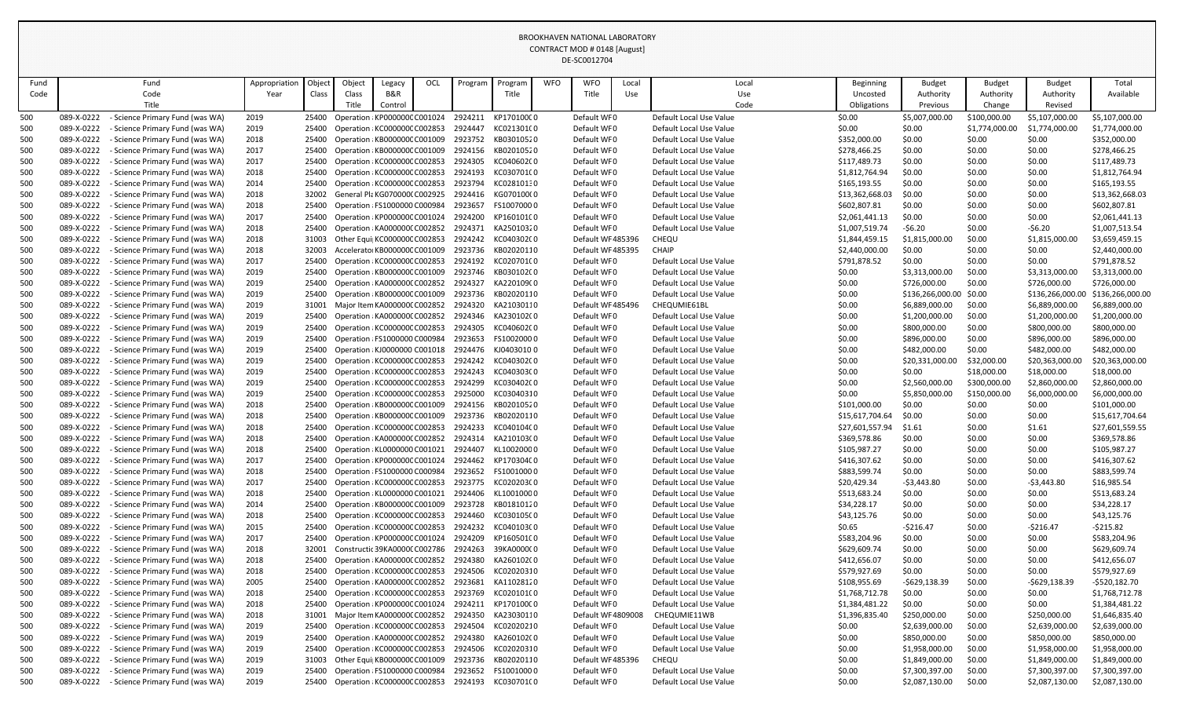|            |                          |                                                                         |               |                |                               |                               |     |                    |                                                        |            | <b>DE-SCUUIZ7U4</b>        |       |                                         |                  |                                |                  |                                |                                |
|------------|--------------------------|-------------------------------------------------------------------------|---------------|----------------|-------------------------------|-------------------------------|-----|--------------------|--------------------------------------------------------|------------|----------------------------|-------|-----------------------------------------|------------------|--------------------------------|------------------|--------------------------------|--------------------------------|
| Fund       |                          | Fund                                                                    | Appropriation | Objec          | Object                        | Legacy                        | OCL | Program            | Program                                                | <b>WFO</b> | <b>WFO</b>                 | Local | Local                                   | Beginning        | <b>Budget</b>                  | <b>Budget</b>    | <b>Budget</b>                  | Total                          |
| Code       |                          | Code                                                                    | Year          | Class          | Class                         | B&R                           |     |                    | Title                                                  |            | Title                      | Use   | Use                                     | Uncosted         | Authority                      | Authority        | Authority                      | Available                      |
|            |                          | Title                                                                   |               |                |                               | Control                       |     |                    |                                                        |            |                            |       | Code                                    | Obligations      | Previous                       | Change           | Revised                        |                                |
| 500        | 089-X-0222               | Science Primary Fund (was WA)                                           | 2019          | 25400          |                               | Operation : KP000000C C001024 |     | 2924211            | KP170100C0                                             |            | Default WFO                |       | Default Local Use Value                 | \$0.00           | \$5,007,000.00                 | \$100,000.00     | \$5,107,000.00                 | \$5,107,000.00                 |
| 500        | 089-X-0222               | <b>Science Primary Fund (was WA)</b>                                    | 2019          | 25400          |                               | Operation : KC000000C C002853 |     | 2924447            | KC021301C0                                             |            | Default WF0                |       | Default Local Use Value                 | \$0.00           | \$0.00                         | \$1,774,000.00   | \$1,774,000.00                 | \$1,774,000.00                 |
| 500        | 089-X-0222               | <b>Science Primary Fund (was WA)</b>                                    | 2018          | 25400          | Operation : KB000000C C001009 |                               |     | 2923752            | KB03010520                                             |            | Default WF0                |       | Default Local Use Value                 | \$352,000.00     | \$0.00                         | \$0.00           | \$0.00                         | \$352,000.00                   |
| 500        | 089-X-0222               | <b>Science Primary Fund (was WA)</b>                                    | 2017          | 25400          | Operation : KB000000C C001009 |                               |     | 2924156            | KB02010520                                             |            | Default WF0                |       | Default Local Use Value                 | \$278,466.25     | \$0.00                         | \$0.00           | \$0.00                         | \$278,466.25                   |
| 500        | 089-X-0222               | <b>Science Primary Fund (was WA)</b>                                    | 2017          | 25400          |                               | Operation : KC000000C C002853 |     | 2924305            | KC040602C0                                             |            | Default WFO                |       | Default Local Use Value                 | \$117,489.73     | \$0.00                         | \$0.00           | \$0.00                         | \$117,489.73                   |
| 500        | 089-X-0222               | <b>Science Primary Fund (was WA)</b>                                    | 2018          | 25400          | Operation : KC000000C C002853 |                               |     | 2924193            | KC030701C0                                             |            | Default WF0                |       | Default Local Use Value                 | \$1,812,764.94   | \$0.00                         | \$0.00           | \$0.00                         | \$1,812,764.94                 |
| 500        | 089-X-0222               | <b>Science Primary Fund (was WA)</b>                                    | 2014          | 25400          | Operation : KC000000C C002853 |                               |     | 2923794            | KC02810130                                             |            | Default WF0                |       | Default Local Use Value                 | \$165,193.55     | \$0.00                         | \$0.00           | \$0.00                         | \$165,193.55                   |
| 500        | 089-X-0222               | <b>Science Primary Fund (was WA)</b>                                    | 2018          | 32002          | General Pla KG070000(C002925  |                               |     | 2924416            | KG070100(0                                             |            | Default WF0                |       | Default Local Use Value                 | \$13,362,668.03  | \$0.00                         | \$0.00           | \$0.00                         | \$13,362,668.03                |
| 500        | 089-X-0222               | - Science Primary Fund (was WA)                                         | 2018          | 25400          |                               | Operation : FS1000000 C000984 |     | 2923657            | FS10070000                                             |            | Default WF0                |       | Default Local Use Value                 | \$602,807.81     | \$0.00                         | \$0.00           | \$0.00                         | \$602,807.81                   |
| 500        | 089-X-0222               | <b>Science Primary Fund (was WA)</b>                                    | 2017          | 25400          |                               | Operation : KP000000C C001024 |     | 2924200            | KP160101C0                                             |            | Default WFO                |       | Default Local Use Value                 | \$2,061,441.13   | \$0.00                         | \$0.00           | \$0.00                         | \$2,061,441.13                 |
| 500        | 089-X-0222               | <b>Science Primary Fund (was WA)</b>                                    | 2018          | 25400          | Operation : KA000000C C002852 |                               |     | 2924371            | KA25010320                                             |            | Default WF0                |       | Default Local Use Value                 | \$1,007,519.74   | $-56.20$                       | \$0.00           | $-56.20$                       | \$1,007,513.54                 |
| 500        | 089-X-0222               | <b>Science Primary Fund (was WA)</b>                                    | 2018          | 31003          | Other Equi  KC000000C C002853 |                               |     | 2924242            | KC040302C0                                             |            | Default WF485396           |       | CHEQU                                   | \$1,844,459.15   | \$1,815,000.00                 | \$0.00           | \$1,815,000.00                 | \$3,659,459.15                 |
| 500        | 089-X-0222               | <b>Science Primary Fund (was WA)</b>                                    | 2018          | 32003          | Accelerator KB000000C C001009 |                               |     | 2923736            | KB02020110                                             |            | Default WF485395           |       | <b>CHAIP</b>                            | \$2,440,000.00   | \$0.00                         | \$0.00           | \$0.00                         | \$2,440,000.00                 |
| 500        | 089-X-0222               | - Science Primary Fund (was WA)                                         | 2017          | 25400          |                               | Operation : KC000000C C002853 |     | 2924192            | KC020701C0                                             |            | Default WF0                |       | Default Local Use Value                 | \$791,878.52     | \$0.00                         | \$0.00           | \$0.00                         | \$791,878.52                   |
| 500        | 089-X-0222               | - Science Primary Fund (was WA)                                         | 2019          | 25400          |                               | Operation : KB000000C C001009 |     | 2923746            | KB030102C0                                             |            | Default WF0                |       | Default Local Use Value                 | \$0.00           | \$3,313,000.00                 | \$0.00           | \$3,313,000.00                 | \$3,313,000.00                 |
| 500        | 089-X-0222               | <b>Science Primary Fund (was WA)</b>                                    | 2019          | 25400          | Operation : KA000000C C002852 |                               |     | 2924327            | KA220109(0                                             |            | Default WF0                |       | Default Local Use Value                 | \$0.00           | \$726,000.00                   | \$0.00           | \$726,000.00                   | \$726,000.00                   |
| 500        | 089-X-0222               | - Science Primary Fund (was WA)                                         | 2019          | 25400          | Operation : KB000000C C001009 |                               |     | 2923736            | KB02020110                                             |            | Default WF0                |       | Default Local Use Value                 | \$0.00           | \$136,266,000.00               | \$0.00           | \$136,266,000.00               | \$136,266,000.00               |
| 500        | 089-X-0222<br>089-X-0222 | <b>Science Primary Fund (was WA)</b><br>- Science Primary Fund (was WA) | 2019          |                | Major Item KA0000000 C002852  |                               |     | 2924320<br>2924346 | KA21030110<br>KA230102(0                               |            | Default WF485496           |       | CHEQUMIE61BL<br>Default Local Use Value | \$0.00           | \$6,889,000.00                 | \$0.00           | \$6,889,000.00                 | \$6,889,000.00                 |
| 500        | 089-X-0222               |                                                                         | 2019<br>2019  | 25400<br>25400 | Operation : KA000000C C002852 | Operation : KC000000C C002853 |     | 2924305            | KC040602C0                                             |            | Default WF0<br>Default WF0 |       | Default Local Use Value                 | \$0.00<br>\$0.00 | \$1,200,000.00<br>\$800,000.00 | \$0.00<br>\$0.00 | \$1,200,000.00<br>\$800,000.00 | \$1,200,000.00<br>\$800,000.00 |
| 500        | 089-X-0222               | - Science Primary Fund (was WA)<br><b>Science Primary Fund (was WA)</b> | 2019          | 25400          | Operation : FS1000000 C000984 |                               |     | 2923653            | FS10020000                                             |            | Default WF0                |       | Default Local Use Value                 | \$0.00           | \$896,000.00                   | \$0.00           | \$896,000.00                   | \$896,000.00                   |
| 500<br>500 | 089-X-0222               | - Science Primary Fund (was WA)                                         | 2019          | 25400          | Operation : KJ0000000 C001018 |                               |     | 2924476            | KJ04030100                                             |            | Default WF0                |       | Default Local Use Value                 | \$0.00           | \$482,000.00                   | \$0.00           | \$482,000.00                   | \$482,000.00                   |
| 500        | 089-X-0222               | <b>Science Primary Fund (was WA)</b>                                    | 2019          | 25400          | Operation : KC000000C C002853 |                               |     | 2924242            | KC040302C0                                             |            | Default WF0                |       | Default Local Use Value                 | \$0.00           | \$20,331,000.00                | \$32,000.00      | \$20,363,000.00                | \$20,363,000.00                |
| 500        | 089-X-0222               | <b>Science Primary Fund (was WA)</b>                                    | 2019          | 25400          | Operation : KC000000C C002853 |                               |     | 2924243            | KC040303C0                                             |            | Default WF0                |       | Default Local Use Value                 | \$0.00           | \$0.00                         | \$18,000.00      | \$18,000.00                    | \$18,000.00                    |
| 500        | 089-X-0222               | - Science Primary Fund (was WA)                                         | 2019          | 25400          |                               | Operation : KC000000C C002853 |     | 2924299            | KC030402C0                                             |            | Default WF0                |       | Default Local Use Value                 | \$0.00           | \$2,560,000.00                 | \$300,000.00     | \$2,860,000.00                 | \$2,860,000.00                 |
| 500        | 089-X-0222               | <b>Science Primary Fund (was WA)</b>                                    | 2019          |                | Operation : KC000000C C002853 |                               |     | 2925000            | KC03040310                                             |            | Default WF0                |       | Default Local Use Value                 | \$0.00           | \$5,850,000.00                 | \$150,000.00     | \$6,000,000.00                 | \$6,000,000.00                 |
| 500        | 089-X-0222               | - Science Primary Fund (was WA)                                         | 2018          |                |                               |                               |     |                    | 25400 Operation : KB000000C C001009 2924156 KB02010520 |            | Default WF0                |       | Default Local Use Value                 | \$101,000.00     | \$0.00                         | \$0.00           | \$0.00                         | \$101,000.00                   |
| 500        | 089-X-0222               | - Science Primary Fund (was WA)                                         | 2018          | 25400          |                               | Operation : KB000000C C001009 |     | 2923736            | KB02020110                                             |            | Default WFO                |       | Default Local Use Value                 | \$15,617,704.64  | \$0.00                         | \$0.00           | \$0.00                         | \$15,617,704.64                |
| 500        | 089-X-0222               | - Science Primary Fund (was WA)                                         | 2018          | 25400          | Operation : KC000000C C002853 |                               |     | 2924233            | KC040104C0                                             |            | Default WF0                |       | Default Local Use Value                 | \$27,601,557.94  | \$1.61                         | \$0.00           | \$1.61                         | \$27,601,559.55                |
| 500        | 089-X-0222               | - Science Primary Fund (was WA)                                         | 2018          | 25400          | Operation : KA000000C C002852 |                               |     | 2924314            | KA210103(0                                             |            | Default WF0                |       | Default Local Use Value                 | \$369,578.86     | \$0.00                         | \$0.00           | \$0.00                         | \$369,578.86                   |
| 500        | 089-X-0222               | <b>Science Primary Fund (was WA)</b>                                    | 2018          | 25400          | Operation : KL0000000 C001021 |                               |     | 2924407            | KL10020000                                             |            | Default WF0                |       | Default Local Use Value                 | \$105,987.27     | \$0.00                         | \$0.00           | \$0.00                         | \$105,987.27                   |
| 500        | 089-X-0222               | <b>Science Primary Fund (was WA)</b>                                    | 2017          | 25400          | Operation : KP000000C C001024 |                               |     | 2924462            | KP170304C0                                             |            | Default WF0                |       | Default Local Use Value                 | \$416,307.62     | \$0.00                         | \$0.00           | \$0.00                         | \$416,307.62                   |
| 500        | 089-X-0222               | <b>Science Primary Fund (was WA)</b>                                    | 2018          | 25400          |                               | Operation : FS1000000 C000984 |     | 2923652            | FS10010000                                             |            | Default WF0                |       | Default Local Use Value                 | \$883,599.74     | \$0.00                         | \$0.00           | \$0.00                         | \$883,599.74                   |
| 500        | 089-X-0222               | <b>Science Primary Fund (was WA)</b>                                    | 2017          | 25400          | Operation : KC000000C C002853 |                               |     | 2923775            | KC020203C0                                             |            | Default WF0                |       | Default Local Use Value                 | \$20,429.34      | $-53,443.80$                   | \$0.00           | $-53,443.80$                   | \$16,985.54                    |
| 500        | 089-X-0222               | <b>Science Primary Fund (was WA)</b>                                    | 2018          | 25400          |                               | Operation : KL0000000 C001021 |     | 2924406            | KL10010000                                             |            | Default WF0                |       | Default Local Use Value                 | \$513,683.24     | \$0.00                         | \$0.00           | \$0.00                         | \$513,683.24                   |
| 500        | 089-X-0222               | <b>Science Primary Fund (was WA)</b>                                    | 2014          | 25400          | Operation : KB000000C C001009 |                               |     | 2923728            | KB01810120                                             |            | Default WF0                |       | Default Local Use Value                 | \$34,228.17      | \$0.00                         | \$0.00           | \$0.00                         | \$34,228.17                    |
| 500        | 089-X-0222               | - Science Primary Fund (was WA)                                         | 2018          | 25400          |                               | Operation : KC000000C C002853 |     | 2924460            | KC030105C0                                             |            | Default WF0                |       | Default Local Use Value                 | \$43,125.76      | \$0.00                         | \$0.00           | \$0.00                         | \$43,125.76                    |
| 500        | 089-X-0222               | <b>Science Primary Fund (was WA)</b>                                    | 2015          | 25400          |                               | Operation : KC000000C C002853 |     | 2924232            | KC040103C0                                             |            | Default WF0                |       | Default Local Use Value                 | \$0.65           | $-5216.47$                     | \$0.00           | -\$216.47                      | -\$215.82                      |
| 500        | 089-X-0222               | <b>Science Primary Fund (was WA)</b>                                    | 2017          | 25400          | Operation : KP000000C C001024 |                               |     | 2924209            | KP160501C0                                             |            | Default WF0                |       | Default Local Use Value                 | \$583,204.96     | \$0.00                         | \$0.00           | \$0.00                         | \$583,204.96                   |
| 500        | 089-X-0222               | <b>Science Primary Fund (was WA)</b>                                    | 2018          | 32001          | Constructic 39KA0000C C002786 |                               |     | 2924263            | 39KA0000C0                                             |            | Default WF0                |       | Default Local Use Value                 | \$629,609.74     | \$0.00                         | \$0.00           | \$0.00                         | \$629,609.74                   |
| 500        | 089-X-0222               | <b>Science Primary Fund (was WA)</b>                                    | 2018          | 25400          | Operation : KA0000000 C002852 |                               |     | 2924380            | KA260102(0                                             |            | Default WF0                |       | Default Local Use Value                 | \$412,656.07     | \$0.00                         | \$0.00           | \$0.00                         | \$412,656.07                   |
| 500        | 089-X-0222               | - Science Primary Fund (was WA)                                         | 2018          | 25400          |                               | Operation : KC000000C C002853 |     | 2924506            | KC02020310                                             |            | Default WF0                |       | Default Local Use Value                 | \$579,927.69     | \$0.00                         | \$0.00           | \$0.00                         | \$579,927.69                   |
| 500        | 089-X-0222               | <b>Science Primary Fund (was WA)</b>                                    | 2005          | 25400          |                               | Operation : KA0000000 C002852 |     | 2923681            | KA11028120                                             |            | Default WF0                |       | Default Local Use Value                 | \$108,955.69     | $-5629,138.39$                 | \$0.00           | $-5629,138.39$                 | $-5520,182.70$                 |
| 500        | 089-X-0222               | Science Primary Fund (was WA)                                           | 2018          | 25400          | Operation : KC000000C C002853 |                               |     | 2923769            | KC020101C0                                             |            | Default WF0                |       | Default Local Use Value                 | \$1,768,712.78   | \$0.00                         | \$0.00           | \$0.00                         | \$1,768,712.78                 |
| 500        | 089-X-0222               | <b>Science Primary Fund (was WA)</b>                                    | 2018          | 25400          | Operation : KP000000C C001024 |                               |     | 2924211            | KP170100C0                                             |            | Default WF0                |       | Default Local Use Value                 | \$1,384,481.22   | \$0.00                         | \$0.00           | \$0.00                         | \$1,384,481.22                 |
| 500        | 089-X-0222               | <b>Science Primary Fund (was WA)</b>                                    | 2018          | 31001          | Major Item KA0000000 C002852  |                               |     | 2924350            | KA23030110                                             |            | Default WF 4809008         |       | CHEQUMIE11WB                            | \$1,396,835.40   | \$250,000.00                   | \$0.00           | \$250,000.00                   | \$1,646,835.40                 |
| 500        | 089-X-0222               | - Science Primary Fund (was WA)                                         | 2019          | 25400          | Operation : KC000000C C002853 |                               |     | 2924504            | KC02020210                                             |            | Default WF0                |       | Default Local Use Value                 | \$0.00           | \$2,639,000.00                 | \$0.00           | \$2,639,000.00                 | \$2,639,000.00                 |
| 500        | 089-X-0222               | <b>Science Primary Fund (was WA)</b>                                    | 2019          | 25400          |                               | Operation : KA0000000 C002852 |     | 2924380            | KA260102(0                                             |            | Default WF0                |       | Default Local Use Value                 | \$0.00           | \$850,000.00                   | \$0.00           | \$850,000.00                   | \$850,000.00                   |
| 500        | 089-X-0222               | <b>Science Primary Fund (was WA)</b>                                    | 2019          | 25400          | Operation : KC000000C C002853 |                               |     | 2924506            | KC02020310                                             |            | Default WF0                |       | Default Local Use Value                 | \$0.00           | \$1,958,000.00                 | \$0.00           | \$1,958,000.00                 | \$1,958,000.00                 |
| 500        | 089-X-0222               | <b>Science Primary Fund (was WA)</b>                                    | 2019          | 31003          | Other Equi  KB000000C C001009 |                               |     | 2923736            | KB02020110                                             |            | Default WF485396           |       | CHEQU                                   | \$0.00           | \$1,849,000.00                 | \$0.00           | \$1,849,000.00                 | \$1,849,000.00                 |
| 500        | 089-X-0222               | <b>Science Primary Fund (was WA)</b>                                    | 2019          | 25400          | Operation : FS1000000 C000984 |                               |     | 2923652            | FS10010000                                             |            | Default WF0                |       | Default Local Use Value                 | \$0.00           | \$7,300,397.00                 | \$0.00           | \$7,300,397.00                 | \$7,300,397.00                 |
| 500        | 089-X-0222               | - Science Primary Fund (was WA)                                         | 2019          | 25400          | Operation : KC000000C C002853 |                               |     | 2924193            | KC030701C0                                             |            | Default WF0                |       | Default Local Use Value                 | \$0.00           | \$2,087,130.00                 | \$0.00           | \$2,087,130.00                 | \$2,087,130.00                 |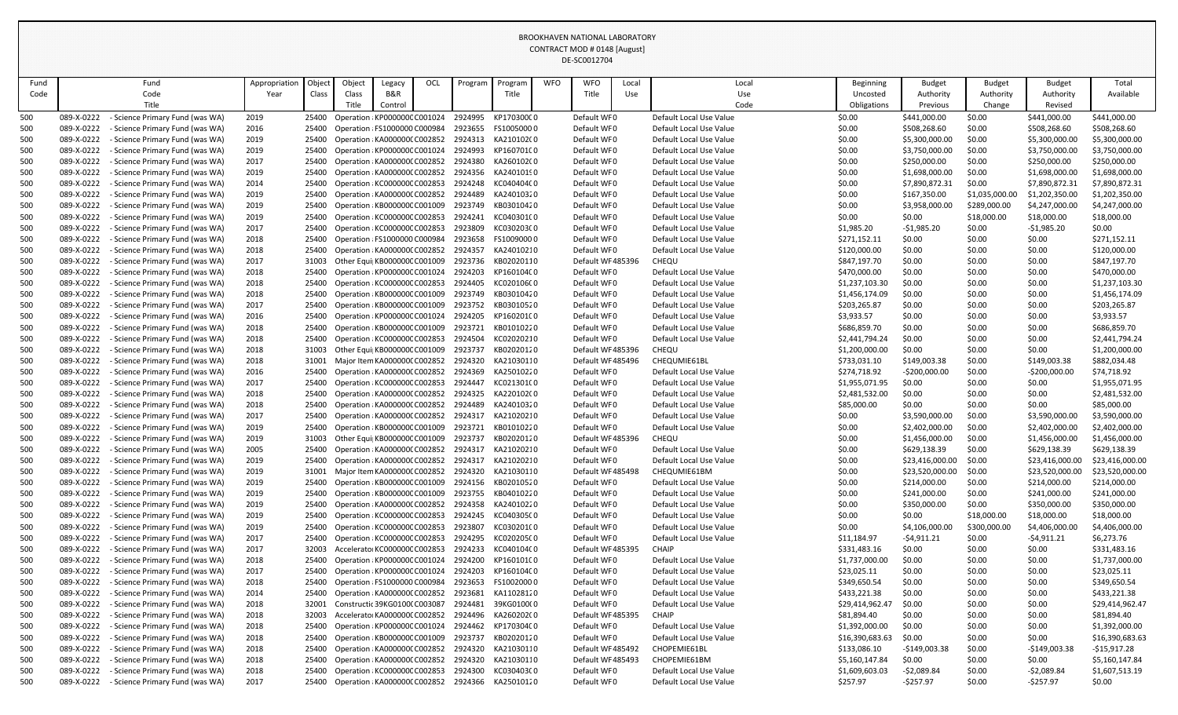| Fund       | Fund                                                                                | Appropriatior | Objec | Object                        | Legacy                                                         | OCL | Program            | Program                  | <b>WFO</b> | <b>WFO</b>                 | Local | Local                                              | Beginning                      | <b>Budget</b>    | <b>Budget</b>    | Budget           | Total                          |
|------------|-------------------------------------------------------------------------------------|---------------|-------|-------------------------------|----------------------------------------------------------------|-----|--------------------|--------------------------|------------|----------------------------|-------|----------------------------------------------------|--------------------------------|------------------|------------------|------------------|--------------------------------|
| Code       | Code                                                                                | Year          | Class | Class                         | B&R                                                            |     |                    | Title                    |            | Title                      | Use   | Use                                                | Uncosted                       | Authority        | Authority        | Authority        | Available                      |
|            | Title                                                                               |               |       | Title                         | Control                                                        |     |                    |                          |            |                            |       | Code                                               | Obligations                    | Previous         | Change           | Revised          |                                |
| 500        | 089-X-0222<br>Science Primary Fund (was WA)                                         | 2019          | 25400 |                               | Operation : KP000000C C001024                                  |     | 2924995            | KP170300C0               |            | Default WF0                |       | Default Local Use Value                            | \$0.00                         | \$441,000.00     | \$0.00           | \$441,000.00     | \$441,000.00                   |
| 500        | 089-X-0222<br>Science Primary Fund (was WA)                                         | 2016          | 25400 |                               | Operation : FS1000000 C000984                                  |     | 2923655            | FS10050000               |            | Default WF0                |       | Default Local Use Value                            | \$0.00                         | \$508,268.60     | \$0.00           | \$508,268.60     | \$508,268.60                   |
| 500        | 089-X-0222<br>Science Primary Fund (was WA)                                         | 2019          | 25400 |                               | Operation : KA000000C C002852                                  |     | 2924313            | KA210102(0               |            | Default WF0                |       | Default Local Use Value                            | \$0.00                         | \$5,300,000.00   | \$0.00           | \$5,300,000.00   | \$5,300,000.00                 |
| 500        | 089-X-0222<br><b>Science Primary Fund (was WA)</b>                                  | 2019          | 25400 |                               | Operation : KP000000C C001024                                  |     | 2924993            | KP160701C0               |            | Default WF0                |       | Default Local Use Value                            | \$0.00                         | \$3,750,000.00   | \$0.00           | \$3,750,000.00   | \$3,750,000.00                 |
| 500        | 089-X-0222<br>Science Primary Fund (was WA)                                         | 2017          | 25400 |                               | Operation : KA000000C C002852                                  |     | 2924380            | KA260102(0               |            | Default WF0                |       | Default Local Use Value                            | \$0.00                         | \$250,000.00     | \$0.00           | \$250,000.00     | \$250,000.00                   |
| 500        | 089-X-0222<br>Science Primary Fund (was WA)                                         | 2019          | 25400 |                               | Operation : KA000000C C002852                                  |     | 2924356            | KA24010190               |            | Default WF0                |       | Default Local Use Value                            | \$0.00                         | \$1,698,000.00   | \$0.00           | \$1,698,000.00   | \$1,698,000.00                 |
| 500        | 089-X-0222<br>Science Primary Fund (was WA)                                         | 2014          | 25400 |                               | Operation : KC000000C C002853                                  |     | 2924248            | KC040404C0               |            | Default WF0                |       | Default Local Use Value                            | \$0.00                         | \$7,890,872.31   | \$0.00           | \$7,890,872.31   | \$7,890,872.31                 |
| 500        | 089-X-0222<br>Science Primary Fund (was WA)                                         | 2019          | 25400 |                               | Operation : KA000000C C002852                                  |     | 2924489            | KA24010320               |            | Default WF0                |       | Default Local Use Value                            | \$0.00                         | \$167,350.00     | \$1,035,000.00   | \$1,202,350.00   | \$1,202,350.00                 |
| 500        | 089-X-0222<br>Science Primary Fund (was WA)                                         | 2019          | 25400 |                               | Operation : KB000000C C001009                                  |     | 2923749            | KB03010420               |            | Default WF0                |       | Default Local Use Value                            | \$0.00                         | \$3,958,000.00   | \$289,000.00     | \$4,247,000.00   | \$4,247,000.00                 |
| 500        | 089-X-0222<br>Science Primary Fund (was WA)                                         | 2019          | 25400 |                               | Operation : KC000000C C002853                                  |     | 2924241            | KC040301C0               |            | Default WF0                |       | Default Local Use Value                            | \$0.00                         | \$0.00           | \$18,000.00      | \$18,000.00      | \$18,000.00                    |
| 500        | 089-X-0222<br>Science Primary Fund (was WA)                                         | 2017          | 25400 |                               | Operation : KC000000C C002853                                  |     | 2923809            | KC030203C0               |            | Default WF0                |       | Default Local Use Value                            | \$1,985.20                     | $-$1,985.20$     | \$0.00           | $-51,985.20$     | \$0.00                         |
| 500        | 089-X-0222<br>Science Primary Fund (was WA)                                         | 2018          | 25400 |                               | Operation : FS1000000 C000984                                  |     | 2923658            | FS10090000               |            | Default WF0                |       | Default Local Use Value                            | \$271,152.11                   | \$0.00           | \$0.00           | \$0.00           | \$271,152.11                   |
| 500        | 089-X-0222<br>Science Primary Fund (was WA)                                         | 2018          | 25400 |                               | Operation : KA000000C C002852                                  |     | 2924357            | KA24010210               |            | Default WF0                |       | Default Local Use Value                            | \$120,000.00                   | \$0.00           | \$0.00           | \$0.00           | \$120,000.00                   |
| 500        | 089-X-0222<br>Science Primary Fund (was WA)                                         | 2017          | 31003 |                               | Other Equi  KB000000C C001009                                  |     | 2923736            | KB02020110               |            | Default WF485396           |       | CHEQU                                              | \$847,197.70                   | \$0.00           | \$0.00           | \$0.00           | \$847,197.70                   |
| 500        | 089-X-0222<br>Science Primary Fund (was WA)                                         | 2018          | 25400 |                               | Operation : KP000000C C001024                                  |     | 2924203            | KP160104C0               |            | Default WF0                |       | Default Local Use Value                            | \$470,000.00                   | \$0.00           | \$0.00           | \$0.00           | \$470,000.00                   |
| 500        | 089-X-0222<br>Science Primary Fund (was WA)                                         | 2018          | 25400 |                               | Operation : KC000000C C002853                                  |     | 2924405            | KC020106C0               |            | Default WF0                |       | Default Local Use Value                            | \$1,237,103.30                 | \$0.00           | \$0.00           | \$0.00           | \$1,237,103.30                 |
| 500        | 089-X-0222<br>Science Primary Fund (was WA)                                         | 2018          | 25400 |                               | Operation : KB000000C C001009                                  |     | 2923749            | KB03010420               |            | Default WF0                |       | Default Local Use Value                            | \$1,456,174.09                 | \$0.00           | \$0.00           | \$0.00           | \$1,456,174.09                 |
| 500        | 089-X-0222<br>Science Primary Fund (was WA)                                         | 2017          | 25400 |                               | Operation : KB000000C C001009                                  |     | 2923752            | KB03010520               |            | Default WF0                |       | Default Local Use Value                            | \$203,265.87                   | \$0.00           | \$0.00           | \$0.00           | \$203,265.87                   |
| 500        | 089-X-0222<br>Science Primary Fund (was WA)<br>089-X-0222                           | 2016          | 25400 |                               | Operation : KP000000C C001024                                  |     | 2924205<br>2923721 | KP160201C0<br>KB01010220 |            | Default WF0<br>Default WF0 |       | Default Local Use Value<br>Default Local Use Value | \$3,933.57                     | \$0.00           | \$0.00           | \$0.00           | \$3,933.57                     |
| 500        | Science Primary Fund (was WA)<br>089-X-0222<br><b>Science Primary Fund (was WA)</b> | 2018<br>2018  | 25400 |                               | Operation : KB000000C C001009<br>Operation : KC000000C C002853 |     | 2924504            | KC02020210               |            | Default WF0                |       | Default Local Use Value                            | \$686,859.70<br>\$2,441,794.24 | \$0.00<br>\$0.00 | \$0.00           | \$0.00<br>\$0.00 | \$686,859.70<br>\$2,441,794.24 |
| 500<br>500 | 089-X-0222<br>Science Primary Fund (was WA)                                         | 2018          | 25400 |                               | Other Equi  KB000000C C001009                                  |     | 2923737            | KB02020120               |            | Default WF485396           |       | CHEQU                                              | \$1,200,000.00                 | \$0.00           | \$0.00<br>\$0.00 | \$0.00           | \$1,200,000.00                 |
| 500        | 089-X-0222<br>Science Primary Fund (was WA)                                         | 2018          | 31001 |                               | Major Item KA0000000 C002852                                   |     | 2924320            | KA21030110               |            | Default WF 485496          |       | CHEQUMIE61BL                                       | \$733,031.10                   | \$149,003.38     | \$0.00           | \$149,003.38     | \$882,034.48                   |
| 500        | 089-X-0222<br><b>Science Primary Fund (was WA)</b>                                  | 2016          | 25400 |                               | Operation : KA0000000 C002852                                  |     | 2924369            | KA25010220               |            | Default WF0                |       | Default Local Use Value                            | \$274,718.92                   | $-5200,000.00$   | \$0.00           | $-5200,000.00$   | \$74,718.92                    |
| 500        | 089-X-0222<br>Science Primary Fund (was WA)                                         | 2017          | 25400 |                               | Operation : KC000000C C002853                                  |     | 2924447            | KC021301C0               |            | Default WF0                |       | Default Local Use Value                            | \$1,955,071.95                 | \$0.00           | \$0.00           | \$0.00           | \$1,955,071.95                 |
| 500        | 089-X-0222<br><b>Science Primary Fund (was WA)</b>                                  | 2018          | 25400 |                               | Operation : KA000000C C002852                                  |     | 2924325            | KA220102(0               |            | Default WF0                |       | Default Local Use Value                            | \$2,481,532.00                 | \$0.00           | \$0.00           | \$0.00           | \$2,481,532.00                 |
| 500        | 089-X-0222<br>- Science Primary Fund (was WA)                                       | 2018          | 25400 |                               | Operation : KA0000000 C002852                                  |     | 2924489            | KA24010320               |            | Default WFO                |       | Default Local Use Value                            | \$85,000.00                    | \$0.00           | \$0.00           | \$0.00           | \$85,000.00                    |
| 500        | 089-X-0222<br><b>Science Primary Fund (was WA)</b>                                  | 2017          | 25400 |                               | Operation : KA000000C C002852                                  |     | 2924317            | KA21020210               |            | Default WF0                |       | Default Local Use Value                            | \$0.00                         | \$3,590,000.00   | \$0.00           | \$3,590,000.00   | \$3,590,000.00                 |
| 500        | 089-X-0222<br>Science Primary Fund (was WA)                                         | 2019          | 25400 |                               | Operation : KB000000C C001009                                  |     | 2923721            | KB01010220               |            | Default WF0                |       | Default Local Use Value                            | \$0.00                         | \$2,402,000.00   | \$0.00           | \$2,402,000.00   | \$2,402,000.00                 |
| 500        | 089-X-0222<br>Science Primary Fund (was WA)                                         | 2019          | 31003 |                               | Other Equi KB000000C C001009                                   |     | 2923737            | KB02020120               |            | Default WF 485396          |       | CHEQU                                              | \$0.00                         | \$1,456,000.00   | \$0.00           | \$1,456,000.00   | \$1,456,000.00                 |
| 500        | 089-X-0222<br>Science Primary Fund (was WA)                                         | 2005          | 25400 |                               | Operation : KA000000C C002852                                  |     | 2924317            | KA21020210               |            | Default WF0                |       | Default Local Use Value                            | \$0.00                         | \$629,138.39     | \$0.00           | \$629,138.39     | \$629,138.39                   |
| 500        | 089-X-0222<br><b>Science Primary Fund (was WA)</b>                                  | 2019          | 25400 |                               | Operation : KA0000000 C002852                                  |     | 2924317            | KA21020210               |            | Default WF0                |       | Default Local Use Value                            | \$0.00                         | \$23,416,000.00  | \$0.00           | \$23,416,000.00  | \$23,416,000.00                |
| 500        | 089-X-0222<br>Science Primary Fund (was WA)                                         | 2019          | 31001 |                               | Major Item KA0000000 C002852                                   |     | 2924320            | KA21030110               |            | Default WF485498           |       | CHEQUMIE61BM                                       | \$0.00                         | \$23,520,000.00  | \$0.00           | \$23,520,000.00  | \$23,520,000.00                |
| 500        | 089-X-0222<br>Science Primary Fund (was WA)                                         | 2019          | 25400 |                               | Operation : KB000000C C001009                                  |     | 2924156            | KB02010520               |            | Default WF0                |       | Default Local Use Value                            | \$0.00                         | \$214,000.00     | \$0.00           | \$214,000.00     | \$214,000.00                   |
| 500        | 089-X-0222<br>Science Primary Fund (was WA)                                         | 2019          | 25400 |                               | Operation : KB000000C C001009                                  |     | 2923755            | KB04010220               |            | Default WF0                |       | Default Local Use Value                            | \$0.00                         | \$241,000.00     | \$0.00           | \$241,000.00     | \$241,000.00                   |
| 500        | 089-X-0222<br>Science Primary Fund (was WA)                                         | 2019          | 25400 |                               | Operation : KA000000C C002852                                  |     | 2924358            | KA24010220               |            | Default WF0                |       | Default Local Use Value                            | \$0.00                         | \$350,000.00     | \$0.00           | \$350,000.00     | \$350,000.00                   |
| 500        | 089-X-0222<br>Science Primary Fund (was WA)                                         | 2019          | 25400 |                               | Operation : KC000000C C002853                                  |     | 2924245            | KC040305C0               |            | Default WF0                |       | Default Local Use Value                            | \$0.00                         | \$0.00           | \$18,000.00      | \$18,000.00      | \$18,000.00                    |
| 500        | 089-X-0222<br><b>Science Primary Fund (was WA)</b>                                  | 2019          | 25400 |                               | Operation : KC000000C C002853                                  |     | 2923807            | KC030201C0               |            | Default WF0                |       | Default Local Use Value                            | \$0.00                         | \$4,106,000.00   | \$300,000.00     | \$4,406,000.00   | \$4,406,000.00                 |
| 500        | 089-X-0222<br>Science Primary Fund (was WA)                                         | 2017          | 25400 |                               | Operation : KC000000C C002853                                  |     | 2924295            | KC020205C0               |            | Default WF0                |       | Default Local Use Value                            | \$11,184.97                    | $-54,911.21$     | \$0.00           | -\$4,911.21      | \$6,273.76                     |
| 500        | 089-X-0222<br>Science Primary Fund (was WA)                                         | 2017          | 32003 |                               | Accelerator KC000000C C002853                                  |     | 2924233            | KC040104C0               |            | Default WF485395           |       | <b>CHAIP</b>                                       | \$331,483.16                   | \$0.00           | \$0.00           | \$0.00           | \$331,483.16                   |
| 500        | 089-X-0222<br><b>Science Primary Fund (was WA)</b>                                  | 2018          | 25400 |                               | Operation : KP000000C C001024                                  |     | 2924200            | KP160101C0               |            | Default WF0                |       | Default Local Use Value                            | \$1,737,000.00                 | \$0.00           | \$0.00           | \$0.00           | \$1,737,000.00                 |
| 500        | 089-X-0222<br>Science Primary Fund (was WA)                                         | 2017          | 25400 |                               | Operation : KP000000C C001024                                  |     | 2924203            | KP160104C0               |            | Default WF0                |       | Default Local Use Value                            | \$23,025.11                    | \$0.00           | \$0.00           | \$0.00           | \$23,025.11                    |
| 500        | 089-X-0222<br>Science Primary Fund (was WA)                                         | 2018          | 25400 |                               | Operation : FS1000000 C000984                                  |     | 2923653            | FS10020000               |            | Default WF0                |       | Default Local Use Value                            | \$349,650.54                   | \$0.00           | \$0.00           | \$0.00           | \$349,650.54                   |
| 500        | 089-X-0222<br>Science Primary Fund (was WA)                                         | 2014          | 25400 |                               | Operation : KA000000C C002852                                  |     | 2923681            | KA11028120               |            | Default WF0                |       | Default Local Use Value                            | \$433,221.38                   | \$0.00           | \$0.00           | \$0.00           | \$433,221.38                   |
| 500        | 089-X-0222<br>Science Primary Fund (was WA)                                         | 2018          | 32001 |                               | Constructic 39KG0100(C003087                                   |     | 2924481            | 39KG0100(0               |            | Default WF0                |       | Default Local Use Value                            | \$29,414,962.4                 | \$0.00           | \$0.00           | \$0.00           | \$29,414,962.47                |
| 500        | 089-X-0222<br><b>Science Primary Fund (was WA)</b>                                  | 2018          | 32003 |                               | Accelerator KA0000000 C002852                                  |     | 2924496            | KA260202(0               |            | Default WF485395           |       | <b>CHAIP</b>                                       | \$81,894.40                    | \$0.00           | \$0.00           | \$0.00           | \$81,894.40                    |
| 500        | 089-X-0222<br><b>Science Primary Fund (was WA)</b>                                  | 2018          | 25400 |                               | Operation : KP000000C C001024                                  |     | 2924462            | KP170304C0               |            | Default WF0                |       | Default Local Use Value                            | \$1,392,000.00                 | \$0.00           | \$0.00           | \$0.00           | \$1,392,000.00                 |
| 500        | 089-X-0222<br>Science Primary Fund (was WA)                                         | 2018          | 25400 |                               | Operation : KB000000C C001009                                  |     | 2923737            | KB02020120               |            | Default WF0                |       | Default Local Use Value                            | \$16,390,683.63                | \$0.00           | \$0.00           | \$0.00           | \$16,390,683.63                |
| 500        | 089-X-0222<br>Science Primary Fund (was WA)                                         | 2018          | 25400 |                               | Operation : KA000000C C002852                                  |     | 2924320            | KA21030110               |            | Default WF485492           |       | CHOPEMIE61BL                                       | \$133,086.10                   | $-$149,003.38$   | \$0.00           | $-$149,003.38$   | $-$15,917.28$                  |
| 500        | 089-X-0222<br>Science Primary Fund (was WA)                                         | 2018          | 25400 |                               | Operation : KA0000000 C002852                                  |     | 2924320            | KA21030110               |            | Default WF485493           |       | CHOPEMIE61BM                                       | \$5,160,147.84                 | \$0.00           | \$0.00           | \$0.00           | \$5,160,147.84                 |
| 500        | 089-X-0222<br>Science Primary Fund (was WA)                                         | 2018          | 25400 |                               | Operation : KC000000C C002853                                  |     | 2924300            | KC030403C0               |            | Default WF0                |       | Default Local Use Value                            | \$1,609,603.03                 | $-52,089.84$     | \$0.00           | -\$2,089.84      | \$1,607,513.19                 |
| 500        | 089-X-0222<br>- Science Primary Fund (was WA)                                       | 2017          | 25400 | Operation : KA000000C C002852 |                                                                |     | 2924366            | KA25010120               |            | Default WF0                |       | Default Local Use Value                            | \$257.97                       | -\$257.97        | \$0.00           | -\$257.97        | \$0.00                         |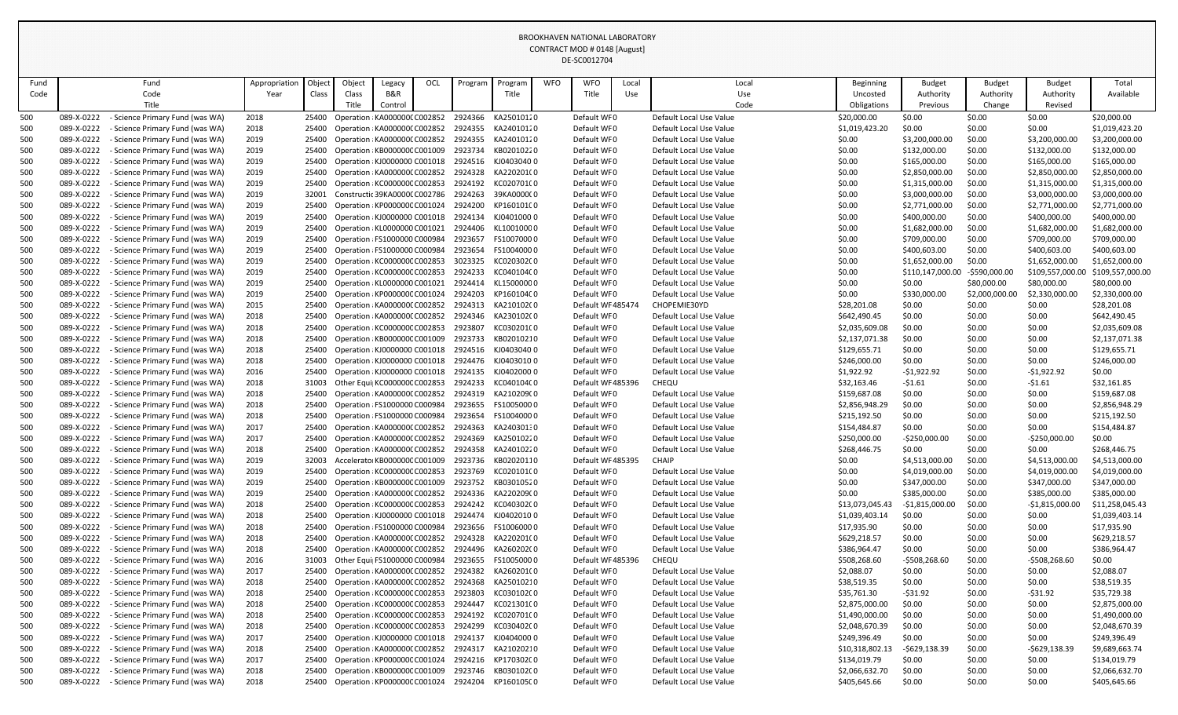| Fund       |                          | Fund                                                                    | Appropriation | Objec          | Object                                                         | Legacy                        | OCL | Program            | Program                  | <b>WFO</b> | <b>WFO</b>                       | Local | Local                                   | Beginning                   | <b>Budget</b>    | <b>Budget</b>    | <b>Budget</b>    | Total                       |
|------------|--------------------------|-------------------------------------------------------------------------|---------------|----------------|----------------------------------------------------------------|-------------------------------|-----|--------------------|--------------------------|------------|----------------------------------|-------|-----------------------------------------|-----------------------------|------------------|------------------|------------------|-----------------------------|
| Code       |                          | Code                                                                    | Year          | Class          | Class                                                          | B&R                           |     |                    | Title                    |            | Title                            | Use   | Use                                     | Uncosted                    | Authority        | Authority        | Authority        | Available                   |
|            |                          | Title                                                                   |               |                | Title                                                          | Control                       |     |                    |                          |            |                                  |       | Code                                    | Obligations                 | Previous         | Change           | Revised          |                             |
| 500        | 089-X-0222               | Science Primary Fund (was WA)                                           | 2018          | 25400          | Operation : KA000000C C002852                                  |                               |     | 2924366            | KA25010120               |            | Default WF0                      |       | Default Local Use Value                 | \$20,000.00                 | \$0.00           | \$0.00           | \$0.00           | \$20,000.00                 |
| 500        | 089-X-0222               | <b>Science Primary Fund (was WA)</b>                                    | 2018          | 25400          | Operation : KA000000C C002852                                  |                               |     | 2924355            | KA24010120               |            | Default WF0                      |       | Default Local Use Value                 | \$1,019,423.20              | \$0.00           | \$0.00           | \$0.00           | \$1,019,423.20              |
| 500        | 089-X-0222               | <b>Science Primary Fund (was WA)</b>                                    | 2019          | 25400          |                                                                | Operation : KA000000C C002852 |     | 2924355            | KA24010120               |            | Default WF0                      |       | Default Local Use Value                 | \$0.00                      | \$3,200,000.00   | \$0.00           | \$3,200,000.00   | \$3,200,000.00              |
| 500        | 089-X-0222               | <b>Science Primary Fund (was WA)</b>                                    | 2019          | 25400          | Operation : KB000000C C001009                                  |                               |     | 2923734            | KB02010220               |            | Default WF0                      |       | Default Local Use Value                 | \$0.00                      | \$132,000.00     | \$0.00           | \$132,000.00     | \$132,000.00                |
| 500        | 089-X-0222               | - Science Primary Fund (was WA)                                         | 2019          | 25400          | Operation : KJ0000000 C001018                                  |                               |     |                    | 2924516 KJ04030400       |            | Default WF0                      |       | Default Local Use Value                 | \$0.00                      | \$165,000.00     | \$0.00           | \$165,000.00     | \$165,000.00                |
| 500        | 089-X-0222               | <b>Science Primary Fund (was WA)</b>                                    | 2019          | 25400          |                                                                | Operation : KA0000000 C002852 |     | 2924328            | KA220201(0               |            | Default WFO                      |       | Default Local Use Value                 | \$0.00                      | \$2,850,000.00   | \$0.00           | \$2,850,000.00   | \$2,850,000.00              |
| 500        | 089-X-0222               | Science Primary Fund (was WA)                                           | 2019          | 25400          | Operation : KC000000C C002853                                  |                               |     | 2924192            | KC020701C0               |            | Default WF0                      |       | Default Local Use Value                 | \$0.00                      | \$1,315,000.00   | \$0.00           | \$1,315,000.00   | \$1,315,000.00              |
| 500        | 089-X-0222               | <b>Science Primary Fund (was WA)</b>                                    | 2019          | 32001          | Constructic 39KA0000C C002786                                  |                               |     | 2924263            | 39KA0000C0               |            | Default WF0                      |       | Default Local Use Value                 | \$0.00                      | \$3,000,000.00   | \$0.00           | \$3,000,000.00   | \$3,000,000.00              |
| 500        | 089-X-0222               | <b>Science Primary Fund (was WA)</b>                                    | 2019          | 25400          | Operation : KP000000C C001024                                  |                               |     | 2924200            | KP160101C0               |            | Default WF0                      |       | Default Local Use Value                 | \$0.00                      | \$2,771,000.00   | \$0.00           | \$2,771,000.00   | \$2,771,000.00              |
| 500        | 089-X-0222               | - Science Primary Fund (was WA)                                         | 2019          | 25400          | Operation : KJ0000000 C001018                                  |                               |     | 2924134            | KJ040100000              |            | Default WF0                      |       | Default Local Use Value                 | \$0.00                      | \$400,000.00     | \$0.00           | \$400,000.00     | \$400,000.00                |
| 500        | 089-X-0222               | - Science Primary Fund (was WA)                                         | 2019          | 25400          |                                                                | Operation : KL0000000 C001021 |     | 2924406            | KL10010000               |            | Default WF0                      |       | Default Local Use Value                 | \$0.00                      | \$1,682,000.00   | \$0.00           | \$1,682,000.00   | \$1,682,000.00              |
| 500        | 089-X-0222               | Science Primary Fund (was WA)                                           | 2019          | 25400          | Operation : FS1000000 C000984                                  |                               |     | 2923657            | FS10070000               |            | Default WF0                      |       | Default Local Use Value                 | \$0.00                      | \$709,000.00     | \$0.00           | \$709,000.00     | \$709,000.00                |
| 500        | 089-X-0222               | <b>Science Primary Fund (was WA)</b>                                    | 2019          | 25400          | Operation : FS1000000 C000984                                  |                               |     | 2923654            | FS10040000               |            | Default WF0                      |       | Default Local Use Value                 | \$0.00                      | \$400,603.00     | \$0.00           | \$400,603.00     | \$400,603.00                |
| 500        | 089-X-0222               | <b>Science Primary Fund (was WA)</b>                                    | 2019          | 25400          | Operation : KC000000C C002853                                  |                               |     | 3023325            | KC020302C0               |            | Default WF0                      |       | Default Local Use Value                 | \$0.00                      | \$1,652,000.00   | \$0.00           | \$1,652,000.00   | \$1,652,000.00              |
| 500        | 089-X-0222               | - Science Primary Fund (was WA)                                         | 2019          | 25400          | Operation : KC000000C C002853                                  |                               |     | 2924233            | KC040104C0               |            | Default WF0                      |       | Default Local Use Value                 | \$0.00                      | \$110,147,000.00 | -\$590,000.00    | \$109,557,000.00 | \$109,557,000.00            |
| 500        | 089-X-0222               | <b>Science Primary Fund (was WA)</b>                                    | 2019          | 25400          |                                                                | Operation : KL0000000 C001021 |     | 2924414            | KL15000000               |            | Default WF0                      |       | Default Local Use Value                 | \$0.00                      | \$0.00           | \$80,000.00      | \$80,000.00      | \$80,000.00                 |
| 500        | 089-X-0222<br>089-X-0222 | <b>Science Primary Fund (was WA)</b>                                    | 2019          | 25400          | Operation : KP000000C C001024                                  |                               |     | 2924203<br>2924313 | KP160104C0               |            | Default WF0<br>Default WF 485474 |       | Default Local Use Value<br>CHOPEMIE30YD | \$0.00                      | \$330,000.00     | \$2,000,000.00   | \$2,330,000.00   | \$2,330,000.00              |
| 500<br>500 | 089-X-0222               | - Science Primary Fund (was WA)<br><b>Science Primary Fund (was WA)</b> | 2015<br>2018  | 25400<br>25400 | Operation : KA000000C C002852<br>Operation : KA0000000 C002852 |                               |     | 2924346            | KA210102(0<br>KA230102(0 |            | Default WF0                      |       | Default Local Use Value                 | \$28,201.08<br>\$642,490.45 | \$0.00<br>\$0.00 | \$0.00<br>\$0.00 | \$0.00<br>\$0.00 | \$28,201.08<br>\$642,490.45 |
| 500        | 089-X-0222               | <b>Science Primary Fund (was WA)</b>                                    | 2018          | 25400          | Operation : KC000000C C002853                                  |                               |     | 2923807            | KC030201C0               |            | Default WF0                      |       | Default Local Use Value                 | \$2,035,609.08              | \$0.00           | \$0.00           | \$0.00           | \$2,035,609.08              |
| 500        | 089-X-0222               | <b>Science Primary Fund (was WA)</b>                                    | 2018          | 25400          |                                                                | Operation : KB000000C C001009 |     | 2923733            | KB02010210               |            | Default WF0                      |       | Default Local Use Value                 | \$2,137,071.38              | \$0.00           | \$0.00           | \$0.00           | \$2,137,071.38              |
| 500        | 089-X-0222               | Science Primary Fund (was WA)                                           | 2018          | 25400          | Operation : KJ0000000 C001018                                  |                               |     | 2924516            | KJ040304000              |            | Default WF0                      |       | Default Local Use Value                 | \$129,655.71                | \$0.00           | \$0.00           | \$0.00           | \$129,655.71                |
| 500        | 089-X-0222               | <b>Science Primary Fund (was WA)</b>                                    | 2018          | 25400          | Operation : KJ0000000 C001018                                  |                               |     | 2924476            | KJ04030100               |            | Default WF0                      |       | Default Local Use Value                 | \$246,000.00                | \$0.00           | \$0.00           | \$0.00           | \$246,000.00                |
| 500        | 089-X-0222               | <b>Science Primary Fund (was WA)</b>                                    | 2016          | 25400          | Operation : KJ0000000 C001018                                  |                               |     | 2924135            | KJ04020000               |            | Default WF0                      |       | Default Local Use Value                 | \$1,922.92                  | $-$1,922.92$     | \$0.00           | $-51,922.92$     | \$0.00                      |
| 500        | 089-X-0222               | - Science Primary Fund (was WA)                                         | 2018          | 31003          | Other Equi KC000000CC002853                                    |                               |     | 2924233            | KC040104C0               |            | Default WF485396                 |       | CHEQU                                   | \$32,163.46                 | $-51.61$         | \$0.00           | $-51.61$         | \$32,161.85                 |
| 500        | 089-X-0222               | - Science Primary Fund (was WA)                                         | 2018          | 25400          |                                                                | Operation : KA000000C C002852 |     | 2924319            | KA210209(0               |            | Default WF0                      |       | Default Local Use Value                 | \$159,687.08                | \$0.00           | \$0.00           | \$0.00           | \$159,687.08                |
| 500        | 089-X-0222               | - Science Primary Fund (was WA)                                         | 2018          | 25400          | Operation : FS1000000 C000984                                  |                               |     | 2923655            | FS10050000               |            | Default WF0                      |       | Default Local Use Value                 | \$2,856,948.29              | \$0.00           | \$0.00           | \$0.00           | \$2,856,948.29              |
| 500        | 089-X-0222               | - Science Primary Fund (was WA)                                         | 2018          | 25400          | Operation : FS1000000 C000984                                  |                               |     | 2923654            | FS10040000               |            | Default WFO                      |       | Default Local Use Value                 | \$215,192.50                | \$0.00           | \$0.00           | \$0.00           | \$215,192.50                |
| 500        | 089-X-0222               | <b>Science Primary Fund (was WA)</b>                                    | 2017          | 25400          | Operation : KA0000000 C002852                                  |                               |     | 2924363            | KA24030130               |            | Default WF0                      |       | Default Local Use Value                 | \$154,484.87                | \$0.00           | \$0.00           | \$0.00           | \$154,484.87                |
| 500        | 089-X-0222               | <b>Science Primary Fund (was WA)</b>                                    | 2017          | 25400          | Operation : KA0000000 C002852                                  |                               |     | 2924369            | KA25010220               |            | Default WF0                      |       | Default Local Use Value                 | \$250,000.00                | $-$250,000.00$   | \$0.00           | $-5250,000.00$   | \$0.00                      |
| 500        | 089-X-0222               | Science Primary Fund (was WA)                                           | 2018          | 25400          | Operation : KA0000000 C002852                                  |                               |     | 2924358            | KA24010220               |            | Default WF0                      |       | Default Local Use Value                 | \$268,446.75                | \$0.00           | \$0.00           | \$0.00           | \$268,446.75                |
| 500        | 089-X-0222               | Science Primary Fund (was WA)                                           | 2019          | 32003          | Accelerator KB000000C C001009                                  |                               |     | 2923736            | KB02020110               |            | Default WF485395                 |       | <b>CHAIP</b>                            | \$0.00                      | \$4,513,000.00   | \$0.00           | \$4,513,000.00   | \$4,513,000.00              |
| 500        | 089-X-0222               | - Science Primary Fund (was WA)                                         | 2019          | 25400          |                                                                | Operation : KC000000C C002853 |     | 2923769            | KC020101C0               |            | Default WF0                      |       | Default Local Use Value                 | \$0.00                      | \$4,019,000.00   | \$0.00           | \$4,019,000.00   | \$4,019,000.00              |
| 500        | 089-X-0222               | <b>Science Primary Fund (was WA)</b>                                    | 2019          | 25400          |                                                                | Operation : KB000000C C001009 |     | 2923752            | KB03010520               |            | Default WF0                      |       | Default Local Use Value                 | \$0.00                      | \$347,000.00     | \$0.00           | \$347,000.00     | \$347,000.00                |
| 500        | 089-X-0222               | <b>Science Primary Fund (was WA)</b>                                    | 2019          | 25400          | Operation : KA0000000 C002852                                  |                               |     |                    | 2924336 KA220209(0       |            | Default WF0                      |       | Default Local Use Value                 | \$0.00                      | \$385,000.00     | \$0.00           | \$385,000.00     | \$385,000.00                |
| 500        | 089-X-0222               | <b>Science Primary Fund (was WA)</b>                                    | 2018          | 25400          | Operation : KC000000C C002853                                  |                               |     |                    | 2924242 KC040302C0       |            | Default WF0                      |       | Default Local Use Value                 | \$13,073,045.43             | -\$1,815,000.00  | \$0.00           | -\$1,815,000.00  | \$11,258,045.43             |
| 500        | 089-X-0222               | <b>Science Primary Fund (was WA)</b>                                    | 2018          | 25400          | Operation : KJ0000000 C001018                                  |                               |     |                    | 2924474 KJ0402010 0      |            | Default WF0                      |       | Default Local Use Value                 | \$1,039,403.14              | \$0.00           | \$0.00           | \$0.00           | \$1,039,403.14              |
| 500        | 089-X-0222               | <b>Science Primary Fund (was WA)</b>                                    | 2018          | 25400          | Operation : FS1000000 C000984                                  |                               |     | 2923656            | FS10060000               |            | Default WF0                      |       | Default Local Use Value                 | \$17,935.90                 | \$0.00           | \$0.00           | \$0.00           | \$17,935.90                 |
| 500        | 089-X-0222               | <b>Science Primary Fund (was WA)</b>                                    | 2018          | 25400          |                                                                | Operation : KA0000000 C002852 |     | 2924328            | KA220201(0               |            | Default WF0                      |       | Default Local Use Value                 | \$629,218.57                | \$0.00           | \$0.00           | \$0.00           | \$629,218.57                |
| 500        | 089-X-0222               | Science Primary Fund (was WA)                                           | 2018          | 25400          | Operation : KA0000000 C002852                                  |                               |     |                    | 2924496 KA26020200       |            | Default WF0                      |       | Default Local Use Value                 | \$386,964.47                | \$0.00           | \$0.00           | \$0.00           | \$386,964.47                |
| 500        | 089-X-0222               | <b>Science Primary Fund (was WA)</b>                                    | 2016          | 31003          | Other Equi  FS1000000 C000984                                  |                               |     | 2923655            | FS10050000               |            | Default WF485396                 |       | CHEQU                                   | \$508,268.60                | -\$508,268.60    | \$0.00           | -\$508,268.60    | \$0.00                      |
| 500        | 089-X-0222               | <b>Science Primary Fund (was WA)</b>                                    | 2017          | 25400          | Operation : KA0000000 C002852                                  |                               |     | 2924382            | KA260201(0               |            | Default WF0                      |       | Default Local Use Value                 | \$2,088.07                  | \$0.00           | \$0.00           | \$0.00           | \$2,088.07                  |
| 500        | 089-X-0222               | - Science Primary Fund (was WA)                                         | 2018          | 25400          | Operation : KA0000000 C002852                                  |                               |     |                    | 2924368 KA25010210       |            | Default WF0                      |       | Default Local Use Value                 | \$38,519.35                 | \$0.00           | \$0.00           | \$0.00           | \$38,519.35                 |
| 500        | 089-X-0222               | - Science Primary Fund (was WA)                                         | 2018          | 25400          |                                                                | Operation : KC000000C C002853 |     | 2923803            | KC030102C0               |            | Default WF0                      |       | Default Local Use Value                 | \$35,761.30                 | $-$ \$31.92      | \$0.00           | $-531.92$        | \$35,729.38                 |
| 500        | 089-X-0222               | <b>Science Primary Fund (was WA)</b>                                    | 2018          | 25400          | Operation : KC000000C C002853                                  |                               |     | 2924447            | KC021301C0               |            | Default WF0                      |       | Default Local Use Value                 | \$2,875,000.00              | \$0.00           | \$0.00           | \$0.00           | \$2,875,000.00              |
| 500        | 089-X-0222               | <b>Science Primary Fund (was WA)</b>                                    | 2018          | 25400          | Operation : KC000000C C002853                                  |                               |     | 2924192            | KC020701C0               |            | Default WF0                      |       | Default Local Use Value                 | \$1,490,000.00              | \$0.00           | \$0.00           | \$0.00           | \$1,490,000.00              |
| 500        | 089-X-0222               | <b>Science Primary Fund (was WA)</b>                                    | 2018          | 25400          | Operation : KC000000C C002853                                  |                               |     | 2924299            | KC030402C0               |            | Default WF0                      |       | Default Local Use Value                 | \$2,048,670.39              | \$0.00           | \$0.00           | \$0.00           | \$2,048,670.39              |
| 500        | 089-X-0222               | - Science Primary Fund (was WA)                                         | 2017          | 25400          | Operation : KJ0000000 C001018                                  |                               |     | 2924137            | KJ0404000 0              |            | Default WF0                      |       | Default Local Use Value                 | \$249,396.49                | \$0.00           | \$0.00           | \$0.00           | \$249,396.49                |
| 500        | 089-X-0222               | - Science Primary Fund (was WA)                                         | 2018          | 25400          |                                                                | Operation : KA0000000 C002852 |     | 2924317            | KA21020210               |            | Default WF0                      |       | Default Local Use Value                 | \$10,318,802.13             | -\$629,138.39    | \$0.00           | -\$629,138.39    | \$9,689,663.74              |
| 500        | 089-X-0222               | <b>Science Primary Fund (was WA)</b>                                    | 2017          | 25400          | Operation : KP000000C C001024                                  |                               |     | 2924216            | KP170302C0               |            | Default WF0                      |       | Default Local Use Value                 | \$134,019.79                | \$0.00           | \$0.00           | \$0.00           | \$134,019.79                |
| 500        | 089-X-0222               | <b>Science Primary Fund (was WA)</b>                                    | 2018          | 25400          | Operation : KB000000C C001009                                  |                               |     | 2923746            | KB030102C0               |            | Default WF0                      |       | Default Local Use Value                 | \$2,066,632.70              | \$0.00           | \$0.00           | \$0.00           | \$2,066,632.70              |
| 500        | 089-X-0222               | - Science Primary Fund (was WA)                                         | 2018          |                | 25400 Operation : KP000000C C001024                            |                               |     |                    | 2924204 KP160105C0       |            | Default WF0                      |       | Default Local Use Value                 | \$405,645.66                | \$0.00           | \$0.00           | \$0.00           | \$405,645.66                |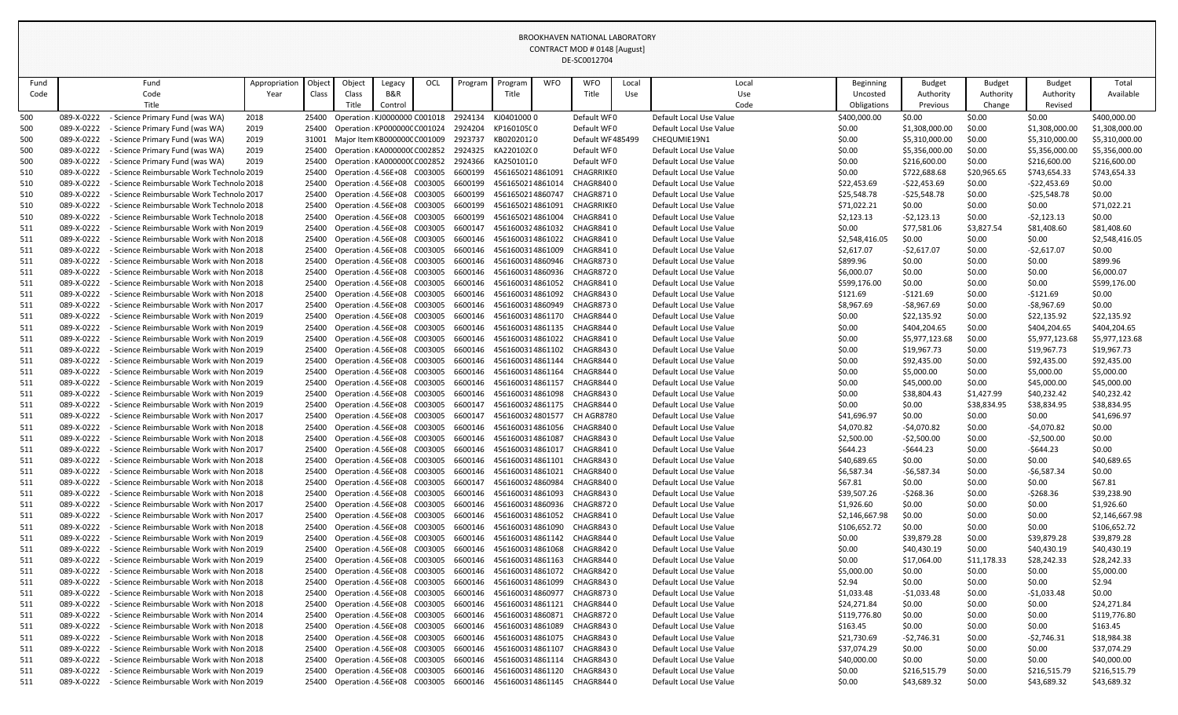| Fund       |                          | Fund                                                                                             | Appropriation | Object         | Object                                                       | Legacy  | OCL | Program            | Program    | <b>WFO</b>                           | <b>WFO</b>                    | Local | Local                                              | <b>Beginning</b>     | <b>Budget</b>               | <b>Budget</b>    | <b>Budget</b>               | Total                 |
|------------|--------------------------|--------------------------------------------------------------------------------------------------|---------------|----------------|--------------------------------------------------------------|---------|-----|--------------------|------------|--------------------------------------|-------------------------------|-------|----------------------------------------------------|----------------------|-----------------------------|------------------|-----------------------------|-----------------------|
| Code       |                          | Code                                                                                             | Year          | Class          | Class                                                        | B&R     |     |                    | Title      |                                      | Title                         | Use   | Use                                                | Uncosted             | Authority                   | Authority        | Authority                   | Available             |
|            |                          | Title                                                                                            |               |                | Title                                                        | Control |     |                    |            |                                      |                               |       | Code                                               | Obligations          | Previous                    | Change           | Revised                     |                       |
| 500        | 089-X-0222               | Science Primary Fund (was WA)                                                                    | 2018          | 25400          | Operation : KJ0000000 C001018                                |         |     | 2924134            | KJ04010000 |                                      | Default WF0                   |       | Default Local Use Value                            | \$400,000.00         | \$0.00                      | \$0.00           | \$0.00                      | \$400,000.00          |
| 500        | 089-X-0222               | Science Primary Fund (was WA)                                                                    | 2019          | 25400          | Operation : KP000000C C001024                                |         |     | 2924204            | KP160105C0 |                                      | Default WF0                   |       | Default Local Use Value                            | \$0.00               | \$1,308,000.00              | \$0.00           | \$1,308,000.00              | \$1,308,000.00        |
| 500        | 089-X-0222               | <b>Science Primary Fund (was WA)</b>                                                             | 2019          | 31001          | Major Item KB000000C C001009                                 |         |     | 2923737            | KB02020120 |                                      | Default WF485499              |       | CHEQUMIE19N1                                       | \$0.00               | \$5,310,000.00              | \$0.00           | \$5,310,000.00              | \$5,310,000.00        |
| 500        | 089-X-0222               | Science Primary Fund (was WA)                                                                    | 2019          | 25400          | Operation : KA000000C C002852                                |         |     | 2924325            | KA220102(0 |                                      | Default WF0                   |       | Default Local Use Value                            | \$0.00               | \$5,356,000.00              | \$0.00           | \$5,356,000.00              | \$5,356,000.00        |
| 500        | 089-X-0222               | <b>Science Primary Fund (was WA)</b>                                                             | 2019          | 25400          | Operation : KA000000C C002852                                |         |     | 2924366            | KA25010120 |                                      | Default WF0                   |       | Default Local Use Value                            | \$0.00               | \$216,600.00                | \$0.00           | \$216,600.00                | \$216,600.00          |
| 510        | 089-X-0222               | Science Reimbursable Work Technolo 2019                                                          |               | 25400          | Operation : 4.56E+08 C003005                                 |         |     | 6600199            |            | 4561650214861091                     | <b>CHAGRRIKIO</b>             |       | Default Local Use Value                            | \$0.00               | \$722,688.68                | \$20,965.65      | \$743,654.33                | \$743,654.33          |
| 510        | 089-X-0222               | <b>Science Reimbursable Work Technolo 2018</b>                                                   |               | 25400          | Operation : 4.56E+08 C003005                                 |         |     | 6600199            |            | 4561650214861014                     | CHAGR8400                     |       | Default Local Use Value                            | \$22,453.69          | $-522,453.69$               | \$0.00           | $-522,453.69$               | \$0.00                |
| 510        | 089-X-0222               | · Science Reimbursable Work Technolo 2017                                                        |               | 25400          | Operation : 4.56E+08 C003005                                 |         |     | 6600199            |            | 4561650214860747                     | <b>CHAGR8710</b>              |       | Default Local Use Value                            | \$25,548.78          | -\$25,548.78                | \$0.00           | -\$25,548.78                | \$0.00                |
| 510        | 089-X-0222               | <b>Science Reimbursable Work Technolo 2018</b>                                                   |               | 25400          | Operation : 4.56E+08 C003005                                 |         |     | 6600199            |            | 4561650214861091                     | CHAGRRIKI 0                   |       | Default Local Use Value                            | \$71,022.21          | \$0.00                      | \$0.00           | \$0.00                      | \$71,022.21           |
| 510        | 089-X-0222               | Science Reimbursable Work Technolo 2018                                                          |               | 25400          | Operation : 4.56E+08 C003005                                 |         |     | 6600199            |            | 4561650214861004                     | CHAGR8410                     |       | Default Local Use Value                            | \$2,123.13           | $-52,123.13$                | \$0.00           | $-52,123.13$                | \$0.00                |
| 511        | 089-X-0222               | Science Reimbursable Work with Non 2019                                                          |               | 25400          | Operation : 4.56E+08 C003005                                 |         |     | 6600147            |            | 4561600324861032                     | CHAGR8410                     |       | Default Local Use Value                            | \$0.00               | \$77,581.06                 | \$3,827.54       | \$81,408.60                 | \$81,408.60           |
| 511        | 089-X-0222               | <b>Science Reimbursable Work with Non 2018</b>                                                   |               | 25400          | Operation : 4.56E+08 C003005                                 |         |     | 6600146            |            | 4561600314861022                     | CHAGR8410                     |       | Default Local Use Value                            | \$2,548,416.05       | \$0.00                      | \$0.00           | \$0.00                      | \$2,548,416.05        |
| 511        | 089-X-0222               | <b>Science Reimbursable Work with Non 2018</b>                                                   |               | 25400          | Operation : 4.56E+08 C003005                                 |         |     | 6600146            |            | 4561600314861009                     | CHAGR8410                     |       | Default Local Use Value                            | \$2,617.07           | -\$2,617.07                 | \$0.00           | $-52,617.07$                | \$0.00                |
| 511        | 089-X-0222               | - Science Reimbursable Work with Non 2018                                                        |               | 25400          | Operation : 4.56E+08 C003005                                 |         |     | 6600146            |            | 4561600314860946                     | CHAGR8730                     |       | Default Local Use Value                            | \$899.96             | \$0.00                      | \$0.00           | \$0.00                      | \$899.96              |
| 511        | 089-X-0222               | Science Reimbursable Work with Non 2018                                                          |               | 25400          | Operation : 4.56E+08 C003005                                 |         |     | 6600146            |            | 4561600314860936                     | <b>CHAGR8720</b>              |       | Default Local Use Value                            | \$6,000.07           | \$0.00                      | \$0.00           | \$0.00                      | \$6,000.07            |
| 511        | 089-X-0222               | <b>Science Reimbursable Work with Non 2018</b>                                                   |               | 25400          | Operation : 4.56E+08 C003005                                 |         |     | 6600146            |            | 4561600314861052                     | CHAGR8410                     |       | Default Local Use Value                            | \$599,176.00         | \$0.00                      | \$0.00           | \$0.00                      | \$599,176.00          |
| 511        | 089-X-0222               | <b>Science Reimbursable Work with Non 2018</b>                                                   |               | 25400          | Operation : 4.56E+08 C003005                                 |         |     | 6600146            |            | 4561600314861092                     | CHAGR8430                     |       | Default Local Use Value                            | \$121.69             | -\$121.69                   | \$0.00           | -\$121.69                   | \$0.00                |
| 511        | 089-X-0222<br>089-X-0222 | <b>Science Reimbursable Work with Non 2017</b><br><b>Science Reimbursable Work with Non 2019</b> |               | 25400<br>25400 | Operation : 4.56E+08 C003005<br>Operation : 4.56E+08 C003005 |         |     | 6600146<br>6600146 |            | 4561600314860949<br>4561600314861170 | <b>CHAGR8730</b><br>CHAGR8440 |       | Default Local Use Value<br>Default Local Use Value | \$8,967.69<br>\$0.00 | $-58,967.69$<br>\$22,135.92 | \$0.00           | $-58,967.69$                | \$0.00<br>\$22,135.92 |
| 511<br>511 | 089-X-0222               | Science Reimbursable Work with Non 2019 .                                                        |               | 25400          | Operation : 4.56E+08 C003005                                 |         |     | 6600146            |            | 4561600314861135                     | CHAGR8440                     |       | Default Local Use Value                            | \$0.00               | \$404,204.65                | \$0.00<br>\$0.00 | \$22,135.92<br>\$404,204.65 | \$404,204.65          |
| 511        | 089-X-0222               | Science Reimbursable Work with Non 2019                                                          |               | 25400          | Operation : 4.56E+08 C003005                                 |         |     | 6600146            |            | 4561600314861022                     | CHAGR8410                     |       | Default Local Use Value                            | \$0.00               | \$5,977,123.68              | \$0.00           | \$5,977,123.68              | \$5,977,123.68        |
| 511        | 089-X-0222               | <b>Science Reimbursable Work with Non 2019</b>                                                   |               | 25400          | Operation : 4.56E+08 C003005                                 |         |     | 6600146            |            | 4561600314861102                     | CHAGR8430                     |       | Default Local Use Value                            | \$0.00               | \$19,967.73                 | \$0.00           | \$19,967.73                 | \$19,967.73           |
| 511        | 089-X-0222               | <b>Science Reimbursable Work with Non 2019</b>                                                   |               | 25400          | Operation : 4.56E+08 C003005                                 |         |     | 6600146            |            | 4561600314861144                     | CHAGR8440                     |       | Default Local Use Value                            | \$0.00               | \$92,435.00                 | \$0.00           | \$92,435.00                 | \$92,435.00           |
| 511        | 089-X-0222               | <b>Science Reimbursable Work with Non 2019</b>                                                   |               | 25400          | Operation : 4.56E+08 C003005                                 |         |     | 6600146            |            | 4561600314861164                     | CHAGR8440                     |       | Default Local Use Value                            | \$0.00               | \$5,000.00                  | \$0.00           | \$5,000.00                  | \$5,000.00            |
| 511        | 089-X-0222               | <b>Science Reimbursable Work with Non 2019</b>                                                   |               | 25400          | Operation : 4.56E+08 C003005                                 |         |     | 6600146            |            | 4561600314861157                     | CHAGR8440                     |       | Default Local Use Value                            | \$0.00               | \$45,000.00                 | \$0.00           | \$45,000.00                 | \$45,000.00           |
| 511        | 089-X-0222               | - Science Reimbursable Work with Non 2019                                                        |               | 25400          | Operation : 4.56E+08 C003005                                 |         |     | 6600146            |            | 4561600314861098                     | CHAGR8430                     |       | Default Local Use Value                            | \$0.00               | \$38,804.43                 | \$1,427.99       | \$40,232.42                 | \$40,232.42           |
| 511        | 089-X-0222               | - Science Reimbursable Work with Non 2019                                                        |               | 25400          | Operation : 4.56E+08 C003005                                 |         |     | 6600147            |            | 4561600324861175                     | CHAGR844 0                    |       | Default Local Use Value                            | \$0.00               | \$0.00                      | \$38,834.95      | \$38,834.95                 | \$38,834.95           |
| 511        | 089-X-0222               | Science Reimbursable Work with Non 2017                                                          |               | 25400          | Operation : 4.56E+08 C003005                                 |         |     | 6600147            |            | 4561600324801577                     | CH AGR8780                    |       | Default Local Use Value                            | \$41,696.97          | \$0.00                      | \$0.00           | \$0.00                      | \$41,696.97           |
| 511        | 089-X-0222               | <b>Science Reimbursable Work with Non 2018</b>                                                   |               | 25400          | Operation : 4.56E+08 C003005                                 |         |     | 6600146            |            | 4561600314861056                     | CHAGR8400                     |       | Default Local Use Value                            | \$4,070.82           | -\$4,070.82                 | \$0.00           | $-54,070.82$                | \$0.00                |
| 511        | 089-X-0222               | Science Reimbursable Work with Non 2018                                                          |               | 25400          | Operation : 4.56E+08 C003005                                 |         |     | 6600146            |            | 4561600314861087                     | CHAGR8430                     |       | Default Local Use Value                            | \$2,500.00           | $-52,500.00$                | \$0.00           | $-52,500.00$                | \$0.00                |
| 511        | 089-X-0222               | <b>Science Reimbursable Work with Non 2017</b>                                                   |               | 25400          | Operation : 4.56E+08 C003005                                 |         |     | 6600146            |            | 4561600314861017                     | CHAGR8410                     |       | Default Local Use Value                            | \$644.23             | -\$644.23                   | \$0.00           | $-5644.23$                  | \$0.00                |
| 511        | 089-X-0222               | <b>Science Reimbursable Work with Non 2018</b>                                                   |               | 25400          | Operation : 4.56E+08 C003005                                 |         |     | 6600146            |            | 4561600314861101                     | CHAGR8430                     |       | Default Local Use Value                            | \$40,689.65          | \$0.00                      | \$0.00           | \$0.00                      | \$40,689.65           |
| 511        | 089-X-0222               | <b>Science Reimbursable Work with Non 2018</b>                                                   |               | 25400          | Operation : 4.56E+08 C003005                                 |         |     | 6600146            |            | 4561600314861021                     | CHAGR8400                     |       | Default Local Use Value                            | \$6,587.34           | -\$6,587.34                 | \$0.00           | $-56,587.34$                | \$0.00                |
| 511        | 089-X-0222               | <b>Science Reimbursable Work with Non 2018</b>                                                   |               | 25400          | Operation : 4.56E+08 C003005                                 |         |     | 6600147            |            | 4561600324860984                     | CHAGR8400                     |       | Default Local Use Value                            | \$67.81              | \$0.00                      | \$0.00           | \$0.00                      | \$67.81               |
| 511        | 089-X-0222               | <b>Science Reimbursable Work with Non 2018</b>                                                   |               | 25400          | Operation : 4.56E+08 C003005                                 |         |     | 6600146            |            | 4561600314861093                     | CHAGR8430                     |       | Default Local Use Value                            | \$39,507.26          | -\$268.36                   | \$0.00           | $-5268.36$                  | \$39,238.90           |
| 511        | 089-X-0222               | <b>Science Reimbursable Work with Non 2017</b>                                                   |               | 25400          | Operation : 4.56E+08 C003005                                 |         |     | 6600146            |            | 4561600314860936                     | <b>CHAGR8720</b>              |       | Default Local Use Value                            | \$1,926.60           | \$0.00                      | \$0.00           | \$0.00                      | \$1,926.60            |
| 511        | 089-X-0222               | - Science Reimbursable Work with Non 2017                                                        |               | 25400          | Operation : 4.56E+08 C003005                                 |         |     | 6600146            |            | 4561600314861052                     | CHAGR8410                     |       | Default Local Use Value                            | \$2,146,667.98       | \$0.00                      | \$0.00           | \$0.00                      | \$2,146,667.98        |
| 511        | 089-X-0222               | <b>Science Reimbursable Work with Non 2018</b>                                                   |               | 25400          | Operation : 4.56E+08 C003005                                 |         |     | 6600146            |            | 4561600314861090                     | CHAGR8430                     |       | Default Local Use Value                            | \$106,652.72         | \$0.00                      | \$0.00           | \$0.00                      | \$106,652.72          |
| 511        | 089-X-0222               | <b>Science Reimbursable Work with Non 2019</b>                                                   |               | 25400          | Operation : 4.56E+08 C003005                                 |         |     | 6600146            |            | 4561600314861142                     | CHAGR8440                     |       | Default Local Use Value                            | \$0.00               | \$39,879.28                 | \$0.00           | \$39,879.28                 | \$39,879.28           |
| 511        | 089-X-0222               | <b>Science Reimbursable Work with Non 2019</b>                                                   |               | 25400          | Operation : 4.56E+08 C003005                                 |         |     | 6600146            |            | 4561600314861068                     | CHAGR8420                     |       | Default Local Use Value                            | \$0.00               | \$40,430.19                 | \$0.00           | \$40,430.19                 | \$40,430.19           |
| 511        | 089-X-0222               | Science Reimbursable Work with Non 2019                                                          |               | 25400          | Operation : 4.56E+08 C003005                                 |         |     | 6600146            |            | 4561600314861163                     | CHAGR8440                     |       | Default Local Use Value                            | \$0.00               | \$17,064.00                 | \$11,178.33      | \$28,242.33                 | \$28,242.33           |
| 511        | 089-X-0222               | <b>Science Reimbursable Work with Non 2018</b>                                                   |               | 25400          | Operation : 4.56E+08 C003005                                 |         |     | 6600146            |            | 4561600314861072                     | CHAGR8420                     |       | Default Local Use Value                            | \$5,000.00           | \$0.00                      | \$0.00           | \$0.00                      | \$5,000.00            |
| 511        | 089-X-0222               | <b>Science Reimbursable Work with Non 2018</b>                                                   |               | 25400          | Operation : 4.56E+08 C003005                                 |         |     | 6600146            |            | 4561600314861099                     | CHAGR8430                     |       | Default Local Use Value                            | \$2.94               | \$0.00                      | \$0.00           | \$0.00                      | \$2.94                |
| 511        | 089-X-0222               | <b>Science Reimbursable Work with Non 2018</b>                                                   |               | 25400          | Operation : 4.56E+08 C003005                                 |         |     | 6600146            |            | 4561600314860977                     | <b>CHAGR8730</b>              |       | Default Local Use Value                            | \$1,033.48           | $-$1,033.48$                | \$0.00           | $-51,033.48$                | \$0.00                |
| 511        | 089-X-0222               | <b>Science Reimbursable Work with Non 2018</b>                                                   |               | 25400          | Operation : 4.56E+08 C003005                                 |         |     | 6600146            |            | 4561600314861121                     | CHAGR8440                     |       | Default Local Use Value                            | \$24,271.84          | \$0.00                      | \$0.00           | \$0.00                      | \$24,271.84           |
| 511        | 089-X-0222               | <b>Science Reimbursable Work with Non 2014</b>                                                   |               | 25400          | Operation : 4.56E+08 C003005                                 |         |     | 6600146            |            | 4561600314860871                     | CHAGR8720                     |       | Default Local Use Value                            | \$119,776.80         | \$0.00                      | \$0.00           | \$0.00                      | \$119,776.80          |
| 511        | 089-X-0222               | Science Reimbursable Work with Non 2018                                                          |               | 25400          | Operation : 4.56E+08 C003005                                 |         |     | 6600146            |            | 4561600314861089                     | CHAGR8430                     |       | Default Local Use Value                            | \$163.45             | \$0.00                      | \$0.00           | \$0.00                      | \$163.45              |
| 511        | 089-X-0222               | <b>Science Reimbursable Work with Non 2018</b>                                                   |               | 25400          | Operation : 4.56E+08 C003005                                 |         |     | 6600146            |            | 4561600314861075                     | CHAGR8430                     |       | Default Local Use Value                            | \$21,730.69          | -\$2,746.31                 | \$0.00           | $-52,746.31$                | \$18,984.38           |
| 511        | 089-X-0222               | <b>Science Reimbursable Work with Non 2018</b>                                                   |               | 25400          | Operation : 4.56E+08 C003005                                 |         |     | 6600146            |            | 4561600314861107                     | CHAGR8430                     |       | Default Local Use Value                            | \$37,074.29          | \$0.00                      | \$0.00           | \$0.00                      | \$37,074.29           |
| 511        | 089-X-0222               | <b>Science Reimbursable Work with Non 2018</b>                                                   |               | 25400          | Operation : 4.56E+08 C003005                                 |         |     | 6600146            |            | 4561600314861114                     | CHAGR8430                     |       | Default Local Use Value                            | \$40,000.00          | \$0.00                      | \$0.00           | \$0.00                      | \$40,000.00           |
| 511        | 089-X-0222               | <b>Science Reimbursable Work with Non 2019</b>                                                   |               | 25400          | Operation : 4.56E+08 C003005                                 |         |     | 6600146            |            | 4561600314861120                     | CHAGR8430                     |       | Default Local Use Value                            | \$0.00               | \$216,515.79                | \$0.00           | \$216,515.79                | \$216,515.79          |
| 511        | 089-X-0222               | - Science Reimbursable Work with Non 2019                                                        |               | 25400          | Operation : 4.56E+08 C003005                                 |         |     | 6600146            |            | 4561600314861145                     | CHAGR8440                     |       | Default Local Use Value                            | \$0.00               | \$43,689.32                 | \$0.00           | \$43,689.32                 | \$43,689.32           |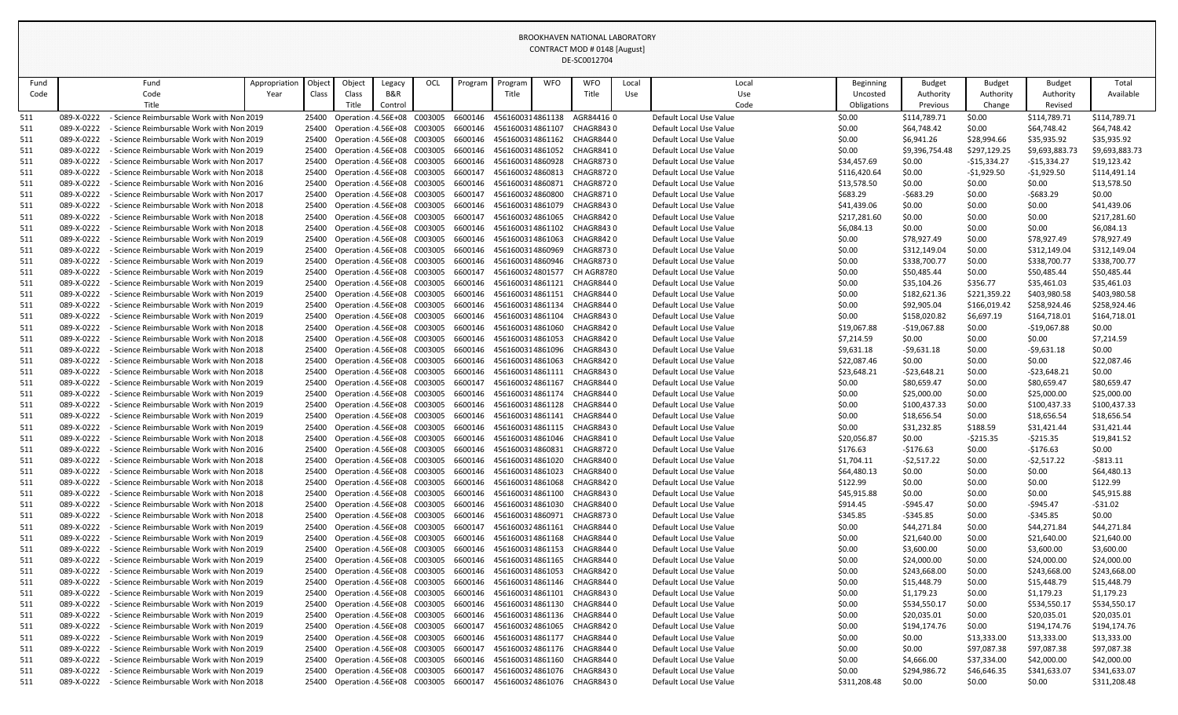| Fund       | Fund                                                                                                           | Appropriation | Object         | Object                                                       | Legacy  | OCL | Program            | Program                              | <b>WFO</b> | <b>WFO</b>              | Local | Local                                              | Beginning        | <b>Budget</b>               | <b>Budget</b>      | <b>Budget</b>               | Total                       |
|------------|----------------------------------------------------------------------------------------------------------------|---------------|----------------|--------------------------------------------------------------|---------|-----|--------------------|--------------------------------------|------------|-------------------------|-------|----------------------------------------------------|------------------|-----------------------------|--------------------|-----------------------------|-----------------------------|
| Code       | Code                                                                                                           | Year          | Class          | <b>Class</b>                                                 | B&R     |     |                    | Title                                |            | Title                   | Use   | Use                                                | Uncosted         | Authority                   | Authority          | Authority                   | Available                   |
|            | Title                                                                                                          |               |                | ritle.                                                       | Control |     |                    |                                      |            |                         |       | Code                                               | Obligations      | Previous                    | Change             | Revised                     |                             |
| 511        | 089-X-0222<br>Science Reimbursable Work with Non 2019                                                          |               |                | 25400 Operation : 4.56E+08 C003005                           |         |     | 6600146            | 4561600314861138                     |            | AGR84416 0              |       | Default Local Use Value                            | \$0.00           | \$114,789.71                | \$0.00             | \$114,789.71                | \$114,789.71                |
| 511        | 089-X-0222<br>Science Reimbursable Work with Non 2019                                                          |               | 25400          | Operation : 4.56E+08 C003005                                 |         |     | 6600146            | 4561600314861107                     |            | CHAGR8430               |       | Default Local Use Value                            | \$0.00           | \$64,748.42                 | \$0.00             | \$64,748.42                 | \$64,748.42                 |
| 511        | 089-X-0222<br>- Science Reimbursable Work with Non 2019                                                        |               | 25400          | Operation : 4.56E+08 C003005                                 |         |     | 6600146            | 4561600314861162                     |            | CHAGR8440               |       | Default Local Use Value                            | \$0.00           | \$6,941.26                  | \$28,994.66        | \$35,935.92                 | \$35,935.92                 |
| 511        | 089-X-0222<br>- Science Reimbursable Work with Non 2019                                                        |               | 25400          | Operation : 4.56E+08 C003005                                 |         |     | 6600146            | 4561600314861052                     |            | CHAGR8410               |       | Default Local Use Value                            | \$0.00           | \$9,396,754.48              | \$297,129.25       | \$9,693,883.73              | \$9,693,883.73              |
| 511        | 089-X-0222<br><b>Science Reimbursable Work with Non 2017</b>                                                   |               | 25400          | Operation : 4.56E+08 C003005                                 |         |     | 6600146            | 4561600314860928                     |            | <b>CHAGR8730</b>        |       | Default Local Use Value                            | \$34,457.69      | \$0.00                      | -\$15,334.27       | $-$15,334.27$               | \$19,123.42                 |
| 511        | 089-X-0222<br>Science Reimbursable Work with Non 2018                                                          |               | 25400          | Operation : 4.56E+08 C003005                                 |         |     | 6600147            | 4561600324860813                     |            | <b>CHAGR8720</b>        |       | Default Local Use Value                            | \$116,420.64     | \$0.00                      | $-$1,929.50$       | $-$1,929.50$                | \$114,491.14                |
| 511        | 089-X-0222<br>Science Reimbursable Work with Non 2016                                                          |               | 25400          | Operation : 4.56E+08 C003005                                 |         |     | 6600146            | 4561600314860871                     |            | <b>CHAGR8720</b>        |       | Default Local Use Value                            | \$13,578.50      | \$0.00                      | \$0.00             | \$0.00                      | \$13,578.50                 |
| 511        | 089-X-0222<br>- Science Reimbursable Work with Non 2017                                                        |               | 25400          | Operation : 4.56E+08 C003005                                 |         |     | 6600147            | 4561600324860800                     |            | <b>CHAGR8710</b>        |       | Default Local Use Value                            | \$683.29         | $-5683.29$                  | \$0.00             | $-5683.29$                  | \$0.00                      |
| 511        | 089-X-0222<br>Science Reimbursable Work with Non 2018                                                          |               | 25400          | Operation : 4.56E+08 C003005                                 |         |     | 6600146            | 4561600314861079                     |            | CHAGR8430               |       | Default Local Use Value                            | \$41,439.06      | \$0.00                      | \$0.00             | \$0.00                      | \$41,439.06                 |
| 511        | 089-X-0222<br>Science Reimbursable Work with Non 2018                                                          |               | 25400          | Operation : 4.56E+08 C003005                                 |         |     | 6600147            | 4561600324861065                     |            | CHAGR8420               |       | Default Local Use Value                            | \$217,281.60     | \$0.00                      | \$0.00             | \$0.00                      | \$217,281.60                |
| 511        | 089-X-0222<br>Science Reimbursable Work with Non 2018                                                          |               | 25400          | Operation : 4.56E+08 C003005                                 |         |     | 6600146            | 4561600314861102                     |            | CHAGR8430               |       | Default Local Use Value                            | \$6,084.13       | \$0.00                      | \$0.00             | \$0.00                      | \$6,084.13                  |
| 511        | 089-X-0222<br>Science Reimbursable Work with Non 2019                                                          |               | 25400          | Operation : 4.56E+08 C003005                                 |         |     | 6600146            | 4561600314861063                     |            | CHAGR8420               |       | Default Local Use Value                            | \$0.00           | \$78,927.49                 | \$0.00             | \$78,927.49                 | \$78,927.49                 |
| 511        | 089-X-0222<br>Science Reimbursable Work with Non 2019                                                          |               | 25400          | Operation : 4.56E+08 C003005                                 |         |     | 6600146            | 4561600314860969                     |            | <b>CHAGR8730</b>        |       | Default Local Use Value                            | \$0.00           | \$312,149.04                | \$0.00             | \$312,149.04                | \$312,149.04                |
| 511        | 089-X-0222<br>- Science Reimbursable Work with Non 2019                                                        |               | 25400          | Operation : 4.56E+08 C003005                                 |         |     | 6600146<br>6600147 | 4561600314860946<br>4561600324801577 |            | CHAGR8730<br>CH AGR8780 |       | Default Local Use Value<br>Default Local Use Value | \$0.00           | \$338,700.77                | \$0.00             | \$338,700.77                | \$338,700.77                |
| 511<br>511 | 089-X-0222<br>Science Reimbursable Work with Non 2019<br>089-X-0222<br>Science Reimbursable Work with Non 2019 |               | 25400<br>25400 | Operation : 4.56E+08 C003005<br>Operation : 4.56E+08 C003005 |         |     | 6600146            | 4561600314861121                     |            | CHAGR8440               |       | Default Local Use Value                            | \$0.00<br>\$0.00 | \$50,485.44<br>\$35,104.26  | \$0.00<br>\$356.77 | \$50,485.44<br>\$35,461.03  | \$50,485.44<br>\$35,461.03  |
| 511        | 089-X-0222<br>- Science Reimbursable Work with Non 2019                                                        |               | 25400          | Operation : 4.56E+08 C003005                                 |         |     | 6600146            | 4561600314861151                     |            | CHAGR8440               |       | Default Local Use Value                            | \$0.00           | \$182,621.36                | \$221,359.22       | \$403,980.58                | \$403,980.58                |
| 511        | 089-X-0222<br>Science Reimbursable Work with Non 2019                                                          |               | 25400          | Operation : 4.56E+08 C003005                                 |         |     | 6600146            | 4561600314861134                     |            | CHAGR8440               |       | Default Local Use Value                            | \$0.00           | \$92,905.04                 | \$166,019.42       | \$258,924.46                | \$258,924.46                |
| 511        | 089-X-0222<br>- Science Reimbursable Work with Non 2019                                                        |               | 25400          | Operation : 4.56E+08 C003005                                 |         |     | 6600146            | 4561600314861104                     |            | CHAGR8430               |       | Default Local Use Value                            | \$0.00           | \$158,020.82                | \$6,697.19         | \$164,718.01                | \$164,718.01                |
| 511        | 089-X-0222<br>Science Reimbursable Work with Non 2018                                                          |               | 25400          | Operation : 4.56E+08 C003005                                 |         |     | 6600146            | 4561600314861060                     |            | CHAGR8420               |       | Default Local Use Value                            | \$19,067.88      | $-$19,067.88$               | \$0.00             | $-$19,067.88$               | \$0.00                      |
| 511        | 089-X-0222<br>Science Reimbursable Work with Non 2018                                                          |               | 25400          | Operation : 4.56E+08 C003005                                 |         |     | 6600146            | 4561600314861053                     |            | CHAGR8420               |       | Default Local Use Value                            | \$7,214.59       | \$0.00                      | \$0.00             | \$0.00                      | \$7,214.59                  |
| 511        | 089-X-0222<br>- Science Reimbursable Work with Non 2018                                                        |               | 25400          | Operation : 4.56E+08 C003005                                 |         |     | 6600146            | 4561600314861096                     |            | <b>CHAGR8430</b>        |       | Default Local Use Value                            | \$9,631.18       | $-59,631.18$                | \$0.00             | $-59,631.18$                | \$0.00                      |
| 511        | 089-X-0222<br>Science Reimbursable Work with Non 2018                                                          |               | 25400          | Operation : 4.56E+08 C003005                                 |         |     | 6600146            | 4561600314861063                     |            | CHAGR8420               |       | Default Local Use Value                            | \$22,087.46      | \$0.00                      | \$0.00             | \$0.00                      | \$22,087.46                 |
| 511        | 089-X-0222<br>- Science Reimbursable Work with Non 2018                                                        |               | 25400          | Operation : 4.56E+08 C003005                                 |         |     | 6600146            | 4561600314861111                     |            | CHAGR8430               |       | Default Local Use Value                            | \$23,648.21      | $-523,648.21$               | \$0.00             | $-523,648.21$               | \$0.00                      |
| 511        | 089-X-0222<br>Science Reimbursable Work with Non 2019                                                          |               | 25400          | Operation : 4.56E+08 C003005                                 |         |     | 6600147            | 4561600324861167                     |            | CHAGR8440               |       | Default Local Use Value                            | \$0.00           | \$80,659.47                 | \$0.00             | \$80,659.47                 | \$80,659.47                 |
| 511        | 089-X-0222<br>- Science Reimbursable Work with Non 2019                                                        |               | 25400          | Operation : 4.56E+08 C003005                                 |         |     | 6600146            | 4561600314861174                     |            | CHAGR8440               |       | Default Local Use Value                            | \$0.00           | \$25,000.00                 | \$0.00             | \$25,000.00                 | \$25,000.00                 |
| 511        | 089-X-0222<br>- Science Reimbursable Work with Non 2019                                                        |               | 25400          | Operation : 4.56E+08 C003005                                 |         |     | 6600146            | 4561600314861128                     |            | CHAGR8440               |       | Default Local Use Value                            | \$0.00           | \$100,437.33                | \$0.00             | \$100,437.33                | \$100,437.33                |
| 511        | 089-X-0222<br>Science Reimbursable Work with Non 2019                                                          |               | 25400          | Operation : 4.56E+08 C003005                                 |         |     | 6600146            | 4561600314861141                     |            | CHAGR8440               |       | Default Local Use Value                            | \$0.00           | \$18,656.54                 | \$0.00             | \$18,656.54                 | \$18,656.54                 |
| 511        | 089-X-0222<br>Science Reimbursable Work with Non 2019                                                          |               | 25400          | Operation : 4.56E+08 C003005                                 |         |     | 6600146            | 4561600314861115                     |            | CHAGR8430               |       | Default Local Use Value                            | \$0.00           | \$31,232.85                 | \$188.59           | \$31,421.44                 | \$31,421.44                 |
| 511        | 089-X-0222<br>Science Reimbursable Work with Non 2018                                                          |               | 25400          | Operation : 4.56E+08 C003005                                 |         |     | 6600146            | 4561600314861046                     |            | CHAGR8410               |       | Default Local Use Value                            | \$20,056.87      | \$0.00                      | $-5215.35$         | $-5215.35$                  | \$19,841.52                 |
| 511        | 089-X-0222<br>- Science Reimbursable Work with Non 2016                                                        |               | 25400          | Operation : 4.56E+08 C003005                                 |         |     | 6600146            | 4561600314860831                     |            | <b>CHAGR8720</b>        |       | Default Local Use Value                            | \$176.63         | $-5176.63$                  | \$0.00             | $-5176.63$                  | \$0.00                      |
| 511        | 089-X-0222<br>- Science Reimbursable Work with Non 2018                                                        |               | 25400          | Operation : 4.56E+08 C003005                                 |         |     | 6600146            | 4561600314861020                     |            | CHAGR8400               |       | Default Local Use Value                            | \$1,704.11       | $-52,517.22$                | \$0.00             | $-52,517.22$                | $-$ \$813.11                |
| 511        | 089-X-0222<br>Science Reimbursable Work with Non 2018                                                          |               | 25400          | Operation : 4.56E+08 C003005                                 |         |     | 6600146            | 4561600314861023                     |            | CHAGR8400               |       | Default Local Use Value                            | \$64,480.13      | \$0.00                      | \$0.00             | \$0.00                      | \$64,480.13                 |
| 511        | 089-X-0222<br>- Science Reimbursable Work with Non 2018                                                        |               | 25400          | Operation : 4.56E+08 C003005                                 |         |     | 6600146            | 4561600314861068                     |            | CHAGR8420               |       | Default Local Use Value                            | \$122.99         | \$0.00                      | \$0.00             | \$0.00                      | \$122.99                    |
| 511        | 089-X-0222<br>Science Reimbursable Work with Non 2018                                                          |               | 25400          | Operation : 4.56E+08 C003005                                 |         |     | 6600146            | 4561600314861100                     |            | CHAGR8430               |       | Default Local Use Value                            | \$45,915.88      | \$0.00                      | \$0.00             | \$0.00                      | \$45,915.88                 |
| 511        | 089-X-0222<br>Science Reimbursable Work with Non 2018                                                          |               | 25400          | Operation : 4.56E+08 C003005                                 |         |     | 6600146            | 4561600314861030                     |            | CHAGR8400               |       | Default Local Use Value                            | \$914.45         | -\$945.47                   | \$0.00             | $-$ \$945.47                | $-531.02$                   |
| 511        | 089-X-0222<br>- Science Reimbursable Work with Non 2018                                                        |               | 25400          | Operation : 4.56E+08 C003005                                 |         |     | 6600146            | 4561600314860971                     |            | CHAGR8730               |       | Default Local Use Value                            | \$345.85         | $-5345.85$                  | \$0.00             | $-5345.85$                  | \$0.00                      |
| 511        | 089-X-0222<br>Science Reimbursable Work with Non 2019                                                          |               | 25400          | Operation : 4.56E+08 C003005                                 |         |     | 6600147            | 4561600324861161                     |            | CHAGR8440               |       | Default Local Use Value                            | \$0.00           | \$44,271.84                 | \$0.00             | \$44,271.84                 | \$44,271.84                 |
| 511        | 089-X-0222<br>Science Reimbursable Work with Non 2019                                                          |               | 25400          | Operation : 4.56E+08 C003005                                 |         |     | 6600146            | 4561600314861168                     |            | CHAGR8440               |       | Default Local Use Value                            | \$0.00           | \$21,640.00                 | \$0.00             | \$21,640.00                 | \$21,640.00                 |
| 511        | 089-X-0222<br>Science Reimbursable Work with Non 2019                                                          |               | 25400          | Operation : 4.56E+08 C003005                                 |         |     | 6600146            | 4561600314861153                     |            | CHAGR8440               |       | Default Local Use Value                            | \$0.00           | \$3,600.00                  | \$0.00             | \$3,600.00                  | \$3,600.00                  |
| 511        | 089-X-0222<br>- Science Reimbursable Work with Non 2019                                                        |               | 25400          | Operation : 4.56E+08 C003005                                 |         |     | 6600146            | 4561600314861165                     |            | CHAGR8440               |       | Default Local Use Value                            | \$0.00           | \$24,000.00                 | \$0.00             | \$24,000.00                 | \$24,000.00                 |
| 511        | 089-X-0222<br>Science Reimbursable Work with Non 2019                                                          |               | 25400          | Operation : 4.56E+08 C003005                                 |         |     | 6600146            | 4561600314861053                     |            | CHAGR8420               |       | Default Local Use Value                            | \$0.00           | \$243,668.00                | \$0.00             | \$243,668.00                | \$243,668.00                |
| 511        | 089-X-0222<br>Science Reimbursable Work with Non 2019                                                          |               | 25400          | Operation : 4.56E+08 C003005                                 |         |     | 6600146            | 4561600314861146                     |            | CHAGR8440               |       | Default Local Use Value                            | \$0.00           | \$15,448.79                 | \$0.00             | \$15,448.79                 | \$15,448.79                 |
| 511        | 089-X-0222<br>Science Reimbursable Work with Non 2019                                                          |               | 25400          | Operation : 4.56E+08 C003005                                 |         |     | 6600146            | 4561600314861101                     |            | CHAGR8430               |       | Default Local Use Value                            | \$0.00           | \$1,179.23                  | \$0.00             | \$1,179.23                  | \$1,179.23                  |
| 511        | 089-X-0222<br>Science Reimbursable Work with Non 2019<br>Science Reimbursable Work with Non 2019               |               | 25400          | Operation : 4.56E+08 C003005                                 |         |     | 6600146            | 4561600314861130                     |            | CHAGR8440               |       | Default Local Use Value<br>Default Local Use Value | \$0.00           | \$534,550.17                | \$0.00             | \$534,550.17                | \$534,550.17                |
| 511        | 089-X-0222<br>089-X-0222<br>Science Reimbursable Work with Non 2019                                            |               | 25400          | Operation : 4.56E+08 C003005<br>Operation : 4.56E+08 C003005 |         |     | 6600146<br>6600147 | 4561600314861136<br>4561600324861065 |            | CHAGR8440<br>CHAGR8420  |       | Default Local Use Value                            | \$0.00<br>\$0.00 | \$20,035.01<br>\$194,174.76 | \$0.00<br>\$0.00   | \$20,035.01<br>\$194,174.76 | \$20,035.01<br>\$194,174.76 |
| 511<br>511 | 089-X-0222<br>Science Reimbursable Work with Non 2019                                                          |               | 25400<br>25400 | Operation : 4.56E+08 C003005                                 |         |     | 6600146            | 4561600314861177                     |            | CHAGR8440               |       | Default Local Use Value                            | \$0.00           | \$0.00                      | \$13,333.00        | \$13,333.00                 | \$13,333.00                 |
| 511        | 089-X-0222<br>- Science Reimbursable Work with Non 2019                                                        |               | 25400          | Operation : 4.56E+08 C003005                                 |         |     | 6600147            | 4561600324861176                     |            | CHAGR8440               |       | Default Local Use Value                            | \$0.00           | \$0.00                      | \$97,087.38        | \$97,087.38                 | \$97,087.38                 |
| 511        | 089-X-0222<br>Science Reimbursable Work with Non 2019                                                          |               | 25400          | Operation : 4.56E+08 C003005                                 |         |     | 6600146            | 4561600314861160                     |            | CHAGR8440               |       | Default Local Use Value                            | \$0.00           | \$4,666.00                  | \$37,334.00        | \$42,000.00                 | \$42,000.00                 |
| 511        | 089-X-0222<br>Science Reimbursable Work with Non 2019                                                          |               | 25400          | Operation : 4.56E+08 C003005                                 |         |     | 6600147            | 4561600324861076                     |            | <b>CHAGR8430</b>        |       | Default Local Use Value                            | \$0.00           | \$294,986.72                | \$46,646.35        | \$341,633.07                | \$341,633.07                |
| 511        | 089-X-0222<br>- Science Reimbursable Work with Non 2018                                                        |               | 25400          | Operation : 4.56E+08 C003005                                 |         |     | 6600147            | 4561600324861076                     |            | CHAGR8430               |       | Default Local Use Value                            | \$311,208.48     | \$0.00                      | \$0.00             | \$0.00                      | \$311,208.48                |
|            |                                                                                                                |               |                |                                                              |         |     |                    |                                      |            |                         |       |                                                    |                  |                             |                    |                             |                             |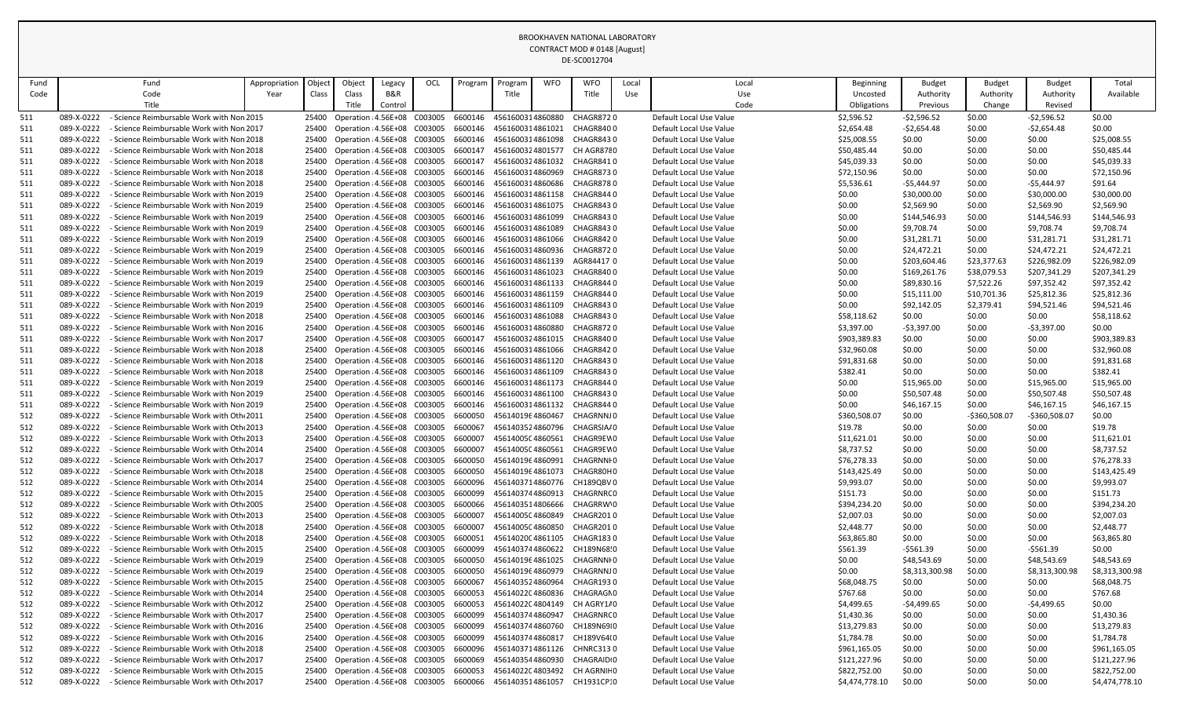| Fund       |                          | Fund                                                                                 | Appropriation | Object         | Object | Legacy                                                       | OCL | Program            | Program                              | <b>WFO</b> | <b>WFO</b>               | Local | Local                                              | Beginning                | <b>Budget</b>              | <b>Budget</b>             | <b>Budget</b>              | Total                       |
|------------|--------------------------|--------------------------------------------------------------------------------------|---------------|----------------|--------|--------------------------------------------------------------|-----|--------------------|--------------------------------------|------------|--------------------------|-------|----------------------------------------------------|--------------------------|----------------------------|---------------------------|----------------------------|-----------------------------|
| Code       |                          | Code                                                                                 | Year          | Class          | Class  | B&R                                                          |     |                    | Title                                |            | Title                    | Use   | Use                                                | Uncosted                 | Authority                  | Authority                 | Authority                  | Available                   |
|            |                          | Title                                                                                |               |                | Title. | Control                                                      |     |                    |                                      |            |                          |       | Code                                               | Obligations              | Previous                   | Change                    | Revised                    |                             |
| 511        | 089-X-0222               | - Science Reimbursable Work with Non 2015                                            |               | 25400          |        | Operation : 4.56E+08 C003005                                 |     |                    | 6600146 4561600314860880             |            | CHAGR8720                |       | Default Local Use Value                            | \$2,596.52               | $-52,596.52$               | \$0.00                    | $-52,596.52$               | \$0.00                      |
| <u>511</u> | 089-X-0222               | Science Reimbursable Work with Non 2017                                              |               | 25400          |        | Operation : 4.56E+08 C003005                                 |     | 6600146            | 4561600314861021                     |            | CHAGR8400                |       | Default Local Use Value                            | \$2,654.48               | $-52,654.48$               | \$0.00                    | $-52,654.48$               | \$0.00                      |
| 511        | 089-X-0222               | Science Reimbursable Work with Non 2018                                              |               | 25400          |        | Operation : 4.56E+08 C003005                                 |     | 6600146            | 4561600314861098                     |            | CHAGR8430                |       | Default Local Use Value                            | \$25,008.55              | \$0.00                     | \$0.00                    | \$0.00                     | \$25,008.55                 |
| 511        | 089-X-0222               | Science Reimbursable Work with Non 2018                                              |               | 25400          |        | Operation : 4.56E+08 C003005                                 |     | 6600147            | 4561600324801577                     |            | CH AGR8780               |       | Default Local Use Value                            | \$50,485.44              | \$0.00                     | \$0.00                    | \$0.00                     | \$50,485.44                 |
| <u>511</u> | 089-X-0222               | Science Reimbursable Work with Non 2018                                              |               | 25400          |        | Operation : 4.56E+08 C003005                                 |     | 6600147            | 4561600324861032                     |            | CHAGR8410                |       | Default Local Use Value                            | \$45,039.33              | \$0.00                     | \$0.00                    | \$0.00                     | \$45,039.33                 |
| 511        | 089-X-0222               | Science Reimbursable Work with Non 2018                                              |               | 25400          |        | Operation : 4.56E+08 C003005                                 |     | 6600146            | 4561600314860969                     |            | CHAGR8730                |       | Default Local Use Value                            | \$72,150.96              | \$0.00                     | \$0.00                    | \$0.00                     | \$72,150.96                 |
| 511        | 089-X-0222               | Science Reimbursable Work with Non 2018                                              |               | 25400          |        | Operation : 4.56E+08 C003005                                 |     | 6600146            | 4561600314860686                     |            | CHAGR8780                |       | Default Local Use Value                            | \$5,536.61               | -\$5,444.97                | \$0.00                    | $-$5,444.97$               | \$91.64                     |
| 511        | 089-X-0222               | Science Reimbursable Work with Non 2019                                              |               | 25400          |        | Operation : 4.56E+08 C003005                                 |     | 6600146            | 4561600314861158                     |            | CHAGR8440                |       | Default Local Use Value                            | \$0.00                   | \$30,000.00                | \$0.00                    | \$30,000.00                | \$30,000.00                 |
| 511        | 089-X-0222               | Science Reimbursable Work with Non 2019                                              |               | 25400          |        | Operation : 4.56E+08 C003005                                 |     | 6600146            | 4561600314861075                     |            | CHAGR8430                |       | Default Local Use Value                            | \$0.00                   | \$2,569.90                 | \$0.00                    | \$2,569.90                 | \$2,569.90                  |
| <u>511</u> | 089-X-0222               | - Science Reimbursable Work with Non 2019                                            |               | 25400          |        | Operation : 4.56E+08 C003005                                 |     | 6600146            | 4561600314861099                     |            | CHAGR8430                |       | Default Local Use Value                            | \$0.00                   | \$144,546.93               | \$0.00                    | \$144,546.93               | \$144,546.93                |
| <u>511</u> | 089-X-0222               | Science Reimbursable Work with Non 2019                                              |               | 25400          |        | Operation : 4.56E+08 C003005                                 |     | 6600146            | 4561600314861089                     |            | CHAGR8430                |       | Default Local Use Value                            | \$0.00                   | \$9,708.74                 | \$0.00                    | \$9,708.74                 | \$9,708.74                  |
| 511        | 089-X-0222               | Science Reimbursable Work with Non 2019                                              |               | 25400          |        | Operation : 4.56E+08 C003005                                 |     | 6600146            | 4561600314861066                     |            | CHAGR8420                |       | Default Local Use Value                            | \$0.00                   | \$31,281.71                | \$0.00                    | \$31,281.71                | \$31,281.71                 |
| 511        | 089-X-0222               | - Science Reimbursable Work with Non 2019                                            |               | 25400          |        | Operation : 4.56E+08 C003005                                 |     | 6600146            | 4561600314860936                     |            | CHAGR872 0               |       | Default Local Use Value                            | \$0.00                   | \$24,472.21                | \$0.00                    | \$24,472.21                | \$24,472.21                 |
| 511        | 089-X-0222               | Science Reimbursable Work with Non 2019                                              |               | 25400          |        | Operation : 4.56E+08 C003005                                 |     | 6600146            | 4561600314861139                     |            | AGR844170                |       | Default Local Use Value                            | \$0.00                   | \$203,604.46               | \$23,377.63               | \$226,982.09               | \$226,982.09                |
| 511        | 089-X-0222<br>089-X-0222 | - Science Reimbursable Work with Non 2019<br>Science Reimbursable Work with Non 2019 |               | 25400          |        | Operation : 4.56E+08 C003005<br>Operation : 4.56E+08 C003005 |     | 6600146<br>6600146 | 4561600314861023<br>4561600314861133 |            | CHAGR8400                |       | Default Local Use Value<br>Default Local Use Value | \$0.00                   | \$169,261.76               | \$38,079.53               | \$207,341.29               | \$207,341.29<br>\$97,352.42 |
| <u>511</u> | 089-X-0222               | Science Reimbursable Work with Non 2019                                              |               | 25400          |        | Operation : 4.56E+08 C003005                                 |     | 6600146            | 4561600314861159                     |            | CHAGR844 0<br>CHAGR8440  |       | Default Local Use Value                            | \$0.00                   | \$89,830.16<br>\$15,111.00 | \$7,522.26<br>\$10,701.36 | \$97,352.42<br>\$25,812.36 | \$25,812.36                 |
| 511<br>511 | 089-X-0222               | Science Reimbursable Work with Non 2019                                              |               | 25400          |        | Operation : 4.56E+08 C003005                                 |     | 6600146            | 4561600314861109                     |            | CHAGR8430                |       | Default Local Use Value                            | \$0.00<br>\$0.00         | \$92,142.05                | \$2,379.41                | \$94,521.46                | \$94,521.46                 |
| 511        | 089-X-0222               | Science Reimbursable Work with Non 2018                                              |               | 25400          |        | Operation : 4.56E+08 C003005                                 |     | 6600146            | 4561600314861088                     |            | CHAGR8430                |       | Default Local Use Value                            | \$58,118.62              | \$0.00                     | \$0.00                    | \$0.00                     | \$58,118.62                 |
| 511        | 089-X-0222               | Science Reimbursable Work with Non 2016                                              |               | 25400          |        | Operation : 4.56E+08 C003005                                 |     | 6600146            | 4561600314860880                     |            | CHAGR8720                |       | Default Local Use Value                            | \$3,397.00               | $-53,397.00$               | \$0.00                    | $-53,397.00$               | \$0.00                      |
| 511        | 089-X-0222               | Science Reimbursable Work with Non 2017                                              |               | 25400          |        | Operation : 4.56E+08 C003005                                 |     | 6600147            | 4561600324861015                     |            | CHAGR8400                |       | Default Local Use Value                            | \$903,389.83             | \$0.00                     | \$0.00                    | \$0.00                     | \$903,389.83                |
| 511        | 089-X-0222               | Science Reimbursable Work with Non 2018                                              |               | 25400          |        | Operation : 4.56E+08 C003005                                 |     | 6600146            | 4561600314861066                     |            | CHAGR8420                |       | Default Local Use Value                            | \$32,960.08              | \$0.00                     | \$0.00                    | \$0.00                     | \$32,960.08                 |
| 511        | 089-X-0222               | Science Reimbursable Work with Non 2018                                              |               | 25400          |        | Operation : 4.56E+08 C003005                                 |     | 6600146            | 4561600314861120                     |            | CHAGR8430                |       | Default Local Use Value                            | \$91,831.68              | \$0.00                     | \$0.00                    | \$0.00                     | \$91,831.68                 |
| 511        | 089-X-0222               | Science Reimbursable Work with Non 2018                                              |               | 25400          |        | Operation : 4.56E+08 C003005                                 |     | 6600146            | 4561600314861109                     |            | CHAGR8430                |       | Default Local Use Value                            | \$382.41                 | \$0.00                     | \$0.00                    | \$0.00                     | \$382.41                    |
| <u>511</u> | 089-X-0222               | Science Reimbursable Work with Non 2019                                              |               | 25400          |        | Operation : 4.56E+08 C003005                                 |     | 6600146            | 4561600314861173                     |            | CHAGR8440                |       | Default Local Use Value                            | \$0.00                   | \$15,965.00                | \$0.00                    | \$15,965.00                | \$15,965.00                 |
| 511        | 089-X-0222               | - Science Reimbursable Work with Non 2019                                            |               | 25400          |        | Operation : 4.56E+08 C003005                                 |     | 6600146            | 4561600314861100                     |            | CHAGR8430                |       | Default Local Use Value                            | \$0.00                   | \$50,507.48                | \$0.00                    | \$50,507.48                | \$50,507.48                 |
| 511        | 089-X-0222               | - Science Reimbursable Work with Non 2019                                            |               | 25400          |        | Operation : 4.56E+08 C003005                                 |     |                    | 6600146 4561600314861132             |            | CHAGR8440                |       | Default Local Use Value                            | \$0.00                   | \$46,167.15                | \$0.00                    | \$46,167.15                | \$46,167.15                 |
| 512        | 089-X-0222               | Science Reimbursable Work with Oth 2011                                              |               | 25400          |        | Operation : 4.56E+08 C003005                                 |     | 6600050            | 4561401964860467                     |            | CHAGRNNJ 0               |       | Default Local Use Value                            | \$360,508.07             | \$0.00                     | -\$360,508.07             | -\$360,508.07              | \$0.00                      |
| 512        | 089-X-0222               | Science Reimbursable Work with Oth 2013                                              |               | 25400          |        | Operation : 4.56E+08 C003005                                 |     | 6600067            | 4561403524860796                     |            | CHAGRSIA/0               |       | Default Local Use Value                            | \$19.78                  | \$0.00                     | \$0.00                    | \$0.00                     | \$19.78                     |
| 512        | 089-X-0222               | - Science Reimbursable Work with Oth 2013                                            |               | 25400          |        | Operation : 4.56E+08 C003005                                 |     | 6600007            | 4561400504860561                     |            | CHAGR9EV0                |       | Default Local Use Value                            | \$11,621.01              | \$0.00                     | \$0.00                    | \$0.00                     | \$11,621.01                 |
| 512        | 089-X-0222               | Science Reimbursable Work with Oth 2014                                              |               | 25400          |        | Operation : 4.56E+08 C003005                                 |     | 6600007            | 4561400504860561                     |            | CHAGR9EV0                |       | Default Local Use Value                            | \$8,737.52               | \$0.00                     | \$0.00                    | \$0.00                     | \$8,737.52                  |
| 512        | 089-X-0222               | Science Reimbursable Work with Oth 2017                                              |               | 25400          |        | Operation : 4.56E+08 C003005                                 |     | 6600050            | 4561401964860991                     |            | CHAGRNNI 0               |       | Default Local Use Value                            | \$76,278.33              | \$0.00                     | \$0.00                    | \$0.00                     | \$76,278.33                 |
| 512        | 089-X-0222               | - Science Reimbursable Work with Oth 2018                                            |               | 25400          |        | Operation : 4.56E+08 C003005                                 |     | 6600050            | 4561401964861073                     |            | CHAGR80H0                |       | Default Local Use Value                            | \$143,425.49             | \$0.00                     | \$0.00                    | \$0.00                     | \$143,425.49                |
| 512        | 089-X-0222               | Science Reimbursable Work with Oth 2014                                              |               | 25400          |        | Operation : 4.56E+08 C003005                                 |     | 6600096            | 4561403714860776                     |            | CH189QBV 0               |       | Default Local Use Value                            | \$9,993.07               | \$0.00                     | \$0.00                    | \$0.00                     | \$9,993.07                  |
| 512        | 089-X-0222               | Science Reimbursable Work with Oth 2015                                              |               | 25400          |        | Operation : 4.56E+08 C003005                                 |     | 6600099            | 4561403744860913                     |            | CHAGRNR(0                |       | Default Local Use Value                            | \$151.73                 | \$0.00                     | \$0.00                    | \$0.00                     | \$151.73                    |
| 512        | 089-X-0222               | - Science Reimbursable Work with Oth 2005                                            |               | 25400          |        | Operation : 4.56E+08 C003005                                 |     | 6600066            | 4561403514806666                     |            | CHAGRRW'0                |       | Default Local Use Value                            | \$394,234.20             | \$0.00                     | \$0.00                    | \$0.00                     | \$394,234.20                |
| 512        | 089-X-0222               | Science Reimbursable Work with Oth 2013                                              |               | 25400          |        | Operation : 4.56E+08 C003005                                 |     | 6600007            | 4561400504860849                     |            | CHAGR2010                |       | Default Local Use Value                            | \$2,007.03               | \$0.00                     | \$0.00                    | \$0.00                     | \$2,007.03                  |
| 512        | 089-X-0222               | - Science Reimbursable Work with Oth 2018                                            |               | 25400          |        | Operation : 4.56E+08 C003005                                 |     | 6600007            | 4561400504860850                     |            | CHAGR2010                |       | Default Local Use Value                            | \$2,448.77               | \$0.00                     | \$0.00                    | \$0.00                     | \$2,448.77                  |
| 512        | 089-X-0222               | Science Reimbursable Work with Oth 2018                                              |               | 25400          |        | Operation : 4.56E+08 C003005                                 |     | 6600051            | 4561402004861105                     |            | CHAGR1830                |       | Default Local Use Value                            | \$63,865.80              | \$0.00                     | \$0.00                    | \$0.00                     | \$63,865.80                 |
| 512        | 089-X-0222               | Science Reimbursable Work with Oth 2015                                              |               | 25400          |        | Operation : 4.56E+08 C003005                                 |     | 6600099            | 4561403744860622                     |            | CH189N68!0               |       | Default Local Use Value                            | \$561.39                 | $-5561.39$                 | \$0.00                    | -\$561.39                  | \$0.00                      |
| 512        | 089-X-0222               | - Science Reimbursable Work with Oth 2019                                            |               | 25400          |        | Operation : 4.56E+08 C003005                                 |     | 6600050            | 4561401964861025                     |            | CHAGRNNI 0               |       | Default Local Use Value                            | \$0.00                   | \$48,543.69                | \$0.00                    | \$48,543.69                | \$48,543.69                 |
| 512        | 089-X-0222               | - Science Reimbursable Work with Oth 2019                                            |               | 25400          |        | Operation : 4.56E+08 C003005                                 |     | 6600050            | 4561401964860979                     |            | CHAGRNNJ 0               |       | Default Local Use Value                            | \$0.00                   | \$8,313,300.98             | \$0.00                    | \$8,313,300.98             | \$8,313,300.98              |
| 512        | 089-X-0222               | Science Reimbursable Work with Oth 2015                                              |               | 25400          |        | Operation : 4.56E+08 C003005                                 |     | 6600067            | 4561403524860964                     |            | CHAGR1930                |       | Default Local Use Value                            | \$68,048.75              | \$0.00                     | \$0.00                    | \$0.00                     | \$68,048.75                 |
| 512        | 089-X-0222               | Science Reimbursable Work with Oth 2014<br>Science Reimbursable Work with Oth 2012   |               | 25400          |        | Operation : 4.56E+08 C003005                                 |     | 6600053            | 4561402204860836<br>4561402204804149 |            | CHAGRAGN0                |       | Default Local Use Value<br>Default Local Use Value | \$767.68                 | \$0.00                     | \$0.00                    | \$0.00                     | \$767.68<br>\$0.00          |
| 512        | 089-X-0222<br>089-X-0222 | Science Reimbursable Work with Oth 2017                                              |               | 25400<br>25400 |        | Operation : 4.56E+08 C003005<br>Operation : 4.56E+08 C003005 |     | 6600053<br>6600099 | 4561403744860947                     |            | CH AGRY1/0<br>CHAGRNRC 0 |       | Default Local Use Value                            | \$4,499.65<br>\$1,430.36 | -\$4,499.65<br>\$0.00      | \$0.00<br>\$0.00          | $-54,499.65$<br>\$0.00     | \$1,430.36                  |
| 512<br>512 | 089-X-0222               | Science Reimbursable Work with Oth 2016                                              |               | 25400          |        | Operation : 4.56E+08 C003005                                 |     | 6600099            | 4561403744860760                     |            | CH189N69 0               |       | Default Local Use Value                            | \$13,279.83              | \$0.00                     | \$0.00                    | \$0.00                     | \$13,279.83                 |
| 512        | 089-X-0222               | - Science Reimbursable Work with Oth 2016                                            |               | 25400          |        | Operation : 4.56E+08 C003005                                 |     | 6600099            | 4561403744860817                     |            | CH189V64(0               |       | Default Local Use Value                            | \$1,784.78               | \$0.00                     | \$0.00                    | \$0.00                     | \$1,784.78                  |
| 512        | 089-X-0222               | Science Reimbursable Work with Oth 2018                                              |               | 25400          |        | Operation : 4.56E+08 C003005                                 |     | 6600096            | 4561403714861126                     |            | CHNRC3130                |       | Default Local Use Value                            | \$961,165.05             | \$0.00                     | \$0.00                    | \$0.00                     | \$961,165.05                |
| 512        | 089-X-0222               | Science Reimbursable Work with Oth 2017                                              |               | 25400          |        | Operation : 4.56E+08 C003005                                 |     | 6600069            | 4561403544860930                     |            | CHAGRAID <sub>1</sub> 0  |       | Default Local Use Value                            | \$121,227.96             | \$0.00                     | \$0.00                    | \$0.00                     | \$121,227.96                |
| 512        | 089-X-0222               | Science Reimbursable Work with Oth 2015                                              |               | 25400          |        | Operation : 4.56E+08 C003005                                 |     | 6600053            | 4561402204803492                     |            | CH AGRNIF 0              |       | Default Local Use Value                            | \$822,752.00             | \$0.00                     | \$0.00                    | \$0.00                     | \$822,752.00                |
| 512        | 089-X-0222               | - Science Reimbursable Work with Oth 2017                                            |               |                |        | 25400 Operation : 4.56E+08 C003005                           |     |                    | 6600066 4561403514861057             |            | CH1931CP:0               |       | Default Local Use Value                            | \$4,474,778.10           | \$0.00                     | \$0.00                    | \$0.00                     | \$4,474,778.10              |
|            |                          |                                                                                      |               |                |        |                                                              |     |                    |                                      |            |                          |       |                                                    |                          |                            |                           |                            |                             |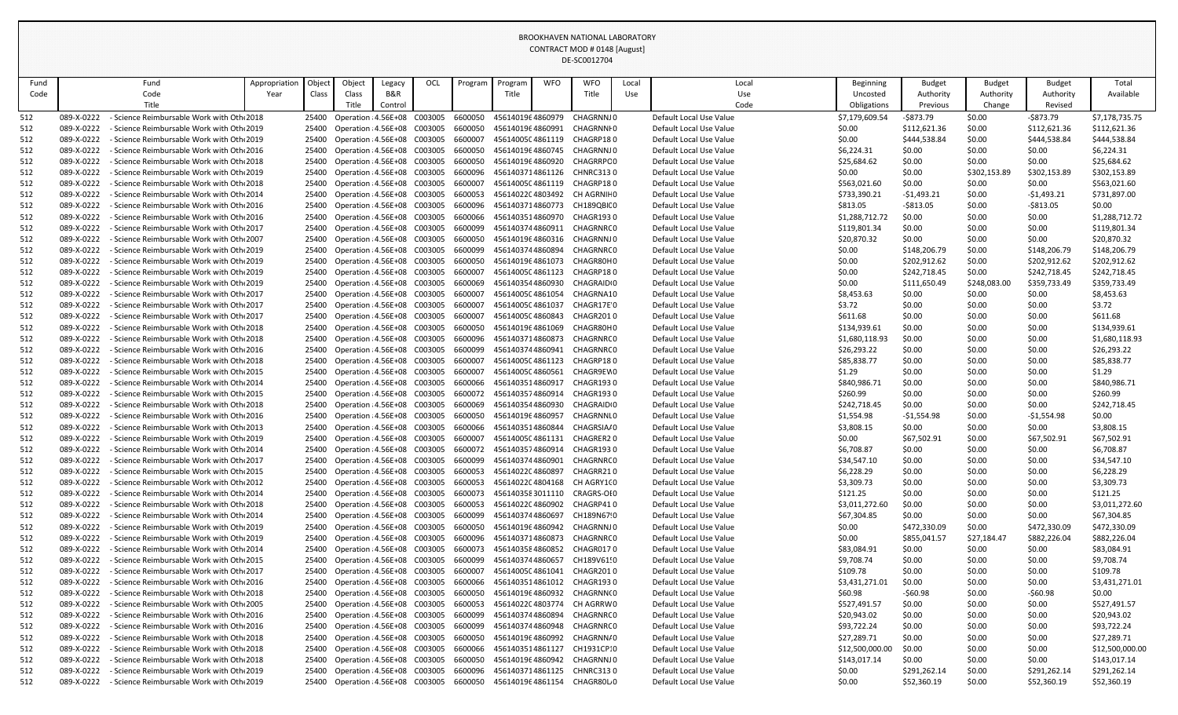| Fund       |                          | Fund                                                                               | Appropriation | Objed          | Object                                                       | Legacy  | <b>OCL</b> | Program            | Program                              | <b>WFO</b> | <b>WFO</b>              | Local | Local                                              |                    | Beginning       | <b>Budget</b>    | <b>Budget</b>    | <b>Budget</b>    | Total              |
|------------|--------------------------|------------------------------------------------------------------------------------|---------------|----------------|--------------------------------------------------------------|---------|------------|--------------------|--------------------------------------|------------|-------------------------|-------|----------------------------------------------------|--------------------|-----------------|------------------|------------------|------------------|--------------------|
| Code       |                          | Code                                                                               | Year          | Class          | Class                                                        | B&R     |            |                    | Title                                |            | Title                   | Use   | Use                                                |                    | Uncosted        | Authority        | Authority        | Authority        | Available          |
|            |                          | Title                                                                              |               |                | Title                                                        | Control |            |                    |                                      |            |                         |       | Code                                               |                    | Obligations     | Previous         | Change           | Revised          |                    |
| 512        | 089-X-0222               | - Science Reimbursable Work with Oth 2018                                          |               | 25400          | Operation : 4.56E+08 C003005                                 |         |            | 6600050            | 4561401964860979                     |            | CHAGRNNJ0               |       | Default Local Use Value                            |                    | \$7,179,609.54  | -\$873.79        | \$0.00           | -\$873.79        | \$7,178,735.75     |
| 512        | 089-X-0222               | Science Reimbursable Work with Oth 2019                                            |               | 25400          | Operation : 4.56E+08 C003005                                 |         |            | 6600050            | 4561401964860991                     |            | <b>CHAGRNNIO</b>        |       | Default Local Use Value                            | \$0.00             |                 | \$112,621.36     | \$0.00           | \$112,621.36     | \$112,621.36       |
| 512        | 089-X-0222               | - Science Reimbursable Work with Oth 2019                                          |               | 25400          | Operation : 4.56E+08 C003005                                 |         |            | 6600007            | 4561400504861119                     |            | CHAGRP180               |       | Default Local Use Value                            | \$0.00             |                 | \$444,538.84     | \$0.00           | \$444,538.84     | \$444,538.84       |
| 512        | 089-X-0222               | Science Reimbursable Work with Oth 2016                                            |               | 25400          | Operation : 4.56E+08 C003005                                 |         |            | 6600050            | 4561401964860745                     |            | CHAGRNNJ0               |       | Default Local Use Value                            | \$6,224.31         |                 | \$0.00           | \$0.00           | \$0.00           | \$6,224.31         |
| 512        | 089-X-0222               | Science Reimbursable Work with Oth 2018                                            |               | 25400          | Operation : 4.56E+08 C003005                                 |         |            | 6600050            | 4561401964860920                     |            | CHAGRRPC0               |       | Default Local Use Value                            | \$25,684.62        |                 | \$0.00           | \$0.00           | \$0.00           | \$25,684.62        |
| 512        | 089-X-0222               | Science Reimbursable Work with Oth 2019                                            |               | 25400          | Operation : 4.56E+08 C003005                                 |         |            | 6600096            | 4561403714861126                     |            | <b>CHNRC3130</b>        |       | Default Local Use Value                            | \$0.00             |                 | \$0.00           | \$302,153.89     | \$302,153.89     | \$302,153.89       |
| 512        | 089-X-0222               | Science Reimbursable Work with Oth 2018                                            |               | 25400          | Operation : 4.56E+08 C003005                                 |         |            | 6600007            | 4561400504861119                     |            | CHAGRP180               |       | Default Local Use Value                            |                    | \$563,021.60    | \$0.00           | \$0.00           | \$0.00           | \$563,021.60       |
| 512        | 089-X-0222               | Science Reimbursable Work with Oth 2014                                            |               | 25400          | Operation : 4.56E+08 C003005                                 |         |            | 6600053            | 4561402204803492                     |            | CH AGRNIF 0             |       | Default Local Use Value                            |                    | \$733,390.21    | -\$1,493.21      | \$0.00           | -\$1,493.21      | \$731,897.00       |
| 512        | 089-X-0222               | Science Reimbursable Work with Oth 2016                                            |               | 25400          | Operation : 4.56E+08 C003005                                 |         |            | 6600096            | 4561403714860773                     |            | CH189QBI(0              |       | Default Local Use Value                            | \$813.05           |                 | -\$813.05        | \$0.00           | $-5813.05$       | \$0.00             |
| 512        | 089-X-0222               | Science Reimbursable Work with Oth 2016                                            |               | 25400          | Operation : 4.56E+08 C003005                                 |         |            | 6600066            | 4561403514860970                     |            | CHAGR1930               |       | Default Local Use Value                            |                    | \$1,288,712.72  | \$0.00           | \$0.00           | \$0.00           | \$1,288,712.72     |
| 512        | 089-X-0222               | Science Reimbursable Work with Oth 2017                                            |               | 25400          | Operation : 4.56E+08 C003005                                 |         |            | 6600099            | 4561403744860911                     |            | CHAGRNRC0               |       | Default Local Use Value                            |                    | \$119,801.34    | \$0.00           | \$0.00           | \$0.00           | \$119,801.34       |
| 512        | 089-X-0222               | Science Reimbursable Work with Oth 2007                                            |               | 25400          | Operation : 4.56E+08 C003005                                 |         |            | 6600050            | 4561401964860316                     |            | CHAGRNNJ0               |       | Default Local Use Value                            |                    | \$20,870.32     | \$0.00           | \$0.00           | \$0.00           | \$20,870.32        |
| 512        | 089-X-0222               | Science Reimbursable Work with Oth 2019                                            |               | 25400          | Operation : 4.56E+08 C003005                                 |         |            | 6600099            | 4561403744860894                     |            | CHAGRNR(0               |       | Default Local Use Value                            | \$0.00             |                 | \$148,206.79     | \$0.00           | \$148,206.79     | \$148,206.79       |
| 512        | 089-X-0222               | Science Reimbursable Work with Oth 2019                                            |               | 25400          | Operation : 4.56E+08 C003005                                 |         |            | 6600050            | 4561401964861073                     |            | CHAGR80H0               |       | Default Local Use Value                            | \$0.00             |                 | \$202,912.62     | \$0.00           | \$202,912.62     | \$202,912.62       |
| 512        | 089-X-0222               | - Science Reimbursable Work with Oth 2019                                          |               | 25400          | Operation : 4.56E+08 C003005                                 |         |            | 6600007            | 4561400504861123                     |            | CHAGRP180               |       | Default Local Use Value                            | \$0.00             |                 | \$242,718.45     | \$0.00           | \$242,718.45     | \$242,718.45       |
| 512        | 089-X-0222               | Science Reimbursable Work with Oth 2019                                            |               | 25400          | Operation : 4.56E+08 C003005                                 |         |            | 6600069            | 4561403544860930                     |            | CHAGRAID <sub>10</sub>  |       | Default Local Use Value                            | \$0.00             |                 | \$111,650.49     | \$248,083.00     | \$359,733.49     | \$359,733.49       |
| 512        | 089-X-0222               | Science Reimbursable Work with Oth 2017                                            |               |                | Operation : 4.56E+08 C003005                                 |         |            | 6600007            | 4561400504861054                     |            | CHAGRNA10               |       | Default Local Use Value                            | \$8,453.63         |                 | \$0.00           | \$0.00           | \$0.00           | \$8,453.63         |
| 512        | 089-X-0222<br>089-X-0222 | Science Reimbursable Work with Oth 2017<br>Science Reimbursable Work with Oth 2017 |               | 25400<br>25400 | Operation : 4.56E+08 C003005<br>Operation : 4.56E+08 C003005 |         |            | 6600007<br>6600007 | 4561400504861037<br>4561400504860843 |            | CHAGR17E 0<br>CHAGR2010 |       | Default Local Use Value<br>Default Local Use Value | \$3.72<br>\$611.68 |                 | \$0.00<br>\$0.00 | \$0.00<br>\$0.00 | \$0.00<br>\$0.00 | \$3.72<br>\$611.68 |
| 512<br>512 | 089-X-0222               | - Science Reimbursable Work with Othı 2018                                         |               | 25400          | Operation : 4.56E+08 C003005                                 |         |            | 6600050            | 4561401964861069                     |            | CHAGR80H0               |       | Default Local Use Value                            |                    | \$134,939.61    | \$0.00           | \$0.00           | \$0.00           | \$134,939.61       |
| 512        | 089-X-0222               | Science Reimbursable Work with Oth 2018                                            |               | 25400          | Operation : 4.56E+08 C003005                                 |         |            | 6600096            | 4561403714860873                     |            | CHAGRNR(0               |       | Default Local Use Value                            |                    | \$1,680,118.93  | \$0.00           | \$0.00           | \$0.00           | \$1,680,118.93     |
| 512        | 089-X-0222               | Science Reimbursable Work with Oth 2016                                            |               | 25400          | Operation : 4.56E+08 C003005                                 |         |            | 6600099            | 4561403744860941                     |            | CHAGRNR(0               |       | Default Local Use Value                            |                    | \$26,293.22     | \$0.00           | \$0.00           | \$0.00           | \$26,293.22        |
| 512        | 089-X-0222               | Science Reimbursable Work with Oth، 2018 -                                         |               | 25400          | Operation : 4.56E+08 C003005                                 |         |            | 6600007            | 4561400504861123                     |            | CHAGRP180               |       | Default Local Use Value                            | \$85,838.77        |                 | \$0.00           | \$0.00           | \$0.00           | \$85,838.77        |
| 512        | 089-X-0222               | - Science Reimbursable Work with Oth 2015                                          |               | 25400          | Operation : 4.56E+08 C003005                                 |         |            | 6600007            | 4561400504860561                     |            | CHAGR9EV0               |       | Default Local Use Value                            | \$1.29             |                 | \$0.00           | \$0.00           | \$0.00           | \$1.29             |
| 512        | 089-X-0222               | Science Reimbursable Work with Oth 2014                                            |               | 25400          | Operation : 4.56E+08 C003005                                 |         |            | 6600066            | 4561403514860917                     |            | CHAGR1930               |       | Default Local Use Value                            |                    | \$840,986.71    | \$0.00           | \$0.00           | \$0.00           | \$840,986.71       |
| 512        | 089-X-0222               | - Science Reimbursable Work with Oth 2015                                          |               | 25400          | Operation : 4.56E+08 C003005                                 |         |            | 6600072            | 4561403574860914                     |            | CHAGR1930               |       | Default Local Use Value                            | \$260.99           |                 | \$0.00           | \$0.00           | \$0.00           | \$260.99           |
|            | 089-X-0222               | - Science Reimbursable Work with Oth 2018                                          |               | 25400          | Operation : 4.56E+08 C003005                                 |         |            | 6600069            | 4561403544860930                     |            | CHAGRAID <sub>10</sub>  |       | Default Local Use Value                            |                    | \$242,718.45    | \$0.00           | \$0.00           | \$0.00           | \$242,718.45       |
| 512        | 089-X-0222               | Science Reimbursable Work with Oth 2016                                            |               | 25400          | Operation : 4.56E+08 C003005                                 |         |            | 6600050            | 4561401964860957                     |            | CHAGRNNI <sub>0</sub>   |       | Default Local Use Value                            | \$1,554.98         |                 | $-51,554.98$     | \$0.00           | -\$1,554.98      | \$0.00             |
| 512        | 089-X-0222               | Science Reimbursable Work with Oth 2013                                            |               | 25400          | Operation : 4.56E+08 C003005                                 |         |            | 6600066            | 4561403514860844                     |            | CHAGRSIA/0              |       | Default Local Use Value                            | \$3,808.15         |                 | \$0.00           | \$0.00           | \$0.00           | \$3,808.15         |
| 512        | 089-X-0222               | - Science Reimbursable Work with Oth 2019                                          |               | 25400          | Operation : 4.56E+08 C003005                                 |         |            | 6600007            | 4561400504861131                     |            | CHAGRER20               |       | Default Local Use Value                            | \$0.00             |                 | \$67,502.91      | \$0.00           | \$67,502.91      | \$67,502.91        |
| 512        | 089-X-0222               | Science Reimbursable Work with Oth 2014                                            |               | 25400          | Operation : 4.56E+08 C003005                                 |         |            | 6600072            | 4561403574860914                     |            | CHAGR1930               |       | Default Local Use Value                            | \$6,708.87         |                 | \$0.00           | \$0.00           | \$0.00           | \$6,708.87         |
| 512        | 089-X-0222               | Science Reimbursable Work with Oth 2017                                            |               | 25400          | Operation : 4.56E+08 C003005                                 |         |            | 6600099            | 4561403744860901                     |            | CHAGRNR(0               |       | Default Local Use Value                            |                    | \$34,547.10     | \$0.00           | \$0.00           | \$0.00           | \$34,547.10        |
| 512        | 089-X-0222               | Science Reimbursable Work with Oth 2015                                            |               | 25400          | Operation : 4.56E+08 C003005                                 |         |            | 6600053            | 4561402204860897                     |            | CHAGRR210               |       | Default Local Use Value                            | \$6,228.29         |                 | \$0.00           | \$0.00           | \$0.00           | \$6,228.29         |
| 512        | 089-X-0222               | Science Reimbursable Work with Oth 2012                                            |               | 25400          | Operation : 4.56E+08 C003005                                 |         |            | 6600053            | 4561402204804168                     |            | CH AGRY1(0              |       | Default Local Use Value                            | \$3,309.73         |                 | \$0.00           | \$0.00           | \$0.00           | \$3,309.73         |
| 512        | 089-X-0222               | Science Reimbursable Work with Oth 2014                                            |               | 25400          | Operation : 4.56E+08 C003005                                 |         |            | 6600073            | 4561403583011110                     |            | CRAGRS-OI0              |       | Default Local Use Value                            | \$121.25           |                 | \$0.00           | \$0.00           | \$0.00           | \$121.25           |
| 512        | 089-X-0222               | Science Reimbursable Work with Oth 2018                                            |               | 25400          | Operation : 4.56E+08 C003005                                 |         |            | 6600053            | 4561402204860902                     |            | CHAGRP410               |       | Default Local Use Value                            |                    | \$3,011,272.60  | \$0.00           | \$0.00           | \$0.00           | \$3,011,272.60     |
| 512        | 089-X-0222               | Science Reimbursable Work with Oth 2014                                            |               | 25400          | Operation : 4.56E+08 C003005                                 |         |            | 6600099            | 4561403744860697                     |            | CH189N67!0              |       | Default Local Use Value                            |                    | \$67,304.85     | \$0.00           | \$0.00           | \$0.00           | \$67,304.85        |
| 512        | 089-X-0222               | - Science Reimbursable Work with Oth 2019                                          |               | 25400          | Operation : 4.56E+08 C003005                                 |         |            | 6600050            | 4561401964860942                     |            | CHAGRNNJ 0              |       | Default Local Use Value                            | \$0.00             |                 | \$472,330.09     | \$0.00           | \$472,330.09     | \$472,330.09       |
| 512        | 089-X-0222               | Science Reimbursable Work with Oth 2019                                            |               | 25400          | Operation : 4.56E+08 C003005                                 |         |            | 6600096            | 4561403714860873                     |            | CHAGRNR(0               |       | Default Local Use Value                            | \$0.00             |                 | \$855,041.57     | \$27,184.47      | \$882,226.04     | \$882,226.04       |
| 512        | 089-X-0222               | Science Reimbursable Work with Oth 2014                                            |               | 25400          | Operation : 4.56E+08 C003005                                 |         |            | 6600073            | 4561403584860852                     |            | CHAGR0170               |       | Default Local Use Value                            | \$83,084.91        |                 | \$0.00           | \$0.00           | \$0.00           | \$83,084.91        |
| 512        | 089-X-0222               | - Science Reimbursable Work with Oth 2015                                          |               | 25400          | Operation : 4.56E+08 C003005                                 |         |            | 6600099            | 4561403744860657                     |            | CH189V61!0              |       | Default Local Use Value                            | \$9,708.74         |                 | \$0.00           | \$0.00           | \$0.00           | \$9,708.74         |
| 512        | 089-X-0222               | Science Reimbursable Work with Oth 2017                                            |               | 25400          | Operation : 4.56E+08 C003005                                 |         |            | 6600007            | 4561400504861041                     |            | CHAGR2010               |       | Default Local Use Value                            | \$109.78           |                 | \$0.00           | \$0.00           | \$0.00           | \$109.78           |
| 512        | 089-X-0222               | - Science Reimbursable Work with Oth 2016                                          |               | 25400          | Operation : 4.56E+08 C003005                                 |         |            | 6600066            | 4561403514861012                     |            | CHAGR1930               |       | Default Local Use Value                            |                    | \$3,431,271.01  | \$0.00           | \$0.00           | \$0.00           | \$3,431,271.01     |
| 512        | 089-X-0222               | Science Reimbursable Work with Oth 2018                                            |               | 25400          | Operation : 4.56E+08 C003005                                 |         |            | 6600050            | 4561401964860932                     |            | CHAGRNN(0               |       | Default Local Use Value                            | \$60.98            |                 | $-560.98$        | \$0.00           | $-560.98$        | \$0.00             |
| 512        | 089-X-0222               | Science Reimbursable Work with Oth 2005                                            |               | 25400          | Operation : 4.56E+08 C003005                                 |         |            | 6600053            | 4561402204803774                     |            | CH AGRRW0               |       | Default Local Use Value                            |                    | \$527,491.57    | \$0.00           | \$0.00           | \$0.00           | \$527,491.57       |
| 512        | 089-X-0222               | - Science Reimbursable Work with Oth 2016                                          |               | 25400          | Operation : 4.56E+08 C003005                                 |         |            | 6600099            | 4561403744860894                     |            | CHAGRNR(0               |       | Default Local Use Value                            |                    | \$20,943.02     | \$0.00           | \$0.00           | \$0.00           | \$20,943.02        |
| 512        | 089-X-0222               | - Science Reimbursable Work with Oth 2016                                          |               | 25400          | Operation : 4.56E+08 C003005                                 |         |            | 6600099            | 4561403744860948                     |            | CHAGRNR(0               |       | Default Local Use Value                            |                    | \$93,722.24     | \$0.00           | \$0.00           | \$0.00           | \$93,722.24        |
| 512        | 089-X-0222               | Science Reimbursable Work with Oth 2018                                            |               | 25400          | Operation : 4.56E+08 C003005                                 |         |            | 6600050            | 4561401964860992                     |            | CHAGRNN/0               |       | Default Local Use Value                            |                    | \$27,289.71     | \$0.00           | \$0.00           | \$0.00           | \$27,289.71        |
| 512        | 089-X-0222               | - Science Reimbursable Work with Oth 2018                                          |               | 25400          | Operation : 4.56E+08 C003005                                 |         |            | 6600066            | 4561403514861127                     |            | CH1931CP:0              |       | Default Local Use Value                            |                    | \$12,500,000.00 | \$0.00           | \$0.00           | \$0.00           | \$12,500,000.00    |
| 512        | 089-X-0222               | Science Reimbursable Work with Oth 2018                                            |               | 25400          | Operation : 4.56E+08 C003005                                 |         |            | 6600050            | 4561401964860942                     |            | CHAGRNNJ0               |       | Default Local Use Value                            |                    | \$143,017.14    | \$0.00           | \$0.00           | \$0.00           | \$143,017.14       |
| 512        | 089-X-0222               | Science Reimbursable Work with Oth 2019                                            |               | 25400          | Operation : 4.56E+08 C003005                                 |         |            | 6600096            | 4561403714861125                     |            | <b>CHNRC3130</b>        |       | Default Local Use Value                            | \$0.00             |                 | \$291,262.14     | \$0.00           | \$291,262.14     | \$291,262.14       |
| 512        | 089-X-0222               | - Science Reimbursable Work with Oth 2019                                          |               | 25400          | Operation : 4.56E+08 C003005                                 |         |            | 6600050            | 4561401964861154                     |            | CHAGR80L0               |       | Default Local Use Value                            | \$0.00             |                 | \$52,360.19      | \$0.00           | \$52,360.19      | \$52,360.19        |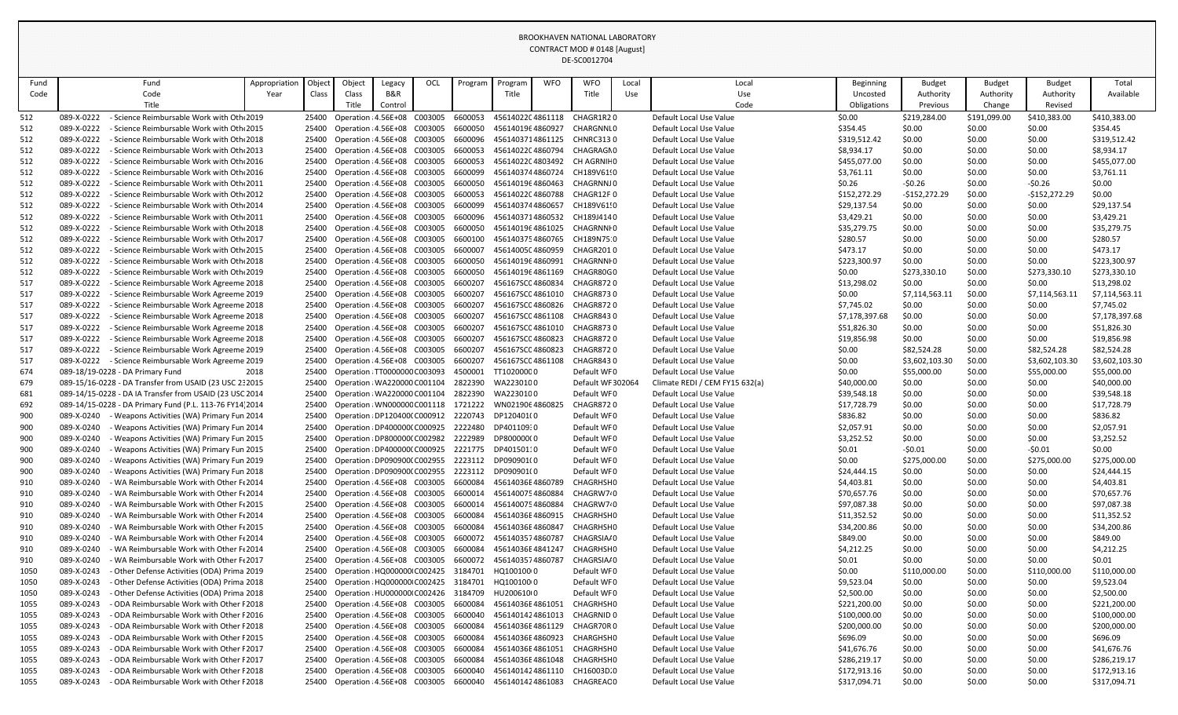|              |                                                                                                    |               |                |                                                              |                |            |                    |                                                            |            | DL-JLUUIZ7U4                  |       |                                                    |                             |                          |                     |                          |                             |
|--------------|----------------------------------------------------------------------------------------------------|---------------|----------------|--------------------------------------------------------------|----------------|------------|--------------------|------------------------------------------------------------|------------|-------------------------------|-------|----------------------------------------------------|-----------------------------|--------------------------|---------------------|--------------------------|-----------------------------|
| Fund         | Fund                                                                                               | Appropriation | Object         | Object                                                       | Legacy         | <b>OCL</b> | Program            | Program                                                    | <b>WFO</b> | <b>WFO</b>                    | Local | Local                                              | <b>Beginning</b>            | <b>Budget</b>            | <b>Budget</b>       | <b>Budget</b>            | Total                       |
| Code         | Code                                                                                               | Year          | Class          | Class                                                        | <b>B&amp;R</b> |            |                    | Title                                                      |            | Title                         | Use   | Use                                                | Uncosted                    | Authority                | Authority           | Authority                | Available                   |
|              | Title                                                                                              |               |                | ritle.                                                       | Control        |            |                    |                                                            |            |                               |       | Code                                               | Obligations                 | Previous                 | Change              | Revised                  |                             |
| 512          | Science Reimbursable Work with Oth 2019<br>089-X-0222                                              |               | 25400          | Operation : 4.56E+08 C003005                                 |                |            | 6600053            | 4561402204861118                                           |            | CHAGR1R20                     |       | Default Local Use Value                            | \$0.00                      | \$219,284.00             | \$191,099.00        | \$410,383.00             | \$410,383.00                |
| 512          | 089-X-0222<br>- Science Reimbursable Work with Oth 2015                                            |               | 25400          | Operation : 4.56E+08 C003005                                 |                |            | 6600050            | 4561401964860927                                           |            | CHARGNNI <sub>0</sub>         |       | Default Local Use Value                            | \$354.45                    | \$0.00                   | \$0.00              | \$0.00                   | \$354.45                    |
| 512          | 089-X-0222<br>- Science Reimbursable Work with Oth 2018                                            |               | 25400          | Operation : 4.56E+08 C003005                                 |                |            | 6600096            | 4561403714861125                                           |            | <b>CHNRC3130</b>              |       | Default Local Use Value                            | \$319,512.42                | \$0.00                   | \$0.00              | \$0.00                   | \$319,512.42                |
| 512          | 089-X-0222<br>- Science Reimbursable Work with Oth 2013                                            |               | 25400          | Operation : 4.56E+08 C003005                                 |                |            | 6600053            | 4561402204860794                                           |            | CHAGRAGN0                     |       | Default Local Use Value                            | \$8,934.17                  | \$0.00                   | \$0.00              | \$0.00                   | \$8,934.17                  |
| 512          | Science Reimbursable Work with Oth 2016<br>089-X-0222                                              |               | 25400          | Operation : 4.56E+08 C003005                                 |                |            | 6600053            | 4561402204803492                                           |            | CH AGRNIF 0                   |       | Default Local Use Value                            | \$455,077.00                | \$0.00                   | \$0.00              | \$0.00                   | \$455,077.00                |
| 512          | 089-X-0222<br>Science Reimbursable Work with Oth 2016                                              |               | 25400          | Operation : 4.56E+08 C003005                                 |                |            | 6600099            | 4561403744860724                                           |            | CH189V61!0                    |       | Default Local Use Value                            | \$3,761.11                  | \$0.00                   | \$0.00              | \$0.00                   | \$3,761.11                  |
| 512          | 089-X-0222<br>- Science Reimbursable Work with Oth 2011                                            |               | 25400          | Operation : 4.56E+08 C003005                                 |                |            | 6600050            | 4561401964860463                                           |            | CHAGRNNJ0                     |       | Default Local Use Value                            | \$0.26                      | $-50.26$                 | \$0.00              | $-50.26$                 | \$0.00                      |
| 512          | 089-X-0222<br>- Science Reimbursable Work with Oth 2012                                            |               | 25400          | Operation : 4.56E+08 C003005                                 |                |            | 6600053            | 4561402204860788                                           |            | CHAGR12F0                     |       | Default Local Use Value                            | \$152,272.29                | $-$152,272.29$           | \$0.00              | $-$152,272.29$           | \$0.00                      |
| 512          | 089-X-0222<br>- Science Reimbursable Work with Oth 2014                                            |               |                | 25400 Operation : 4.56E+08 C003005                           |                |            | 6600099            | 4561403744860657                                           |            | CH189V61!0                    |       | Default Local Use Value                            | \$29,137.54                 | \$0.00                   | \$0.00              | \$0.00                   | \$29,137.54                 |
| 512          | 089-X-0222<br>- Science Reimbursable Work with Oth 2011                                            |               | 25400          | Operation : 4.56E+08 C003005                                 |                |            | 6600096            | 4561403714860532                                           |            | CH189J4140                    |       | Default Local Use Value                            | \$3,429.21                  | \$0.00                   | \$0.00              | \$0.00                   | \$3,429.21                  |
| 512          | 089-X-0222<br>Science Reimbursable Work with Oth 2018                                              |               | 25400          | Operation : 4.56E+08 C003005                                 |                |            | 6600050            | 4561401964861025                                           |            | CHAGRNNI0                     |       | Default Local Use Value                            | \$35,279.75                 | \$0.00                   | \$0.00              | \$0.00                   | \$35,279.75                 |
| 512          | 089-X-0222<br>- Science Reimbursable Work with Oth 2017                                            |               | 25400          | Operation : 4.56E+08 C003005                                 |                |            | 6600100            | 4561403754860765                                           |            | CH189N75.0                    |       | Default Local Use Value                            | \$280.57                    | \$0.00                   | \$0.00              | \$0.00                   | \$280.57                    |
| 512          | 089-X-0222<br>Science Reimbursable Work with Oth 2015                                              |               | 25400          | Operation : 4.56E+08 C003005                                 |                |            | 6600007            | 4561400504860959                                           |            | CHAGR2010                     |       | Default Local Use Value                            | \$473.17                    | \$0.00                   | \$0.00              | \$0.00                   | \$473.17                    |
| 512          | 089-X-0222<br>- Science Reimbursable Work with Oth 2018                                            |               | 25400          | Operation : 4.56E+08 C003005                                 |                |            | 6600050            | 4561401964860991<br>4561401964861169                       |            | CHAGRNNI <sub>0</sub>         |       | Default Local Use Value<br>Default Local Use Value | \$223,300.97                | \$0.00                   | \$0.00              | \$0.00                   | \$223,300.97                |
| 512          | 089-X-0222<br>- Science Reimbursable Work with Oth 2019<br>089-X-0222                              |               | 25400          | Operation : 4.56E+08 C003005                                 |                |            | 6600050<br>6600207 | 456167SC04860834                                           |            | CHAGR80G0<br><b>CHAGR8720</b> |       |                                                    | \$0.00                      | \$273,330.10             | \$0.00<br>\$0.00    | \$273,330.10             | \$273,330.10<br>\$13,298.02 |
| 517          | - Science Reimbursable Work Agreeme 2018<br>- Science Reimbursable Work Agreeme 2019<br>089-X-0222 |               | 25400          | Operation : 4.56E+08 C003005<br>Operation : 4.56E+08 C003005 |                |            | 6600207            | 456167SC04861010                                           |            | <b>CHAGR8730</b>              |       | Default Local Use Value<br>Default Local Use Value | \$13,298.02<br>\$0.00       | \$0.00<br>\$7,114,563.11 | \$0.00              | \$0.00<br>\$7,114,563.11 | \$7,114,563.11              |
| 517<br>517   | 089-X-0222<br>- Science Reimbursable Work Agreeme 2018                                             |               | 25400<br>25400 | Operation : 4.56E+08 C003005                                 |                |            | 6600207            | 456167SC04860826                                           |            | CHAGR8720                     |       | Default Local Use Value                            | \$7,745.02                  | \$0.00                   | \$0.00              | \$0.00                   | \$7,745.02                  |
| 517          | 089-X-0222<br>- Science Reimbursable Work Agreeme 2018                                             |               | 25400          | Operation : 4.56E+08 C003005                                 |                |            | 6600207            | 456167SC04861108                                           |            | <b>CHAGR8430</b>              |       | Default Local Use Value                            | \$7,178,397.68              | \$0.00                   | \$0.00              | \$0.00                   | \$7,178,397.68              |
| 517          | 089-X-0222<br>- Science Reimbursable Work Agreeme 2018                                             |               | 25400          | Operation : 4.56E+08 C003005                                 |                |            | 6600207            | 456167SC04861010                                           |            | <b>CHAGR8730</b>              |       | Default Local Use Value                            | \$51,826.30                 | \$0.00                   | \$0.00              | \$0.00                   | \$51,826.30                 |
| 517          | 089-X-0222<br>- Science Reimbursable Work Agreeme 2018                                             |               | 25400          | Operation : 4.56E+08 C003005                                 |                |            | 6600207            | 456167SC04860823                                           |            | <b>CHAGR8720</b>              |       | Default Local Use Value                            | \$19,856.98                 | \$0.00                   | \$0.00              | \$0.00                   | \$19,856.98                 |
| 517          | - Science Reimbursable Work Agreeme 2019<br>089-X-0222                                             |               | 25400          | Operation : 4.56E+08 C003005                                 |                |            | 6600207            | 456167SC04860823                                           |            | <b>CHAGR8720</b>              |       | Default Local Use Value                            | \$0.00                      | \$82,524.28              | \$0.00              | \$82,524.28              | \$82,524.28                 |
| 517          | 089-X-0222<br>- Science Reimbursable Work Agreeme 2019                                             |               | 25400          | Operation : 4.56E+08 C003005                                 |                |            | 6600207            | 456167SC04861108                                           |            | <b>CHAGR8430</b>              |       | Default Local Use Value                            | \$0.00                      | \$3,602,103.30           | \$0.00              | \$3,602,103.30           | \$3,602,103.30              |
| 674          | 089-18/19-0228 - DA Primary Fund                                                                   | 2018          | 25400          | Operation : TT0000000 C003093                                |                |            | 4500001            | TT10200000                                                 |            | Default WF0                   |       | Default Local Use Value                            | \$0.00                      | \$55,000.00              | \$0.00              | \$55,000.00              | \$55,000.00                 |
| 679          | 089-15/16-0228 - DA Transfer from USAID (23 USC 2: 2015                                            |               | 25400          | Operation : WA220000 C001104                                 |                |            | 2822390            | WA2230100                                                  |            | Default WF 302064             |       | Climate REDI / CEM FY15 632(a)                     | \$40,000.00                 | \$0.00                   | \$0.00              | \$0.00                   | \$40,000.00                 |
| 681          | 089-14/15-0228 - DA IA Transfer from USAID (23 USC 2014                                            |               | 25400          | Operation : WA220000 C001104                                 |                |            | 2822390            | WA2230100                                                  |            | Default WF0                   |       | Default Local Use Value                            | \$39,548.18                 | \$0.00                   | \$0.00              | \$0.00                   | \$39,548.18                 |
| 692          | 089-14/15-0228 - DA Primary Fund (P.L. 113-76 FY14 2014                                            |               |                |                                                              |                |            |                    | 25400 Operation : WN000000 C001118 1721222 WN0219064860825 |            | <b>CHAGR8720</b>              |       | Default Local Use Value                            | \$17,728.79                 | \$0.00                   | \$0.00<br>- - - - - | \$0.00                   | \$17,728.79                 |
| 900          | 089-X-0240<br>- Weapons Activities (WA) Primary Fun 2014                                           |               | 25400          | Operation : DP120400(C000912                                 |                |            | 2220743            | DP120401(0                                                 |            | Default WF0                   |       | Default Local Use Value                            | \$836.82                    | \$0.00                   | \$0.00              | \$0.00                   | \$836.82                    |
| 900          | 089-X-0240<br>Weapons Activities (WA) Primary Fun 2014                                             |               | 25400          | Operation : DP400000( C000925                                |                |            | 2222480            | DP401109:0                                                 |            | Default WF0                   |       | Default Local Use Value                            | \$2,057.91                  | \$0.00                   | \$0.00              | \$0.00                   | \$2,057.91                  |
| 900          | 089-X-0240<br>Weapons Activities (WA) Primary Fun 2015                                             |               | 25400          | Operation : DP800000(C002982                                 |                |            | 2222989            | DP800000(0                                                 |            | Default WF0                   |       | Default Local Use Value                            | \$3,252.52                  | \$0.00                   | \$0.00              | \$0.00                   | \$3,252.52                  |
| 900          | 089-X-0240<br>Weapons Activities (WA) Primary Fun 2015                                             |               | 25400          | Operation : DP400000(C000925                                 |                |            | 2221775            | DP40150110                                                 |            | Default WF0                   |       | Default Local Use Value                            | \$0.01                      | $-50.01$                 | \$0.00              | $-50.01$                 | \$0.00                      |
| 900          | 089-X-0240<br>Weapons Activities (WA) Primary Fun 2019                                             |               | 25400          | Operation : DP090900(C002955                                 |                |            | 2223112            | DP090901(0                                                 |            | Default WF0                   |       | Default Local Use Value                            | \$0.00                      | \$275,000.00             | \$0.00              | \$275,000.00             | \$275,000.00                |
| 900          | 089-X-0240<br>Weapons Activities (WA) Primary Fun 2018                                             |               | 25400          | Operation : DP090900(C002955                                 |                |            | 2223112            | DP090901(0                                                 |            | Default WF0                   |       | Default Local Use Value                            | \$24,444.15                 | \$0.00                   | \$0.00              | \$0.00                   | \$24,444.15                 |
| 910          | 089-X-0240<br>WA Reimbursable Work with Other Ft 2014                                              |               | 25400          | Operation : 4.56E+08 C003005                                 |                |            | 6600084            | 45614036E4860789                                           |            | CHAGRHSH 0                    |       | Default Local Use Value                            | \$4,403.81                  | \$0.00                   | \$0.00              | \$0.00                   | \$4,403.81                  |
| 910          | 089-X-0240<br>WA Reimbursable Work with Other Ft 2014                                              |               | 25400          | Operation : 4.56E+08 C003005                                 |                |            | 6600014            | 4561400754860884                                           |            | CHAGRW7 <sub>0</sub>          |       | Default Local Use Value                            | \$70,657.76                 | \$0.00                   | \$0.00              | \$0.00                   | \$70,657.76                 |
| 910          | 089-X-0240<br>WA Reimbursable Work with Other F(2015                                               |               | 25400          | Operation : 4.56E+08 C003005                                 |                |            | 6600014            | 4561400754860884                                           |            | CHAGRW7 <sub>'</sub> 0        |       | Default Local Use Value                            | \$97,087.38                 | \$0.00                   | \$0.00              | \$0.00                   | \$97,087.38                 |
| 910          | 089-X-0240<br>WA Reimbursable Work with Other Ft 2014                                              |               | 25400          | Operation : 4.56E+08 C003005                                 |                |            | 6600084            | 45614036E4860915                                           |            | CHAGRHSH0                     |       | Default Local Use Value                            | \$11,352.52                 | \$0.00                   | \$0.00              | \$0.00                   | \$11,352.52                 |
| 910          | 089-X-0240<br>WA Reimbursable Work with Other F(2015                                               |               | 25400          | Operation : 4.56E+08 C003005                                 |                |            | 6600084            | 45614036E4860847                                           |            | CHAGRHSH0                     |       | Default Local Use Value                            | \$34,200.86                 | \$0.00                   | \$0.00              | \$0.00                   | \$34,200.86                 |
| 910          | 089-X-0240<br>WA Reimbursable Work with Other Ft 2014                                              |               | 25400          | Operation : 4.56E+08 C003005                                 |                |            | 6600072            | 4561403574860787                                           |            | CHAGRSIA/0                    |       | Default Local Use Value                            | \$849.00                    | \$0.00                   | \$0.00              | \$0.00                   | \$849.00                    |
| 910          | 089-X-0240<br>WA Reimbursable Work with Other Ft 2014                                              |               | 25400          | Operation : 4.56E+08 C003005                                 |                |            | 6600084            | 45614036E4841247                                           |            | CHAGRHSH0                     |       | Default Local Use Value                            | \$4,212.25                  | \$0.00                   | \$0.00              | \$0.00                   | \$4,212.25                  |
| 910          | 089-X-0240<br>WA Reimbursable Work with Other F(2017                                               |               | 25400          | Operation : 4.56E+08 C003005                                 |                |            | 6600072            | 4561403574860787                                           |            | CHAGRSIA/0                    |       | Default Local Use Value                            | \$0.01                      | \$0.00                   | \$0.00              | \$0.00                   | \$0.01                      |
| 1050         | 089-X-0243<br>- Other Defense Activities (ODA) Prima 2019                                          |               | 25400          | Operation : HQ000000 C002425                                 |                |            | 3184701            | HQ100100(0                                                 |            | Default WF0                   |       | Default Local Use Value                            | \$0.00                      | \$110,000.00             | \$0.00              | \$110,000.00             | \$110,000.00                |
| 1050         | 089-X-0243<br>- Other Defense Activities (ODA) Prima 2018                                          |               | 25400          | Operation : HQ000000 C002425                                 |                |            | 3184701            | HQ100100(0                                                 |            | Default WF0                   |       | Default Local Use Value                            | \$9,523.04                  | \$0.00                   | \$0.00              | \$0.00                   | \$9,523.04                  |
| 1050         | 089-X-0243<br>Other Defense Activities (ODA) Prima 2018                                            |               | 25400          | Operation : HU000000 C002426                                 |                |            | 3184709            | HU200610(0                                                 |            | Default WF0                   |       | Default Local Use Value                            | \$2,500.00                  | \$0.00                   | \$0.00              | \$0.00                   | \$2,500.00                  |
| 1055         | 089-X-0243<br>- ODA Reimbursable Work with Other F2018                                             |               | 25400          | Operation : 4.56E+08 C003005                                 |                |            | 6600084            | 45614036E4861051                                           |            | CHAGRHSH 0                    |       | Default Local Use Value                            | \$221,200.00                | \$0.00                   | \$0.00              | \$0.00                   | \$221,200.00                |
| 1055         | 089-X-0243<br>- ODA Reimbursable Work with Other F2016                                             |               | 25400          | Operation : 4.56E+08 C003005                                 |                |            | 6600040            | 4561401424861013                                           |            | CHAGRNID 0                    |       | Default Local Use Value                            | \$100,000.00                | \$0.00                   | \$0.00              | \$0.00                   | \$100,000.00                |
| 1055         | 089-X-0243<br>- ODA Reimbursable Work with Other F2018                                             |               | 25400          | Operation : 4.56E+08 C003005                                 |                |            | 6600084            | 45614036E4861129                                           |            | CHAGR70R0                     |       | Default Local Use Value                            | \$200,000.00                | \$0.00                   | \$0.00              | \$0.00                   | \$200,000.00                |
| 1055         | 089-X-0243<br>ODA Reimbursable Work with Other F2015<br>- ODA Reimbursable Work with Other F2017   |               | 25400          | Operation : 4.56E+08 C003005                                 |                |            | 6600084            | 45614036E4860923                                           |            | CHARGHSH0<br>CHAGRHSH0        |       | Default Local Use Value                            | \$696.09                    | \$0.00                   | \$0.00              | \$0.00                   | \$696.09                    |
| 1055         | 089-X-0243<br>- ODA Reimbursable Work with Other F2017<br>089-X-0243                               |               | 25400<br>25400 | Operation : 4.56E+08 C003005<br>Operation : 4.56E+08 C003005 |                |            | 6600084<br>6600084 | 45614036E4861051<br>45614036E4861048                       |            | CHAGRHSH0                     |       | Default Local Use Value<br>Default Local Use Value | \$41,676.76<br>\$286,219.17 | \$0.00                   | \$0.00<br>\$0.00    | \$0.00<br>\$0.00         | \$41,676.76<br>\$286,219.17 |
| 1055<br>1055 | 089-X-0243<br>- ODA Reimbursable Work with Other F2018                                             |               | 25400          | Operation : 4.56E+08 C003005                                 |                |            | 6600040            | 4561401424861110                                           |            | CH16003D.0                    |       | Default Local Use Value                            | \$172,913.16                | \$0.00<br>\$0.00         | \$0.00              | \$0.00                   | \$172,913.16                |
| 1055         | - ODA Reimbursable Work with Other F2018<br>089-X-0243                                             |               |                | 25400 Operation : 4.56E+08 C003005                           |                |            | 6600040            | 4561401424861083                                           |            | CHAGREAC 0                    |       | Default Local Use Value                            | \$317,094.71                | \$0.00                   | \$0.00              | \$0.00                   | \$317,094.71                |
|              |                                                                                                    |               |                |                                                              |                |            |                    |                                                            |            |                               |       |                                                    |                             |                          |                     |                          |                             |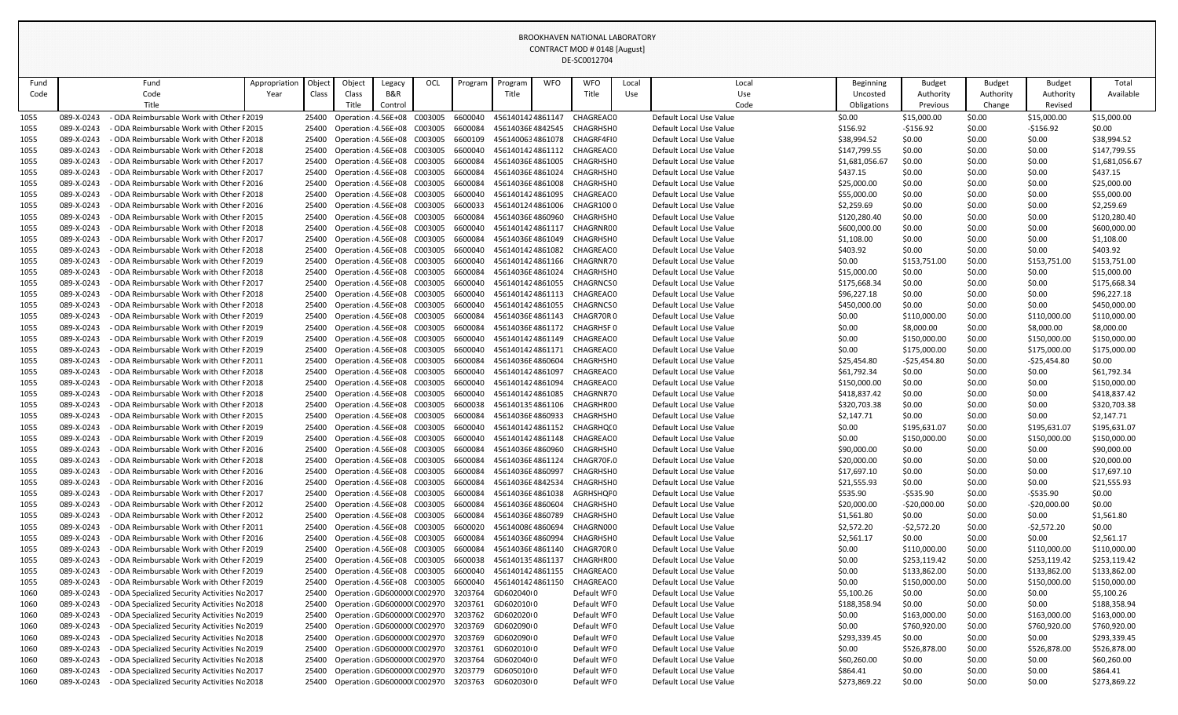| Fund         | Fund                                                                                           | Appropriation | Object         | Object                                                       | Legacy  | OCL | Program            | Program                              | <b>WFO</b> | <b>WFO</b>             | Local | Local                                              | <b>Beginning</b>        | <b>Budget</b>               | <b>Budget</b>    | <b>Budget</b>               | Total                      |
|--------------|------------------------------------------------------------------------------------------------|---------------|----------------|--------------------------------------------------------------|---------|-----|--------------------|--------------------------------------|------------|------------------------|-------|----------------------------------------------------|-------------------------|-----------------------------|------------------|-----------------------------|----------------------------|
| Code         | Code                                                                                           | Year          | Class          | Class                                                        | B&R     |     |                    | Title                                |            | Title                  | Use   | Use                                                | Uncosted                | Authority                   | Authority        | Authority                   | Available                  |
|              | Title                                                                                          |               |                | Title                                                        | Control |     |                    |                                      |            |                        |       | Code                                               | Obligations             | Previous                    | Change           | Revised                     |                            |
| 1055         | 089-X-0243<br>ODA Reimbursable Work with Other F2019                                           |               | 25400          | Operation : 4.56E+08 C003005                                 |         |     | 6600040            | 4561401424861147                     |            | CHAGREAC0              |       | Default Local Use Value                            | \$0.00                  | \$15,000.00                 | \$0.00           | \$15,000.00                 | \$15,000.00                |
| 1055         | 089-X-0243<br>ODA Reimbursable Work with Other F2015                                           |               | 25400          | Operation : 4.56E+08 C003005                                 |         |     | 6600084            | 45614036E4842545                     |            | CHAGRHSH0              |       | Default Local Use Value                            | \$156.92                | $-$156.92$                  | \$0.00           | $-5156.92$                  | \$0.00                     |
| 1055         | 089-X-0243<br>ODA Reimbursable Work with Other F2018                                           |               | 25400          | Operation : 4.56E+08 C003005                                 |         |     | 6600109            | 4561400634861078                     |            | CHAGRF4FI0             |       | Default Local Use Value                            | \$38,994.52             | \$0.00                      | \$0.00           | \$0.00                      | \$38,994.52                |
| 1055         | 089-X-0243<br>ODA Reimbursable Work with Other F2018                                           |               | 25400          | Operation : 4.56E+08 C003005                                 |         |     | 6600040            | 4561401424861112                     |            | CHAGREAC0              |       | Default Local Use Value                            | \$147,799.55            | \$0.00                      | \$0.00           | \$0.00                      | \$147,799.55               |
| 1055         | 089-X-0243<br>ODA Reimbursable Work with Other F2017                                           |               | 25400          | Operation : 4.56E+08 C003005                                 |         |     | 6600084            | 45614036E4861005                     |            | CHAGRHSH0              |       | Default Local Use Value                            | \$1,681,056.67          | \$0.00                      | \$0.00           | \$0.00                      | \$1,681,056.67             |
| 1055         | 089-X-0243<br>ODA Reimbursable Work with Other F2017                                           |               | 25400          | Operation : 4.56E+08 C003005                                 |         |     | 6600084            | 45614036E4861024                     |            | CHAGRHSH0              |       | Default Local Use Value                            | \$437.15                | \$0.00                      | \$0.00           | \$0.00                      | \$437.15                   |
| 1055         | 089-X-0243<br>ODA Reimbursable Work with Other F2016                                           |               | 25400          | Operation : 4.56E+08 C003005                                 |         |     | 6600084            | 45614036E4861008                     |            | CHAGRHSH0              |       | Default Local Use Value                            | \$25,000.00             | \$0.00                      | \$0.00           | \$0.00                      | \$25,000.00                |
| 1055         | 089-X-0243<br>ODA Reimbursable Work with Other F2018                                           |               | 25400          | Operation : 4.56E+08 C003005                                 |         |     | 6600040            | 4561401424861095                     |            | CHAGREAC 0             |       | Default Local Use Value                            | \$55,000.00             | \$0.00                      | \$0.00           | \$0.00                      | \$55,000.00                |
| 1055         | 089-X-0243<br>ODA Reimbursable Work with Other F2016                                           |               | 25400          | Operation : 4.56E+08 C003005                                 |         |     | 6600033            | 4561401244861006                     |            | CHAGR1000              |       | Default Local Use Value                            | \$2,259.69              | \$0.00                      | \$0.00           | \$0.00                      | \$2,259.69                 |
| 1055         | 089-X-0243<br>ODA Reimbursable Work with Other F2015                                           |               | 25400          | Operation : 4.56E+08 C003005<br>Operation : 4.56E+08 C003005 |         |     | 6600084            | 45614036E4860960                     |            | CHAGRHSH0              |       | Default Local Use Value<br>Default Local Use Value | \$120,280.40            | \$0.00                      | \$0.00           | \$0.00                      | \$120,280.40               |
| 1055         | 089-X-0243<br>ODA Reimbursable Work with Other F2018<br>089-X-0243                             |               | 25400<br>25400 | Operation : 4.56E+08 C003005                                 |         |     | 6600040<br>6600084 | 4561401424861117<br>45614036E4861049 |            | CHAGRNRC0<br>CHAGRHSH0 |       | Default Local Use Value                            | \$600,000.00            | \$0.00                      | \$0.00<br>\$0.00 | \$0.00<br>\$0.00            | \$600,000.00<br>\$1,108.00 |
| 1055<br>1055 | ODA Reimbursable Work with Other F2017<br>089-X-0243<br>ODA Reimbursable Work with Other F2018 |               | 25400          | Operation : 4.56E+08 C003005                                 |         |     | 6600040            | 4561401424861082                     |            | CHAGREAC 0             |       | Default Local Use Value                            | \$1,108.00<br>\$403.92  | \$0.00<br>\$0.00            | \$0.00           | \$0.00                      | \$403.92                   |
| 1055         | 089-X-0243<br>- ODA Reimbursable Work with Other F 2019                                        |               | 25400          | Operation : 4.56E+08 C003005                                 |         |     | 6600040            | 4561401424861166                     |            | CHAGRNR70              |       | Default Local Use Value                            | \$0.00                  | \$153,751.00                | \$0.00           | \$153,751.00                | \$153,751.00               |
| 1055         | 089-X-0243<br>ODA Reimbursable Work with Other F2018                                           |               | 25400          | Operation : 4.56E+08 C003005                                 |         |     | 6600084            | 45614036E4861024                     |            | CHAGRHSH0              |       | Default Local Use Value                            | \$15,000.00             | \$0.00                      | \$0.00           | \$0.00                      | \$15,000.00                |
| 1055         | 089-X-0243<br>ODA Reimbursable Work with Other F2017                                           |               | 25400          | Operation : 4.56E+08 C003005                                 |         |     | 6600040            | 4561401424861055                     |            | CHAGRNCS 0             |       | Default Local Use Value                            | \$175,668.34            | \$0.00                      | \$0.00           | \$0.00                      | \$175,668.34               |
| 1055         | 089-X-0243<br>ODA Reimbursable Work with Other F2018                                           |               | 25400          | Operation : 4.56E+08 C003005                                 |         |     | 6600040            | 4561401424861113                     |            | CHAGREAC0              |       | Default Local Use Value                            | \$96,227.18             | \$0.00                      | \$0.00           | \$0.00                      | \$96,227.18                |
| 1055         | 089-X-0243<br>ODA Reimbursable Work with Other F2018                                           |               | 25400          | Operation : 4.56E+08 C003005                                 |         |     | 6600040            | 4561401424861055                     |            | CHAGRNCS 0             |       | Default Local Use Value                            | \$450,000.00            | \$0.00                      | \$0.00           | \$0.00                      | \$450,000.00               |
| 1055         | 089-X-0243<br>ODA Reimbursable Work with Other F2019                                           |               | 25400          | Operation : 4.56E+08 C003005                                 |         |     | 6600084            | 45614036E4861143                     |            | CHAGR70R0              |       | Default Local Use Value                            | \$0.00                  | \$110,000.00                | \$0.00           | \$110,000.00                | \$110,000.00               |
| 1055         | 089-X-0243<br>ODA Reimbursable Work with Other F2019                                           |               | 25400          | Operation : 4.56E+08 C003005                                 |         |     | 6600084            | 45614036E4861172                     |            | <b>CHAGRHSF0</b>       |       | Default Local Use Value                            | \$0.00                  | \$8,000.00                  | \$0.00           | \$8,000.00                  | \$8,000.00                 |
| 1055         | 089-X-0243<br>ODA Reimbursable Work with Other F2019                                           |               | 25400          | Operation : 4.56E+08 C003005                                 |         |     | 6600040            | 4561401424861149                     |            | CHAGREAC0              |       | Default Local Use Value                            | \$0.00                  | \$150,000.00                | \$0.00           | \$150,000.00                | \$150,000.00               |
| 1055         | 089-X-0243<br>ODA Reimbursable Work with Other F2019                                           |               | 25400          | Operation : 4.56E+08 C003005                                 |         |     | 6600040            | 4561401424861171                     |            | CHAGREAC 0             |       | Default Local Use Value                            | \$0.00                  | \$175,000.00                | \$0.00           | \$175,000.00                | \$175,000.00               |
| 1055         | 089-X-0243<br>ODA Reimbursable Work with Other F2011                                           |               | 25400          | Operation : 4.56E+08 C003005                                 |         |     | 6600084            | 45614036E4860604                     |            | CHAGRHSH0              |       | Default Local Use Value                            | \$25,454.80             | -\$25,454.80                | \$0.00           | $-525,454.80$               | \$0.00                     |
| 1055         | 089-X-0243<br>ODA Reimbursable Work with Other F2018                                           |               | 25400          | Operation : 4.56E+08 C003005                                 |         |     | 6600040            | 4561401424861097                     |            | CHAGREAC0              |       | Default Local Use Value                            | \$61,792.34             | \$0.00                      | \$0.00           | \$0.00                      | \$61,792.34                |
| 1055         | 089-X-0243<br>ODA Reimbursable Work with Other F2018                                           |               | 25400          | Operation : 4.56E+08 C003005                                 |         |     | 6600040            | 4561401424861094                     |            | CHAGREAC0              |       | Default Local Use Value                            | \$150,000.00            | \$0.00                      | \$0.00           | \$0.00                      | \$150,000.00               |
| 1055         | 089-X-0243<br>ODA Reimbursable Work with Other F2018                                           |               | 25400          | Operation : 4.56E+08 C003005                                 |         |     | 6600040            | 4561401424861085                     |            | CHAGRNR70              |       | Default Local Use Value                            | \$418,837.42            | \$0.00                      | \$0.00           | \$0.00                      | \$418,837.42               |
| 1055         | 089-X-0243<br>- ODA Reimbursable Work with Other F 2018                                        |               | 25400          | Operation : 4.56E+08 C003005                                 |         |     | 6600038            | 4561401354861106                     |            | CHAGRHRC0              |       | Default Local Use Value                            | \$320,703.38            | \$0.00                      | \$0.00           | \$0.00                      | \$320,703.38               |
| 1055         | 089-X-0243<br>ODA Reimbursable Work with Other F2015                                           |               |                | Operation : 4.56E+08 C003005                                 |         |     | 6600084            | 45614036E4860933                     |            | CHAGRHSH0              |       | Default Local Use Value                            | \$2,147.71              | \$0.00                      | \$0.00           | \$0.00                      | \$2,147.71                 |
| 1055         | 089-X-0243<br>ODA Reimbursable Work with Other F2019                                           |               | 25400          | Operation : 4.56E+08 C003005                                 |         |     | 6600040            | 4561401424861152                     |            | CHAGRHQ(0              |       | Default Local Use Value                            | \$0.00                  | \$195,631.07                | \$0.00           | \$195,631.07                | \$195,631.07               |
| 1055         | 089-X-0243<br>ODA Reimbursable Work with Other F2019                                           |               | 25400          | Operation : 4.56E+08 C003005                                 |         |     | 6600040            | 4561401424861148                     |            | CHAGREAC0              |       | Default Local Use Value                            | \$0.00                  | \$150,000.00                | \$0.00           | \$150,000.00                | \$150,000.00               |
| 1055         | 089-X-0243<br>ODA Reimbursable Work with Other F2016                                           |               | 25400          | Operation : 4.56E+08 C003005                                 |         |     | 6600084            | 45614036E4860960                     |            | CHAGRHSH0              |       | Default Local Use Value                            | \$90,000.00             | \$0.00                      | \$0.00           | \$0.00                      | \$90,000.00                |
| 1055         | 089-X-0243<br>ODA Reimbursable Work with Other F2018                                           |               | 25400          | Operation : 4.56E+08 C003005                                 |         |     | 6600084            | 45614036E4861124                     |            | CHAGR70F.0             |       | Default Local Use Value                            | \$20,000.00             | \$0.00                      | \$0.00           | \$0.00                      | \$20,000.00                |
| 1055         | 089-X-0243<br>ODA Reimbursable Work with Other F2016                                           |               | 25400          | Operation : 4.56E+08 C003005                                 |         |     | 6600084            | 45614036E4860997                     |            | CHAGRHSH0              |       | Default Local Use Value                            | \$17,697.10             | \$0.00                      | \$0.00           | \$0.00                      | \$17,697.10                |
| 1055         | 089-X-0243<br>ODA Reimbursable Work with Other F2016<br>ODA Reimbursable Work with Other F2017 |               | 25400          | Operation : 4.56E+08 C003005                                 |         |     | 6600084            | 45614036E4842534                     |            | CHAGRHSH0              |       | Default Local Use Value                            | \$21,555.93             | \$0.00                      | \$0.00           | \$0.00                      | \$21,555.93                |
| 1055         | 089-X-0243<br>089-X-0243<br>ODA Reimbursable Work with Other F2012                             |               | 25400<br>25400 | Operation : 4.56E+08 C003005<br>Operation : 4.56E+08 C003005 |         |     | 6600084<br>6600084 | 45614036E4861038<br>45614036E4860604 |            | AGRHSHQF0<br>CHAGRHSH0 |       | Default Local Use Value<br>Default Local Use Value | \$535.90<br>\$20,000.00 | $-5535.90$<br>$-520,000.00$ | \$0.00<br>\$0.00 | $-5535.90$<br>$-$20,000.00$ | \$0.00<br>\$0.00           |
| 1055<br>1055 | 089-X-0243<br>- ODA Reimbursable Work with Other F2012                                         |               | 25400          | Operation : 4.56E+08 C003005                                 |         |     | 6600084            | 45614036E4860789                     |            | CHAGRHSH0              |       | Default Local Use Value                            | \$1,561.80              | \$0.00                      | \$0.00           | \$0.00                      | \$1,561.80                 |
| 1055         | 089-X-0243<br>ODA Reimbursable Work with Other F2011                                           |               | 25400          | Operation : 4.56E+08 C003005                                 |         |     | 6600020            | 4561400864860694                     |            | CHAGRN000              |       | Default Local Use Value                            | \$2,572.20              | $-52,572.20$                | \$0.00           | $-52,572.20$                | \$0.00                     |
| 1055         | 089-X-0243<br>ODA Reimbursable Work with Other F2016                                           |               | 25400          | Operation : 4.56E+08 C003005                                 |         |     | 6600084            | 45614036E4860994                     |            | CHAGRHSH0              |       | Default Local Use Value                            | \$2,561.17              | \$0.00                      | \$0.00           | \$0.00                      | \$2,561.17                 |
| 1055         | 089-X-0243<br>ODA Reimbursable Work with Other F2019                                           |               | 25400          | Operation : 4.56E+08 C003005                                 |         |     | 6600084            | 45614036E4861140                     |            | CHAGR70R0              |       | Default Local Use Value                            | \$0.00                  | \$110,000.00                | \$0.00           | \$110,000.00                | \$110,000.00               |
| 1055         | 089-X-0243<br>ODA Reimbursable Work with Other F2019                                           |               | 25400          | Operation : 4.56E+08 C003005                                 |         |     | 6600038            | 4561401354861137                     |            | CHAGRHR00              |       | Default Local Use Value                            | \$0.00                  | \$253,119.42                | \$0.00           | \$253,119.42                | \$253,119.42               |
| 1055         | 089-X-0243<br>ODA Reimbursable Work with Other F2019                                           |               | 25400          | Operation : 4.56E+08 C003005                                 |         |     | 6600040            | 4561401424861155                     |            | CHAGREAC0              |       | Default Local Use Value                            | \$0.00                  | \$133,862.00                | \$0.00           | \$133,862.00                | \$133,862.00               |
| 1055         | 089-X-0243<br>ODA Reimbursable Work with Other F2019                                           |               | 25400          | Operation : 4.56E+08 C003005                                 |         |     | 6600040            | 4561401424861150                     |            | CHAGREAC0              |       | Default Local Use Value                            | \$0.00                  | \$150,000.00                | \$0.00           | \$150,000.00                | \$150,000.00               |
| 1060         | 089-X-0243<br>ODA Specialized Security Activities Nc 2017                                      |               | 25400          | Operation : GD600000 C002970                                 |         |     | 3203764            | GD602040(0                           |            | Default WF0            |       | Default Local Use Value                            | \$5,100.26              | \$0.00                      | \$0.00           | \$0.00                      | \$5,100.26                 |
| 1060         | 089-X-0243<br>ODA Specialized Security Activities Nc 2018                                      |               | 25400          | Operation : GD600000 C002970                                 |         |     | 3203761            | GD602010(0                           |            | Default WF0            |       | Default Local Use Value                            | \$188,358.94            | \$0.00                      | \$0.00           | \$0.00                      | \$188,358.94               |
| 1060         | 089-X-0243<br>ODA Specialized Security Activities Nc 2019                                      |               | 25400          | Operation : GD600000 C002970                                 |         |     | 3203762            | GD602020(0                           |            | Default WF0            |       | Default Local Use Value                            | \$0.00                  | \$163,000.00                | \$0.00           | \$163,000.00                | \$163,000.00               |
| 1060         | 089-X-0243<br>ODA Specialized Security Activities Nc 2019                                      |               | 25400          | Operation : GD600000 C002970                                 |         |     | 3203769            | GD602090(0                           |            | Default WF0            |       | Default Local Use Value                            | \$0.00                  | \$760,920.00                | \$0.00           | \$760,920.00                | \$760,920.00               |
| 1060         | 089-X-0243<br>ODA Specialized Security Activities Nc 2018                                      |               | 25400          | Operation : GD600000 C002970                                 |         |     | 3203769            | GD602090(0                           |            | Default WF0            |       | Default Local Use Value                            | \$293,339.45            | \$0.00                      | \$0.00           | \$0.00                      | \$293,339.45               |
| 1060         | 089-X-0243<br>ODA Specialized Security Activities Nc 2019                                      |               | 25400          | Operation : GD600000 C002970                                 |         |     | 3203761            | GD602010(0                           |            | Default WF0            |       | Default Local Use Value                            | \$0.00                  | \$526,878.00                | \$0.00           | \$526,878.00                | \$526,878.00               |
| 1060         | 089-X-0243<br>ODA Specialized Security Activities Nc 2018                                      |               | 25400          | Operation : GD600000 C002970                                 |         |     | 3203764            | GD602040(0                           |            | Default WF0            |       | Default Local Use Value                            | \$60,260.00             | \$0.00                      | \$0.00           | \$0.00                      | \$60,260.00                |
| 1060         | 089-X-0243<br>ODA Specialized Security Activities Nc 2017                                      |               | 25400          | Operation : GD600000 C002970                                 |         |     | 3203779            | GD605010(0                           |            | Default WF0            |       | Default Local Use Value                            | \$864.41                | \$0.00                      | \$0.00           | \$0.00                      | \$864.41                   |
| 1060         | 089-X-0243<br>ODA Specialized Security Activities Nc 2018                                      |               | 25400          | Operation : GD600000 C002970                                 |         |     | 3203763            | GD602030(0                           |            | Default WF0            |       | Default Local Use Value                            | \$273,869.22            | \$0.00                      | \$0.00           | \$0.00                      | \$273,869.22               |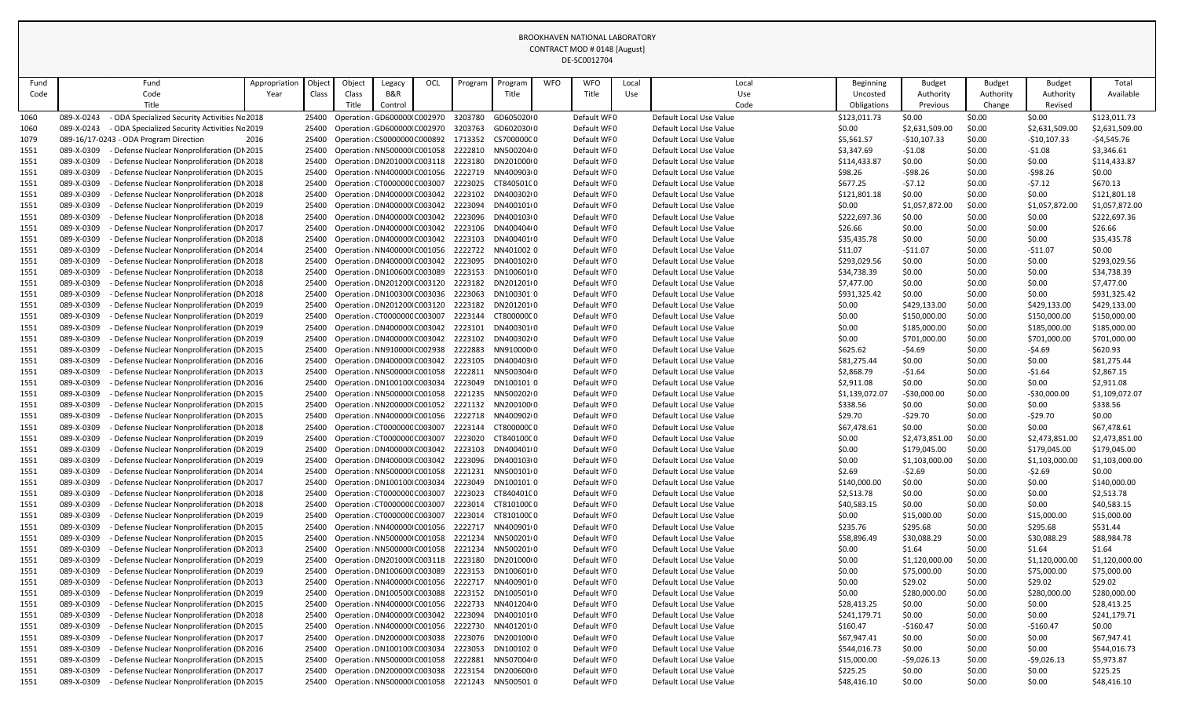|              |                                                                                                                    |               |                    |        |                                                              |     |                    |                          |            | DL-JCVVIZ704               |       |                                                    |                    |                    |                  |                          |                          |
|--------------|--------------------------------------------------------------------------------------------------------------------|---------------|--------------------|--------|--------------------------------------------------------------|-----|--------------------|--------------------------|------------|----------------------------|-------|----------------------------------------------------|--------------------|--------------------|------------------|--------------------------|--------------------------|
| Fund         | Fund                                                                                                               | Appropriation | Objec <sup>-</sup> | Object | Legacy                                                       | OCL | Program            | Program                  | <b>WFO</b> | <b>WFO</b>                 | Local | Local                                              | Beginning          | <b>Budget</b>      | <b>Budget</b>    | <b>Budget</b>            | Total                    |
| Code         | Code                                                                                                               | Year          | Class              | Class  | B&R                                                          |     |                    | Title                    |            | Title                      | Use   | Use                                                | Uncosted           | Authority          | Authority        | Authority                | Available                |
|              | Title                                                                                                              |               |                    | Title  | Control                                                      |     |                    |                          |            |                            |       | Code                                               | Obligations        | Previous           | Change           | Revised                  |                          |
| 1060         | 089-X-0243<br>ODA Specialized Security Activities Nc 2018                                                          |               | 25400              |        | Operation : GD6000001 C002970                                |     | 3203780            | GD605020(0               |            | Default WF0                |       | Default Local Use Value                            | \$123,011.73       | \$0.00             | \$0.00           | \$0.00                   | \$123,011.73             |
| 1060         | 089-X-0243<br>- ODA Specialized Security Activities Nc 2019                                                        |               | 25400              |        | Operation (GD600000(C002970                                  |     | 3203763            | GD602030(0               |            | Default WFO                |       | Default Local Use Value                            | \$0.00             | \$2,631,509.00     | \$0.00           | \$2,631,509.00           | \$2,631,509.00           |
| 1079         | 089-16/17-0243 - ODA Program Direction                                                                             | 2016          | 25400              |        | Operation : CS0000000 C000892                                |     | 1713352            | CS70000000               |            | Default WFO                |       | Default Local Use Value                            | \$5,561.57         | $-$10,107.33$      | \$0.00           | $-$10,107.33$            | $-54,545.76$             |
| 1551         | 089-X-0309<br>Defense Nuclear Nonproliferation (DN 2015                                                            |               | 25400              |        | Operation : NN500000 C001058                                 |     | 2222810            | NN500204(0               |            | Default WF0                |       | Default Local Use Value                            | \$3,347.69         | $-51.08$           | \$0.00           | $-51.08$                 | \$3,346.61               |
| 1551         | 089-X-0309<br>Defense Nuclear Nonproliferation (DN 2018                                                            |               | 25400              |        | Operation : DN201000 C003118                                 |     | 2223180            | DN201000(0               |            | Default WFO                |       | Default Local Use Value                            | \$114,433.87       | \$0.00             | \$0.00           | \$0.00                   | \$114,433.87             |
| 1551         | 089-X-0309<br>Defense Nuclear Nonproliferation (DN 2015                                                            |               | 25400              |        | Operation : NN400000 C001056                                 |     | 2222719            | NN400903(0               |            | Default WF0                |       | Default Local Use Value                            | \$98.26            | $-598.26$          | \$0.00           | $-598.26$                | \$0.00                   |
| 1551         | 089-X-0309<br>Defense Nuclear Nonproliferation (DN 2018                                                            |               | 25400              |        | Operation : CT000000C C003007                                |     | 2223025            | CT84050100               |            | Default WF0                |       | Default Local Use Value                            | \$677.25           | $-57.12$           | \$0.00           | $-57.12$                 | \$670.13                 |
| 1551         | 089-X-0309<br>Defense Nuclear Nonproliferation (DI 2018                                                            |               | 25400              |        | Operation : DN400000 C003042                                 |     | 2223102            | DN400302(0               |            | Default WFO                |       | Default Local Use Value                            | \$121,801.18       | \$0.00             | \$0.00           | \$0.00                   | \$121,801.18             |
| 1551         | 089-X-0309<br>Defense Nuclear Nonproliferation (DN 2019                                                            |               | 25400              |        | Operation : DN400000 C003042                                 |     | 2223094            | DN400101(0               |            | Default WF0                |       | Default Local Use Value                            | \$0.00             | \$1,057,872.00     | \$0.00           | \$1,057,872.00           | \$1,057,872.00           |
| 1551         | 089-X-0309<br>Defense Nuclear Nonproliferation (DN 2018                                                            |               | 25400              |        | Operation : DN400000 C003042                                 |     | 2223096            | DN400103(0               |            | Default WFO                |       | Default Local Use Value                            | \$222,697.36       | \$0.00             | \$0.00           | \$0.00                   | \$222,697.36             |
| 1551         | 089-X-0309<br>Defense Nuclear Nonproliferation (DN 2017                                                            |               | 25400              |        | Operation : DN400000 C003042                                 |     | 2223106            | DN400404(0               |            | Default WFO                |       | Default Local Use Value                            | \$26.66            | \$0.00             | \$0.00           | \$0.00                   | \$26.66                  |
| 1551         | 089-X-0309<br>Defense Nuclear Nonproliferation (DN 2018                                                            |               | 25400              |        | Operation : DN400000 C003042                                 |     | 2223103            | DN400401(0               |            | Default WF0                |       | Default Local Use Value                            | \$35,435.78        | \$0.00             | \$0.00           | \$0.00                   | \$35,435.78              |
| 1551         | 089-X-0309<br>Defense Nuclear Nonproliferation (DN 2014                                                            |               | 25400              |        | Operation : NN400000 C001056                                 |     | 2222722            | NN401002.0               |            | Default WFO                |       | Default Local Use Value                            | \$11.07            | $-511.07$          | \$0.00           | $-511.07$                | \$0.00                   |
| 1551         | 089-X-0309<br>Defense Nuclear Nonproliferation (DN 2018                                                            |               | 25400              |        | Operation : DN400000 C003042                                 |     | 2223095            | DN400102(0               |            | Default WF0                |       | Default Local Use Value                            | \$293,029.56       | \$0.00             | \$0.00           | \$0.00                   | \$293,029.56             |
| 1551         | 089-X-0309<br>Defense Nuclear Nonproliferation (DN 2018                                                            |               | 25400              |        | Operation : DN100600 (C003089                                |     | 2223153            | DN100601(0               |            | Default WFO                |       | Default Local Use Value                            | \$34,738.39        | \$0.00             | \$0.00           | \$0.00                   | \$34,738.39              |
| 1551         | 089-X-0309<br>Defense Nuclear Nonproliferation (DN 2018                                                            |               | 25400              |        | Operation : DN201200 C003120                                 |     | 2223182            | DN201201(0               |            | Default WF0                |       | Default Local Use Value                            | \$7,477.00         | \$0.00             | \$0.00           | \$0.00                   | \$7,477.00               |
| 1551         | 089-X-0309<br>Defense Nuclear Nonproliferation (DN 2018                                                            |               | 25400              |        | Operation : DN100300 C003036                                 |     | 2223063            | DN100301:0               |            | Default WFO                |       | Default Local Use Value                            | \$931,325.42       | \$0.00             | \$0.00           | \$0.00                   | \$931,325.42             |
| 1551         | 089-X-0309<br>Defense Nuclear Nonproliferation (DI 2019                                                            |               | 25400              |        | Operation : DN201200 C003120                                 |     | 2223182            | DN201201(0               |            | Default WFO                |       | Default Local Use Value                            | \$0.00             | \$429,133.00       | \$0.00           | \$429,133.00             | \$429,133.00             |
| 1551         | 089-X-0309<br>Defense Nuclear Nonproliferation (DN 2019                                                            |               | 25400              |        | Operation : CT000000C C003007                                |     | 2223144            | CT80000000               |            | Default WF0<br>Default WFO |       | Default Local Use Value<br>Default Local Use Value | \$0.00             | \$150,000.00       | \$0.00           | \$150,000.00             | \$150,000.00             |
| 1551         | 089-X-0309<br>Defense Nuclear Nonproliferation (DI 2019                                                            |               | 25400              |        | Operation : DN400000 C003042                                 |     | 2223101            | DN400301(0               |            |                            |       |                                                    | \$0.00             | \$185,000.00       | \$0.00           | \$185,000.00             | \$185,000.00             |
| 1551         | 089-X-0309<br>Defense Nuclear Nonproliferation (DN 2019<br>089-X-0309<br>Defense Nuclear Nonproliferation (DN 2015 |               | 25400              |        | Operation : DN400000 C003042                                 |     | 2223102<br>2222883 | DN400302(0<br>NN910000(0 |            | Default WF0<br>Default WFO |       | Default Local Use Value<br>Default Local Use Value | \$0.00<br>\$625.62 | \$701,000.00       | \$0.00           | \$701,000.00<br>$-54.69$ | \$701,000.00<br>\$620.93 |
| 1551<br>1551 | 089-X-0309<br>Defense Nuclear Nonproliferation (DN 2016                                                            |               | 25400<br>25400     |        | Operation : NN910000 C002938<br>Operation : DN400000 C003042 |     | 2223105            | DN400403(0               |            | Default WF0                |       | Default Local Use Value                            | \$81,275.44        | $-54.69$<br>\$0.00 | \$0.00<br>\$0.00 | \$0.00                   | \$81,275.44              |
| 1551         | 089-X-0309<br>Defense Nuclear Nonproliferation (DN 2013                                                            |               | 25400              |        | Operation : NN500000 C001058                                 |     | 2222811            | NN500304(0               |            | Default WF0                |       | Default Local Use Value                            | \$2,868.79         | $-51.64$           | \$0.00           | $-51.64$                 | \$2,867.15               |
| 1551         | 089-X-0309<br>Defense Nuclear Nonproliferation (DN 2016                                                            |               | 25400              |        | Operation : DN100100 C003034                                 |     | 2223049            | DN100101:0               |            | Default WFO                |       | Default Local Use Value                            | \$2,911.08         | \$0.00             | \$0.00           | \$0.00                   | \$2,911.08               |
| 1551         | 089-X-0309<br>Defense Nuclear Nonproliferation (DI 2015                                                            |               | 25400              |        | Operation : NN500000 C001058                                 |     | 2221235            | NN500202(0               |            | Default WF0                |       | Default Local Use Value                            | \$1,139,072.07     | $-530,000.00$      | \$0.00           | $-530,000.00$            | \$1,109,072.07           |
| 1551         | 089-X-0309<br>- Defense Nuclear Nonproliferation (DN 2015                                                          |               | 25400              |        | Operation : NN200000 C001052 2221132                         |     |                    | NN200100(0               |            | Default WF0                |       | Default Local Use Value                            | \$338.56           | \$0.00             | \$0.00           | \$0.00                   | \$338.56                 |
| 1551         | 089-X-0309<br>Defense Nuclear Nonproliferation (DN 2015                                                            |               | 25400              |        | Operation : NN400000 C001056                                 |     |                    | 2222718 NN400902I0       |            | Default WFO                |       | Default Local Use Value                            | \$29.70            | -\$29.70           | \$0.00           | $-529.70$                | \$0.00                   |
| 1551         | 089-X-0309<br>Defense Nuclear Nonproliferation (DN 2018                                                            |               | 25400              |        | Operation : CT000000C C003007                                |     | 2223144            | CT80000000               |            | Default WFO                |       | Default Local Use Value                            | \$67,478.61        | \$0.00             | \$0.00           | \$0.00                   | \$67,478.61              |
| 1551         | 089-X-0309<br>Defense Nuclear Nonproliferation (DN 2019                                                            |               | 25400              |        | Operation : CT000000C C003007                                |     | 2223020            | CT84010000               |            | Default WF0                |       | Default Local Use Value                            | \$0.00             | \$2,473,851.00     | \$0.00           | \$2,473,851.00           | \$2,473,851.00           |
| 1551         | 089-X-0309<br>Defense Nuclear Nonproliferation (DN 2019                                                            |               | 25400              |        | Operation : DN400000 C003042                                 |     | 2223103            | DN400401(0               |            | Default WFO                |       | Default Local Use Value                            | \$0.00             | \$179,045.00       | \$0.00           | \$179,045.00             | \$179,045.00             |
| 1551         | 089-X-0309<br>Defense Nuclear Nonproliferation (DN 2019                                                            |               | 25400              |        | Operation : DN400000 C003042                                 |     | 2223096            | DN400103(0               |            | Default WF0                |       | Default Local Use Value                            | \$0.00             | \$1,103,000.00     | \$0.00           | \$1,103,000.00           | \$1,103,000.00           |
| 1551         | Defense Nuclear Nonproliferation (DN 2014<br>089-X-0309                                                            |               | 25400              |        | Operation : NN500000 C001058                                 |     | 2221231            | NN500101(0               |            | Default WF0                |       | Default Local Use Value                            | \$2.69             | $-52.69$           | \$0.00           | $-52.69$                 | \$0.00                   |
| 1551         | 089-X-0309<br>Defense Nuclear Nonproliferation (DN 2017                                                            |               | 25400              |        | Operation : DN100100 C003034                                 |     |                    | 2223049 DN100101:0       |            | Default WF0                |       | Default Local Use Value                            | \$140,000.00       | \$0.00             | \$0.00           | \$0.00                   | \$140,000.00             |
| 1551         | 089-X-0309<br>Defense Nuclear Nonproliferation (DN 2018                                                            |               | 25400              |        | Operation : CT000000C C003007                                |     | 2223023            | CT84040100               |            | Default WF0                |       | Default Local Use Value                            | \$2,513.78         | \$0.00             | \$0.00           | \$0.00                   | \$2,513.78               |
| 1551         | 089-X-0309<br>Defense Nuclear Nonproliferation (DI 2018                                                            |               | 25400              |        | Operation : CT000000C C003007                                |     | 2223014            | CT81010000               |            | Default WF0                |       | Default Local Use Value                            | \$40,583.15        | \$0.00             | \$0.00           | \$0.00                   | \$40,583.15              |
| 1551         | 089-X-0309<br>Defense Nuclear Nonproliferation (DN 2019                                                            |               | 25400              |        | Operation : CT000000C C003007                                |     | 2223014            | CT81010000               |            | Default WF0                |       | Default Local Use Value                            | \$0.00             | \$15,000.00        | \$0.00           | \$15,000.00              | \$15,000.00              |
| 1551         | 089-X-0309<br>Defense Nuclear Nonproliferation (DN 2015                                                            |               | 25400              |        | Operation : NN400000 C001056                                 |     | 2222717            | NN400901(0               |            | Default WF0                |       | Default Local Use Value                            | \$235.76           | \$295.68           | \$0.00           | \$295.68                 | \$531.44                 |
| 1551         | 089-X-0309<br>Defense Nuclear Nonproliferation (DN 2015                                                            |               | 25400              |        | Operation : NN500000 C001058                                 |     | 2221234            | NN5002010                |            | Default WF0                |       | Default Local Use Value                            | \$58,896.49        | \$30,088.29        | \$0.00           | \$30,088.29              | \$88,984.78              |
| 1551         | 089-X-0309<br>Defense Nuclear Nonproliferation (DN 2013                                                            |               | 25400              |        | Operation : NN500000 C001058                                 |     | 2221234            | NN5002010                |            | Default WF0                |       | Default Local Use Value                            | \$0.00             | \$1.64             | \$0.00           | \$1.64                   | \$1.64                   |
| 1551         | 089-X-0309<br>Defense Nuclear Nonproliferation (DI 2019                                                            |               | 25400              |        | Operation : DN201000 C003118                                 |     | 2223180            | DN201000(0               |            | Default WF0                |       | Default Local Use Value                            | \$0.00             | \$1,120,000.00     | \$0.00           | \$1,120,000.00           | \$1,120,000.00           |
| 1551         | 089-X-0309<br>Defense Nuclear Nonproliferation (DN 2019                                                            |               | 25400              |        | Operation : DN100600 C003089                                 |     | 2223153            | DN100601(0               |            | Default WF0                |       | Default Local Use Value                            | \$0.00             | \$75,000.00        | \$0.00           | \$75,000.00              | \$75,000.00              |
| 1551         | 089-X-0309<br>Defense Nuclear Nonproliferation (DN 2013                                                            |               | 25400              |        | Operation : NN400000 C001056                                 |     | 2222717            | NN400901(0               |            | Default WFO                |       | Default Local Use Value                            | \$0.00             | \$29.02            | \$0.00           | \$29.02                  | \$29.02                  |
| 1551         | 089-X-0309<br>Defense Nuclear Nonproliferation (DN 2019                                                            |               | 25400              |        | Operation : DN100500 C003088                                 |     | 2223152            | DN100501(0               |            | Default WF0                |       | Default Local Use Value                            | \$0.00             | \$280,000.00       | \$0.00           | \$280,000.00             | \$280,000.00             |
| 1551         | 089-X-0309<br>Defense Nuclear Nonproliferation (DN 2015                                                            |               | 25400              |        | Operation : NN400000 C001056                                 |     | 2222733            | NN401204(0               |            | Default WF0                |       | Default Local Use Value                            | \$28,413.25        | \$0.00             | \$0.00           | \$0.00                   | \$28,413.25              |
| 1551         | 089-X-0309<br>Defense Nuclear Nonproliferation (DN 2018                                                            |               | 25400              |        | Operation : DN400000 C003042                                 |     | 2223094            | DN400101(0               |            | Default WF0                |       | Default Local Use Value                            | \$241,179.71       | \$0.00             | \$0.00           | \$0.00                   | \$241,179.71             |
| 1551         | 089-X-0309<br>Defense Nuclear Nonproliferation (DN 2015                                                            |               | 25400              |        | Operation : NN400000 C001056                                 |     | 2222730            | NN401201(0               |            | Default WF0                |       | Default Local Use Value                            | \$160.47           | $-$160.47$         | \$0.00           | $-$160.47$               | \$0.00                   |
| 1551         | 089-X-0309<br>Defense Nuclear Nonproliferation (DI 2017                                                            |               | 25400              |        | Operation : DN200000 C003038                                 |     | 2223076            | DN200100(0               |            | Default WFO                |       | Default Local Use Value                            | \$67,947.41        | \$0.00             | \$0.00           | \$0.00                   | \$67,947.41              |
| 1551         | 089-X-0309<br>Defense Nuclear Nonproliferation (DN 2016                                                            |               | 25400              |        | Operation : DN100100 C003034                                 |     | 2223053            | DN100102:0               |            | Default WF0                |       | Default Local Use Value                            | \$544,016.73       | \$0.00             | \$0.00           | \$0.00                   | \$544,016.73             |
| 1551         | 089-X-0309<br>Defense Nuclear Nonproliferation (DN 2015                                                            |               | 25400              |        | Operation : NN500000 C001058                                 |     | 2222881            | NN507004(0               |            | Default WF0                |       | Default Local Use Value                            | \$15,000.00        | $-59,026.13$       | \$0.00           | $-59,026.13$             | \$5,973.87               |
| 1551         | 089-X-0309<br>Defense Nuclear Nonproliferation (DI 2017                                                            |               | 25400              |        | Operation : DN200000 C003038                                 |     | 2223154            | DN200600(0               |            | Default WF0                |       | Default Local Use Value                            | \$225.25           | \$0.00             | \$0.00           | \$0.00                   | \$225.25                 |
| 1551         | Defense Nuclear Nonproliferation (DN 2015<br>089-X-0309                                                            |               | 25400              |        | Operation : NN500000 C001058                                 |     | 2221243            | NN500501:0               |            | Default WFO                |       | Default Local Use Value                            | \$48,416.10        | \$0.00             | \$0.00           | \$0.00                   | \$48,416.10              |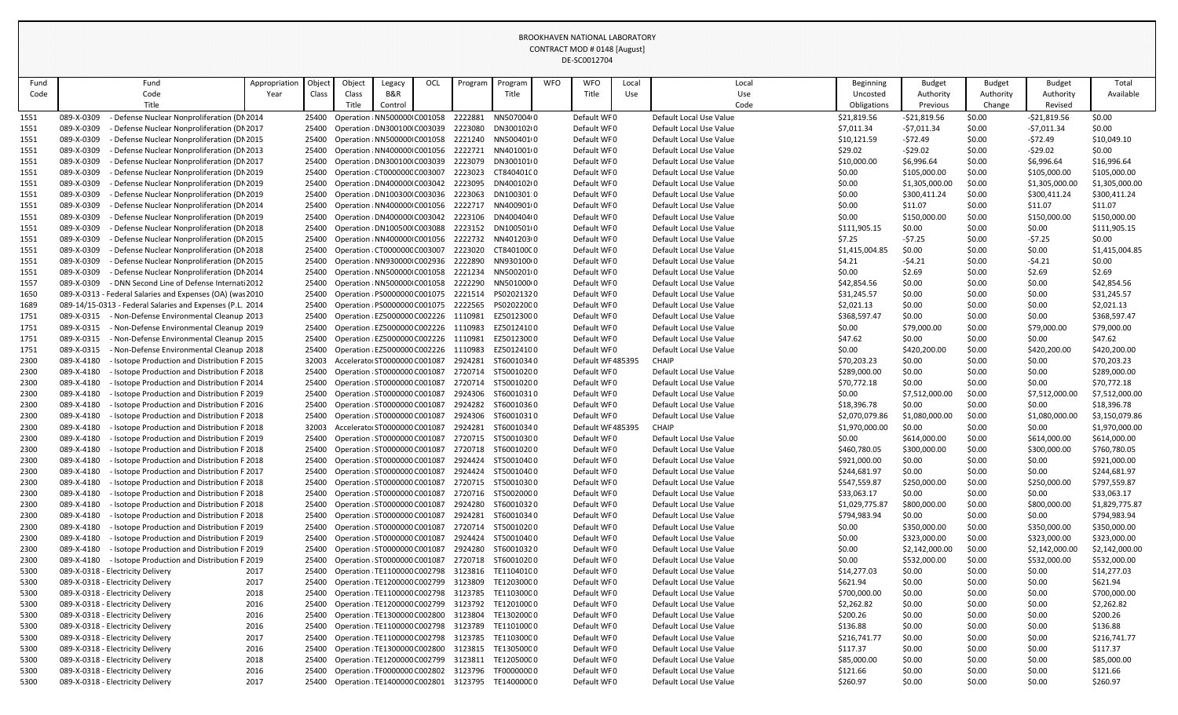| Fund | Fund                                                       | Appropriation | <b>Object</b> | Object | Legacy                        | OCL | Program | Program                                               | <b>WFO</b> | <b>WFO</b>       | Local | Local                   | <b>Beginning</b> | <b>Budget</b>  | <b>Budget</b> | <b>Budget</b>  | Total          |
|------|------------------------------------------------------------|---------------|---------------|--------|-------------------------------|-----|---------|-------------------------------------------------------|------------|------------------|-------|-------------------------|------------------|----------------|---------------|----------------|----------------|
| Code | Code                                                       | Year          | Class         | Class  | B&R                           |     |         | Title                                                 |            | Title            | Use   | Use                     | Uncosted         | Authority      | Authority     | Authority      | Available      |
|      | Title                                                      |               |               | Title  | Control                       |     |         |                                                       |            |                  |       | Code                    | Obligations      | Previous       | Change        | Revised        |                |
| 1551 | Defense Nuclear Nonproliferation (DN 2014<br>089-X-0309    |               | 25400         |        | Operation : NN500000 C001058  |     | 2222881 | NN507004(0                                            |            | Default WF0      |       | Default Local Use Value | \$21,819.56      | $-521,819.56$  | \$0.00        | $-521,819.56$  | \$0.00         |
| 1551 | 089-X-0309<br>Defense Nuclear Nonproliferation (DN 2017    |               | 25400         |        | Operation : DN300100 C003039  |     | 2223080 | DN300102(0                                            |            | Default WF0      |       | Default Local Use Value | \$7,011.34       | $-57,011.34$   | \$0.00        | $-57,011.34$   | \$0.00         |
| 1551 | 089-X-0309<br>Defense Nuclear Nonproliferation (DN 2015    |               | 25400         |        | Operation : NN500000 C001058  |     | 2221240 | NN500401(0                                            |            | Default WF0      |       | Default Local Use Value | \$10,121.59      | -\$72.49       | \$0.00        | -\$72.49       | \$10,049.10    |
| 1551 | 089-X-0309<br>Defense Nuclear Nonproliferation (DN 2013    |               | 25400         |        | Operation : NN400000 C001056  |     | 2222721 | NN401001(0                                            |            | Default WF0      |       | Default Local Use Value | \$29.02          | $-529.02$      | \$0.00        | -\$29.02       | \$0.00         |
| 1551 | 089-X-0309<br>Defense Nuclear Nonproliferation (DN 2017    |               | 25400         |        | Operation : DN300100 C003039  |     | 2223079 | DN300101(0                                            |            | Default WF0      |       | Default Local Use Value | \$10,000.00      | \$6,996.64     | \$0.00        | \$6,996.64     | \$16,996.64    |
| 1551 | 089-X-0309<br>Defense Nuclear Nonproliferation (DN 2019    |               | 25400         |        | Operation : CT000000C C003007 |     | 2223023 | CT84040100                                            |            | Default WF0      |       | Default Local Use Value | \$0.00           | \$105,000.00   | \$0.00        | \$105,000.00   | \$105,000.00   |
| 1551 | 089-X-0309<br>Defense Nuclear Nonproliferation (DN 2019    |               | 25400         |        | Operation : DN400000 C003042  |     | 2223095 | DN400102(C                                            |            | Default WF0      |       | Default Local Use Value | \$0.00           | \$1,305,000.00 | \$0.00        | \$1,305,000.00 | \$1,305,000.00 |
| 1551 | 089-X-0309<br>Defense Nuclear Nonproliferation (DN 2019    |               | 25400         |        | Operation : DN100300 C003036  |     | 2223063 | DN100301:0                                            |            | Default WF0      |       | Default Local Use Value | \$0.00           | \$300,411.24   | \$0.00        | \$300,411.24   | \$300,411.24   |
| 1551 | 089-X-0309<br>Defense Nuclear Nonproliferation (DN 2014    |               | 25400         |        | Operation : NN400000 C001056  |     | 2222717 | NN400901(0                                            |            | Default WF0      |       | Default Local Use Value | \$0.00           | \$11.07        | \$0.00        | \$11.07        | \$11.07        |
| 1551 | 089-X-0309<br>Defense Nuclear Nonproliferation (DN 2019    |               | 25400         |        | Operation : DN400000 C003042  |     | 2223106 | DN400404(0                                            |            | Default WF0      |       | Default Local Use Value | \$0.00           | \$150,000.00   | \$0.00        | \$150,000.00   | \$150,000.00   |
| 1551 | 089-X-0309<br>Defense Nuclear Nonproliferation (DN 2018    |               | 25400         |        | Operation : DN100500 C003088  |     | 2223152 | DN100501(0                                            |            | Default WF0      |       | Default Local Use Value | \$111,905.15     | \$0.00         | \$0.00        | \$0.00         | \$111,905.15   |
| 1551 | 089-X-0309<br>Defense Nuclear Nonproliferation (DN 2015    |               | 25400         |        | Operation: NN400000 C001056   |     | 2222732 | NN401203(C                                            |            | Default WF0      |       | Default Local Use Value | \$7.25           | $-57.25$       | \$0.00        | $-57.25$       | \$0.00         |
| 1551 | 089-X-0309<br>Defense Nuclear Nonproliferation (DN 2018    |               | 25400         |        | Operation : CT000000C C003007 |     | 2223020 | CT84010000                                            |            | Default WF0      |       | Default Local Use Value | \$1,415,004.85   | \$0.00         | \$0.00        | \$0.00         | \$1,415,004.85 |
| 1551 | 089-X-0309<br>Defense Nuclear Nonproliferation (DN 2015    |               | 25400         |        | Operation : NN930000 C002936  |     | 2222890 | NN930100(0                                            |            | Default WF0      |       | Default Local Use Value | \$4.21           | $-54.21$       | \$0.00        | $-54.21$       | \$0.00         |
| 1551 | 089-X-0309<br>Defense Nuclear Nonproliferation (DN 2014    |               | 25400         |        | Operation : NN500000 C001058  |     | 2221234 | NN5002010                                             |            | Default WF0      |       | Default Local Use Value | \$0.00           | \$2.69         | \$0.00        | \$2.69         | \$2.69         |
| 1557 | 089-X-0309<br>DNN Second Line of Defense Internati 2012    |               | 25400         |        | Operation : NN500000 C001058  |     | 2222290 | NN501000(C                                            |            | Default WF0      |       | Default Local Use Value | \$42,854.56      | \$0.00         | \$0.00        | \$0.00         | \$42,854.56    |
| 1650 | 089-X-0313 - Federal Salaries and Expenses (OA) (was 2010  |               | 25400         |        | Operation : PS0000000 C001075 |     | 2221514 | PS02021320                                            |            | Default WF0      |       | Default Local Use Value | \$31,245.57      | \$0.00         | \$0.00        | \$0.00         | \$31,245.57    |
| 1689 | 089-14/15-0313 - Federal Salaries and Expenses (P.L. 2014  |               | 25400         |        | Operation : PS0000000 C001075 |     | 2222565 | PS02022000                                            |            | Default WF0      |       | Default Local Use Value | \$2,021.13       | \$0.00         | \$0.00        | \$0.00         | \$2,021.13     |
| 1751 | 089-X-0315<br>Non-Defense Environmental Cleanup 2013       |               | 25400         |        | Operation : EZ5000000 C002226 |     | 1110981 | EZ50123000                                            |            | Default WF0      |       | Default Local Use Value | \$368,597.47     | \$0.00         | \$0.00        | \$0.00         | \$368,597.47   |
| 1751 | 089-X-0315<br>Non-Defense Environmental Cleanup 2019       |               | 25400         |        | Operation : EZ5000000 C002226 |     | 1110983 | EZ50124100                                            |            | Default WF0      |       | Default Local Use Value | \$0.00           | \$79,000.00    | \$0.00        | \$79,000.00    | \$79,000.00    |
| 1751 | 089-X-0315<br>Non-Defense Environmental Cleanup 2015       |               | 25400         |        | Operation : EZ5000000 C002226 |     | 1110981 | EZ50123000                                            |            | Default WF0      |       | Default Local Use Value | \$47.62          | \$0.00         | \$0.00        | \$0.00         | \$47.62        |
| 1751 | 089-X-0315<br>Non-Defense Environmental Cleanup 2018       |               | 25400         |        | Operation : EZ5000000 C002226 |     | 1110983 | EZ50124100                                            |            | Default WF0      |       | Default Local Use Value | \$0.00           | \$420,200.00   | \$0.00        | \$420,200.00   | \$420,200.00   |
| 2300 | 089-X-4180<br>Isotope Production and Distribution F 2015   |               | 32003         |        | Accelerator ST0000000 C001087 |     | 2924281 | ST60010340                                            |            | Default WF485395 |       | <b>CHAIP</b>            | \$70,203.23      | \$0.00         | \$0.00        | \$0.00         | \$70,203.23    |
| 2300 | 089-X-4180<br>Isotope Production and Distribution F 2018   |               | 25400         |        | Operation : ST0000000 C001087 |     | 2720714 | ST5001020C                                            |            | Default WF0      |       | Default Local Use Value | \$289,000.00     | \$0.00         | \$0.00        | \$0.00         | \$289,000.00   |
| 2300 | 089-X-4180<br>Isotope Production and Distribution F 2014   |               | 25400         |        | Operation : ST0000000 C001087 |     | 2720714 | ST50010200                                            |            | Default WF0      |       | Default Local Use Value | \$70,772.18      | \$0.00         | \$0.00        | \$0.00         | \$70,772.18    |
| 2300 | 089-X-4180<br>Isotope Production and Distribution F 2019   |               | 25400         |        | Operation : ST0000000 C001087 |     | 2924306 | ST60010310                                            |            | Default WF0      |       | Default Local Use Value | \$0.00           | \$7,512,000.00 | \$0.00        | \$7,512,000.00 | \$7,512,000.00 |
| 2300 | 089-X-4180<br>Isotope Production and Distribution F 2016   |               | 25400         |        | Operation : ST0000000 C001087 |     | 2924282 | ST6001036 (                                           |            | Default WF0      |       | Default Local Use Value | \$18,396.78      | \$0.00         | \$0.00        | \$0.00         | \$18,396.78    |
| 2300 | 089-X-4180<br>Isotope Production and Distribution F 2018   |               | 25400         |        | Operation : ST0000000 C001087 |     | 2924306 | ST60010310                                            |            | Default WF0      |       | Default Local Use Value | \$2,070,079.86   | \$1,080,000.00 | \$0.00        | \$1,080,000.00 | \$3,150,079.86 |
| 2300 | 089-X-4180<br>Isotope Production and Distribution F 2018   |               | 32003         |        | Accelerato: ST0000000 C001087 |     | 2924281 | ST60010340                                            |            | Default WF485395 |       | CHAIP                   | \$1,970,000.00   | \$0.00         | \$0.00        | \$0.00         | \$1,970,000.00 |
| 2300 | 089-X-4180<br>Isotope Production and Distribution F 2019   |               | 25400         |        | Operation : ST0000000 C001087 |     |         | 2720715 ST50010300                                    |            | Default WF0      |       | Default Local Use Value | \$0.00           | \$614,000.00   | \$0.00        | \$614,000.00   | \$614,000.00   |
| 2300 | 089-X-4180<br>Isotope Production and Distribution F 2018   |               | 25400         |        | Operation : ST0000000 C001087 |     | 2720718 | ST60010200                                            |            | Default WF0      |       | Default Local Use Value | \$460,780.05     | \$300,000.00   | \$0.00        | \$300,000.00   | \$760,780.05   |
| 2300 | 089-X-4180<br>Isotope Production and Distribution F 2018   |               | 25400         |        | Operation : ST0000000 C001087 |     | 2924424 | ST50010400                                            |            | Default WF0      |       | Default Local Use Value | \$921,000.00     | \$0.00         | \$0.00        | \$0.00         | \$921,000.00   |
| 2300 | 089-X-4180<br>Isotope Production and Distribution F 2017   |               | 25400         |        | Operation : ST0000000 C001087 |     | 2924424 | ST50010400                                            |            | Default WF0      |       | Default Local Use Value | \$244,681.97     | \$0.00         | \$0.00        | \$0.00         | \$244,681.97   |
| 2300 | 089-X-4180<br>Isotope Production and Distribution F 2018   |               | 25400         |        | Operation : ST0000000 C001087 |     | 2720715 | ST50010300                                            |            | Default WF0      |       | Default Local Use Value | \$547,559.87     | \$250,000.00   | \$0.00        | \$250,000.00   | \$797,559.87   |
| 2300 | 089-X-4180<br>Isotope Production and Distribution F 2018   |               | 25400         |        | Operation : ST0000000 C001087 |     |         | 2720716 ST50020000                                    |            | Default WF0      |       | Default Local Use Value | \$33,063.17      | \$0.00         | \$0.00        | \$0.00         | \$33,063.17    |
| 2300 | 089-X-4180<br>Isotope Production and Distribution F 2018   |               | 25400         |        | Operation : ST0000000 C001087 |     | 2924280 | ST60010320                                            |            | Default WF0      |       | Default Local Use Value | \$1,029,775.87   | \$800,000.00   | \$0.00        | \$800,000.00   | \$1,829,775.87 |
| 2300 | 089-X-4180<br>Isotope Production and Distribution F 2018   |               | 25400         |        | Operation : ST0000000 C001087 |     | 2924281 | ST60010340                                            |            | Default WF0      |       | Default Local Use Value | \$794,983.94     | \$0.00         | \$0.00        | \$0.00         | \$794,983.94   |
| 2300 | 089-X-4180<br>Isotope Production and Distribution F 2019   |               | 25400         |        | Operation : ST0000000 C001087 |     | 2720714 | ST50010200                                            |            | Default WF0      |       | Default Local Use Value | \$0.00           | \$350,000.00   | \$0.00        | \$350,000.00   | \$350,000.00   |
| 2300 | 089-X-4180<br>Isotope Production and Distribution F 2019   |               | 25400         |        | Operation : ST0000000 C001087 |     | 2924424 | ST50010400                                            |            | Default WF0      |       | Default Local Use Value | \$0.00           | \$323,000.00   | \$0.00        | \$323,000.00   | \$323,000.00   |
| 2300 | 089-X-4180<br>Isotope Production and Distribution F 2019   |               | 25400         |        | Operation : ST0000000 C001087 |     | 2924280 | ST60010320                                            |            | Default WF0      |       | Default Local Use Value | \$0.00           | \$2,142,000.00 | \$0.00        | \$2,142,000.00 | \$2,142,000.00 |
| 2300 | 089-X-4180<br>- Isotope Production and Distribution F 2019 |               | 25400         |        | Operation : ST0000000 C001087 |     | 2720718 | ST60010200                                            |            | Default WF0      |       | Default Local Use Value | \$0.00           | \$532,000.00   | \$0.00        | \$532,000.00   | \$532,000.00   |
| 5300 | 089-X-0318 - Electricity Delivery                          | 2017          | 25400         |        | Operation : TE1100000 C002798 |     | 3123816 | TE11040100                                            |            | Default WF0      |       | Default Local Use Value | \$14,277.03      | \$0.00         | \$0.00        | \$0.00         | \$14,277.03    |
| 5300 | 089-X-0318 - Electricity Delivery                          | 2017          | 25400         |        | Operation : TE1200000 C002799 |     | 3123809 | TE12030000                                            |            | Default WF0      |       | Default Local Use Value | \$621.94         | \$0.00         | \$0.00        | \$0.00         | \$621.94       |
| 5300 | 089-X-0318 - Electricity Delivery                          | 2018          | 25400         |        | Operation : TE1100000 C002798 |     | 3123785 | TE11030000                                            |            | Default WF0      |       | Default Local Use Value | \$700,000.00     | \$0.00         | \$0.00        | \$0.00         | \$700,000.00   |
| 5300 | 089-X-0318 - Electricity Delivery                          | 2016          | 25400         |        | Operation : TE1200000 C002799 |     | 3123792 | TE12010000                                            |            | Default WF0      |       | Default Local Use Value | \$2,262.82       | \$0.00         | \$0.00        | \$0.00         | \$2,262.82     |
| 5300 | 089-X-0318 - Electricity Delivery                          | 2016          | 25400         |        | Operation : TE1300000 C002800 |     | 3123804 | TE13020000                                            |            | Default WF0      |       | Default Local Use Value | \$200.26         | \$0.00         | \$0.00        | \$0.00         | \$200.26       |
| 5300 | 089-X-0318 - Electricity Delivery                          | 2016          | 25400         |        | Operation : TE1100000 C002798 |     | 3123789 | TE11010000                                            |            | Default WF0      |       | Default Local Use Value | \$136.88         | \$0.00         | \$0.00        | \$0.00         | \$136.88       |
| 5300 | 089-X-0318 - Electricity Delivery                          | 2017          | 25400         |        | Operation : TE1100000 C002798 |     | 3123785 | TE11030000                                            |            | Default WF0      |       | Default Local Use Value | \$216,741.77     | \$0.00         | \$0.00        | \$0.00         | \$216,741.77   |
| 5300 | 089-X-0318 - Electricity Delivery                          | 2016          | 25400         |        | Operation : TE1300000 C002800 |     | 3123815 | TE13050000                                            |            | Default WF0      |       | Default Local Use Value | \$117.37         | \$0.00         | \$0.00        | \$0.00         | \$117.37       |
| 5300 | 089-X-0318 - Electricity Delivery                          | 2018          | 25400         |        | Operation : TE1200000 C002799 |     | 3123811 | TE12050000                                            |            | Default WF0      |       | Default Local Use Value | \$85,000.00      | \$0.00         | \$0.00        | \$0.00         | \$85,000.00    |
| 5300 | 089-X-0318 - Electricity Delivery                          | 2016          | 25400         |        | Operation : TF0000000 C002802 |     | 3123796 | TF00000000                                            |            | Default WF0      |       | Default Local Use Value | \$121.66         | \$0.00         | \$0.00        | \$0.00         | \$121.66       |
| 5300 | 089-X-0318 - Electricity Delivery                          | 2017          |               |        |                               |     |         | 25400 Operation: TE1400000 C002801 3123795 TE14000000 |            | Default WF0      |       | Default Local Use Value | \$260.97         | \$0.00         | \$0.00        | \$0.00         | \$260.97       |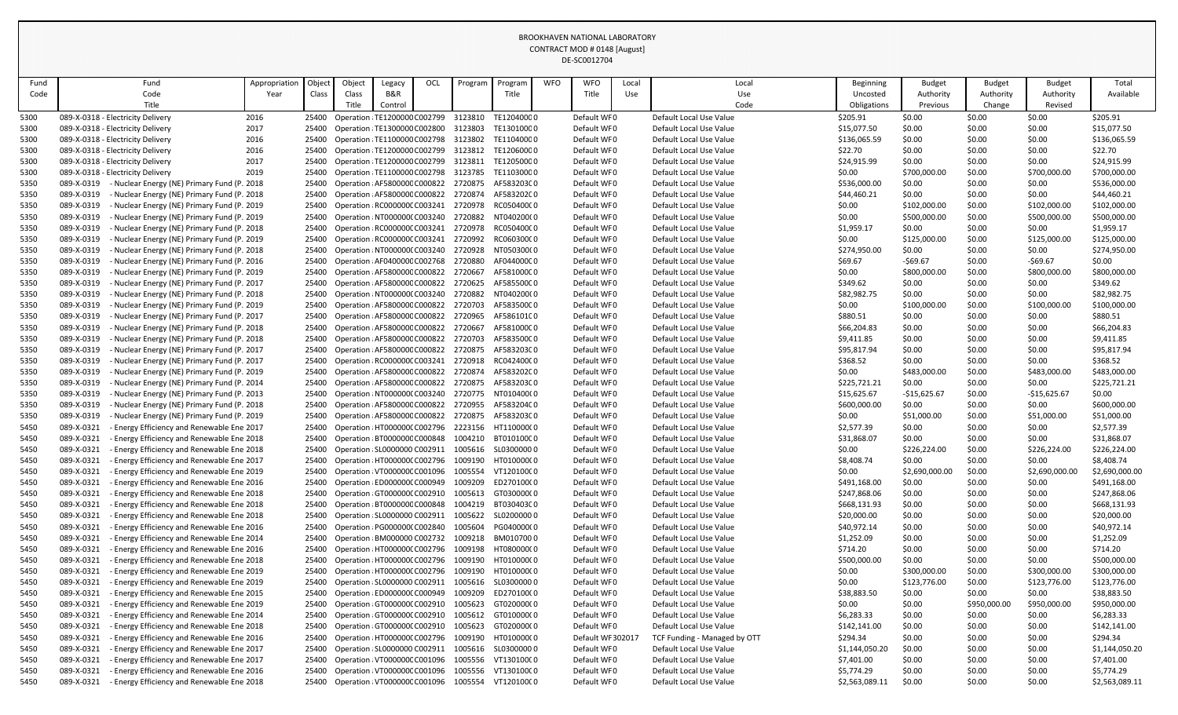|      |                                                           |               |       |                               |                               |     |         |            |            | PL JCOULLIU-      |       |                              |                  |                |               |                |                |
|------|-----------------------------------------------------------|---------------|-------|-------------------------------|-------------------------------|-----|---------|------------|------------|-------------------|-------|------------------------------|------------------|----------------|---------------|----------------|----------------|
| Fund | Fund                                                      | Appropriation | Objec | Object                        | Legacy                        | OCL | Program | Progran    | <b>WFO</b> | <b>WFO</b>        | Local | Local                        | <b>Beginning</b> | <b>Budget</b>  | <b>Budget</b> | <b>Budget</b>  | Total          |
| Code | Code                                                      | Year          | Class | Class                         | B&R                           |     |         | Title      |            | Title             | Use   | Use                          | Uncosted         | Authority      | Authority     | Authority      | Available      |
|      | Title                                                     |               |       | Title                         | Control                       |     |         |            |            |                   |       | Code                         | Obligations      | Previous       | Change        | Revised        |                |
| 5300 | 089-X-0318 - Electricity Delivery                         | 2016          | 25400 | Operation : TE1200000 C002799 |                               |     | 3123810 | TE12040000 |            | Default WF0       |       | Default Local Use Value      | \$205.91         | \$0.00         | \$0.00        | \$0.00         | \$205.91       |
| 5300 | 089-X-0318 - Electricity Delivery                         | 2017          | 25400 | Operation : TE1300000 C002800 |                               |     | 3123803 | TE13010000 |            | Default WF0       |       | Default Local Use Value      | \$15,077.50      | \$0.00         | \$0.00        | \$0.00         | \$15,077.50    |
| 5300 | 089-X-0318 - Electricity Delivery                         | 2016          | 25400 | Operation : TE1100000 C002798 |                               |     | 3123802 | TE11040000 |            | Default WF0       |       | Default Local Use Value      | \$136,065.59     | \$0.00         | \$0.00        | \$0.00         | \$136,065.59   |
| 5300 | 089-X-0318 - Electricity Delivery                         | 2016          | 25400 | Operation : TE1200000 C002799 |                               |     | 3123812 | TE12060000 |            | Default WF0       |       | Default Local Use Value      | \$22.70          | \$0.00         | \$0.00        | \$0.00         | \$22.70        |
| 5300 | 089-X-0318 - Electricity Delivery                         | 2017          | 25400 | Operation : TE1200000 C002799 |                               |     | 3123811 | TE12050000 |            | Default WF0       |       | Default Local Use Value      | \$24,915.99      | \$0.00         | \$0.00        | \$0.00         | \$24,915.99    |
| 5300 | 089-X-0318 - Electricity Delivery                         | 2019          | 25400 | Operation : TE1100000 C002798 |                               |     | 3123785 | TE11030000 |            | Default WF0       |       | Default Local Use Value      | \$0.00           | \$700,000.00   | \$0.00        | \$700,000.00   | \$700,000.00   |
| 5350 | 089-X-0319<br>- Nuclear Energy (NE) Primary Fund (P. 2018 |               | 25400 | Operation : AF580000C C000822 |                               |     | 2720875 | AF58320300 |            | Default WF0       |       | Default Local Use Value      | \$536,000.00     | \$0.00         | \$0.00        | \$0.00         | \$536,000.00   |
| 5350 | 089-X-0319<br>- Nuclear Energy (NE) Primary Fund (P. 2018 |               | 25400 |                               | Operation : AF580000C C000822 |     | 2720874 | AF58320200 |            | Default WF0       |       | Default Local Use Value      | \$44,460.21      | \$0.00         | \$0.00        | \$0.00         | \$44,460.21    |
| 5350 | 089-X-0319<br>Nuclear Energy (NE) Primary Fund (P. 2019   |               | 25400 | Operation : RC000000C C003241 |                               |     | 2720978 | RC05040000 |            | Default WF0       |       | Default Local Use Value      | \$0.00           | \$102,000.00   | \$0.00        | \$102,000.00   | \$102,000.00   |
| 5350 | 089-X-0319<br>- Nuclear Energy (NE) Primary Fund (P. 2019 |               | 25400 | Operation : NT000000(C003240  |                               |     | 2720882 | NT040200(0 |            | Default WF0       |       | Default Local Use Value      | \$0.00           | \$500,000.00   | \$0.00        | \$500,000.00   | \$500,000.00   |
| 5350 | 089-X-0319<br>Nuclear Energy (NE) Primary Fund (P. 2018   |               | 25400 | Operation : RC000000C C003241 |                               |     | 2720978 | RC05040000 |            | Default WF0       |       | Default Local Use Value      | \$1,959.17       | \$0.00         | \$0.00        | \$0.00         | \$1,959.17     |
| 5350 | 089-X-0319<br>Nuclear Energy (NE) Primary Fund (P. 2019   |               | 25400 | Operation : RC000000C C003241 |                               |     | 2720992 | RC06030000 |            | Default WF0       |       | Default Local Use Value      | \$0.00           | \$125,000.00   | \$0.00        | \$125,000.00   | \$125,000.00   |
| 5350 | 089-X-0319<br>Nuclear Energy (NE) Primary Fund (P. 2018   |               | 25400 | Operation : NT0000000 C003240 |                               |     | 2720928 | NT050300(0 |            | Default WF0       |       | Default Local Use Value      | \$274,950.00     | \$0.00         | \$0.00        | \$0.00         | \$274,950.00   |
| 5350 | 089-X-0319<br>Nuclear Energy (NE) Primary Fund (P. 2016   |               | 25400 | Operation : AF040000C C002768 |                               |     | 2720880 | AF04400000 |            | Default WF0       |       | Default Local Use Value      | \$69.67          | $-569.67$      | \$0.00        | $-569.67$      | \$0.00         |
| 5350 | 089-X-0319<br>Nuclear Energy (NE) Primary Fund (P. 2019   |               | 25400 | Operation : AF580000C C000822 |                               |     | 2720667 | AF58100000 |            | Default WF0       |       | Default Local Use Value      | \$0.00           | \$800,000.00   | \$0.00        | \$800,000.00   | \$800,000.00   |
| 5350 | 089-X-0319<br>Nuclear Energy (NE) Primary Fund (P. 2017   |               | 25400 |                               | Operation : AF580000C C000822 |     | 2720625 | AF58550000 |            | Default WF0       |       | Default Local Use Value      | \$349.62         | \$0.00         | \$0.00        | \$0.00         | \$349.62       |
| 5350 | 089-X-0319<br>Nuclear Energy (NE) Primary Fund (P. 2018   |               | 25400 | Operation : NT0000000 C003240 |                               |     | 2720882 | NT04020000 |            | Default WF0       |       | Default Local Use Value      | \$82,982.75      | \$0.00         | \$0.00        | \$0.00         | \$82,982.75    |
| 5350 | 089-X-0319<br>Nuclear Energy (NE) Primary Fund (P. 2019   |               | 25400 | Operation : AF580000C C000822 |                               |     | 2720703 | AF58350000 |            | Default WF0       |       | Default Local Use Value      | \$0.00           | \$100,000.00   | \$0.00        | \$100,000.00   | \$100,000.00   |
| 5350 | 089-X-0319<br>Nuclear Energy (NE) Primary Fund (P. 2017   |               | 25400 | Operation : AF580000C C000822 |                               |     | 2720965 | AF58610100 |            | Default WF0       |       | Default Local Use Value      | \$880.51         | \$0.00         | \$0.00        | \$0.00         | \$880.51       |
| 5350 | 089-X-0319<br>Nuclear Energy (NE) Primary Fund (P. 2018   |               | 25400 | Operation : AF580000C C000822 |                               |     | 2720667 | AF58100000 |            | Default WF0       |       | Default Local Use Value      | \$66,204.83      | \$0.00         | \$0.00        | \$0.00         | \$66,204.83    |
| 5350 | 089-X-0319<br>Nuclear Energy (NE) Primary Fund (P. 2018   |               | 25400 |                               | Operation : AF580000C C000822 |     | 2720703 | AF58350000 |            | Default WF0       |       | Default Local Use Value      | \$9,411.85       | \$0.00         | \$0.00        | \$0.00         | \$9,411.85     |
| 5350 | 089-X-0319<br>Nuclear Energy (NE) Primary Fund (P. 2017   |               | 25400 | Operation : AF580000C C000822 |                               |     | 2720875 | AF58320300 |            | Default WF0       |       | Default Local Use Value      | \$95,817.94      | \$0.00         | \$0.00        | \$0.00         | \$95,817.94    |
| 5350 | 089-X-0319<br>- Nuclear Energy (NE) Primary Fund (P. 2017 |               | 25400 |                               | Operation : RC000000CC003241  |     | 2720918 | RC04240000 |            | Default WF0       |       | Default Local Use Value      | \$368.52         | \$0.00         | \$0.00        | \$0.00         | \$368.52       |
| 5350 | 089-X-0319<br>Nuclear Energy (NE) Primary Fund (P. 2019   |               | 25400 | Operation : AF580000C C000822 |                               |     | 2720874 | AF58320200 |            | Default WF0       |       | Default Local Use Value      | \$0.00           | \$483,000.00   | \$0.00        | \$483,000.00   | \$483,000.00   |
| 5350 | 089-X-0319<br>Nuclear Energy (NE) Primary Fund (P. 2014   |               | 25400 | Operation : AF580000C C000822 |                               |     | 2720875 | AF58320300 |            | Default WF0       |       | Default Local Use Value      | \$225,721.21     | \$0.00         | \$0.00        | \$0.00         | \$225,721.21   |
| 5350 | 089-X-0319<br>- Nuclear Energy (NE) Primary Fund (P. 2013 |               | 25400 | Operation : NT000000(C003240  |                               |     | 2720775 | NT010400(0 |            | Default WF0       |       | Default Local Use Value      | \$15,625.67      | $-$15,625.67$  | \$0.00        | $-$15,625.67$  | \$0.00         |
| 5350 | 089-X-0319<br>- Nuclear Energy (NE) Primary Fund (P. 2018 |               | 25400 | Operation : AF580000C C000822 |                               |     | 2720955 | AF58320400 |            | Default WF0       |       | Default Local Use Value      | \$600,000.00     | \$0.00         | \$0.00        | \$0.00         | \$600,000.00   |
| 5350 | 089-X-0319<br>Nuclear Energy (NE) Primary Fund (P. 2019   |               | 25400 |                               | Operation : AF580000C C000822 |     | 2720875 | AF58320300 |            | Default WF0       |       | Default Local Use Value      | \$0.00           | \$51,000.00    | \$0.00        | \$51,000.00    | \$51,000.00    |
| 5450 | 089-X-0321<br>Energy Efficiency and Renewable Ene 2017    |               | 25400 | Operation : HT0000000 C002796 |                               |     | 2223156 | HT110000(0 |            | Default WF0       |       | Default Local Use Value      | \$2,577.39       | \$0.00         | \$0.00        | \$0.00         | \$2,577.39     |
| 5450 | Energy Efficiency and Renewable Ene 2018<br>089-X-0321    |               | 25400 | Operation : BT000000C C000848 |                               |     | 1004210 | BT01010000 |            | Default WF0       |       | Default Local Use Value      | \$31,868.07      | \$0.00         | \$0.00        | \$0.00         | \$31,868.07    |
| 5450 | 089-X-0321<br>- Energy Efficiency and Renewable Ene 2018  |               | 25400 |                               | Operation : SL0000000 C002911 |     | 1005616 | SL03000000 |            | Default WF0       |       | Default Local Use Value      | \$0.00           | \$226,224.00   | \$0.00        | \$226,224.00   | \$226,224.00   |
| 5450 | 089-X-0321<br>Energy Efficiency and Renewable Ene 2017    |               | 25400 | Operation : HT0000000 C002796 |                               |     | 1009190 | HT010000(0 |            | Default WF0       |       | Default Local Use Value      | \$8,408.74       | \$0.00         | \$0.00        | \$0.00         | \$8,408.74     |
| 5450 | 089-X-0321<br>Energy Efficiency and Renewable Ene 2019    |               | 25400 |                               | Operation : VT000000C C001096 |     | 1005554 | VT12010000 |            | Default WF0       |       | Default Local Use Value      | \$0.00           | \$2,690,000.00 | \$0.00        | \$2,690,000.00 | \$2,690,000.00 |
| 5450 | 089-X-0321<br>Energy Efficiency and Renewable Ene 2016    |               | 25400 |                               | Operation (ED0000000 C000949  |     | 1009209 | ED270100(0 |            | Default WF0       |       | Default Local Use Value      | \$491,168.00     | \$0.00         | \$0.00        | \$0.00         | \$491,168.00   |
| 5450 | 089-X-0321<br>Energy Efficiency and Renewable Ene 2018    |               | 25400 | Operation (GT0000000 C002910  |                               |     | 1005613 | GT030000(0 |            | Default WF0       |       | Default Local Use Value      | \$247,868.06     | \$0.00         | \$0.00        | \$0.00         | \$247,868.06   |
| 5450 | - Energy Efficiency and Renewable Ene 2018<br>089-X-0321  |               | 25400 |                               | Operation : BT000000C C000848 |     | 1004219 | BT03040300 |            | Default WF0       |       | Default Local Use Value      | \$668,131.93     | \$0.00         | \$0.00        | \$0.00         | \$668,131.93   |
| 5450 | Energy Efficiency and Renewable Ene 2018<br>089-X-0321    |               | 25400 | Operation : SL0000000 C002911 |                               |     | 1005622 | SL02000000 |            | Default WF0       |       | Default Local Use Value      | \$20,000.00      | \$0.00         | \$0.00        | \$0.00         | \$20,000.00    |
| 5450 | 089-X-0321<br>Energy Efficiency and Renewable Ene 2016    |               | 25400 |                               | Operation : PG000000(C002840  |     | 1005604 | PG040000(0 |            | Default WF0       |       | Default Local Use Value      | \$40,972.14      | \$0.00         | \$0.00        | \$0.00         | \$40,972.14    |
| 5450 | 089-X-0321<br>Energy Efficiency and Renewable Ene 2014    |               | 25400 |                               | Operation BM000000 C002732    |     | 1009218 | BM0107000  |            | Default WF0       |       | Default Local Use Value      | \$1,252.09       | \$0.00         | \$0.00        | \$0.00         | \$1,252.09     |
| 5450 | 089-X-0321<br>Energy Efficiency and Renewable Ene 2016    |               | 25400 | Operation : HT0000000 C002796 |                               |     | 1009198 | HT08000000 |            | Default WF0       |       | Default Local Use Value      | \$714.20         | \$0.00         | \$0.00        | \$0.00         | \$714.20       |
| 5450 | 089-X-0321<br>Energy Efficiency and Renewable Ene 2018    |               | 25400 |                               | Operation : HT0000000 C002796 |     | 1009190 | HT010000(0 |            | Default WF0       |       | Default Local Use Value      | \$500,000.00     | \$0.00         | \$0.00        | \$0.00         | \$500,000.00   |
| 5450 | 089-X-0321<br>Energy Efficiency and Renewable Ene 2019    |               | 25400 | Operation : HT0000000 C002796 |                               |     | 1009190 | HT01000000 |            | Default WF0       |       | Default Local Use Value      | \$0.00           | \$300,000.00   | \$0.00        | \$300,000.00   | \$300,000.00   |
| 5450 | 089-X-0321<br>Energy Efficiency and Renewable Ene 2019    |               | 25400 | Operation : SL0000000 C002911 |                               |     | 1005616 | SL03000000 |            | Default WF0       |       | Default Local Use Value      | \$0.00           | \$123,776.00   | \$0.00        | \$123,776.00   | \$123,776.00   |
| 5450 | 089-X-0321<br>Energy Efficiency and Renewable Ene 2015    |               | 25400 |                               | Operation (ED0000000 C000949  |     | 1009209 | ED270100(0 |            | Default WF0       |       | Default Local Use Value      | \$38,883.50      | \$0.00         | \$0.00        | \$0.00         | \$38,883.50    |
| 5450 | Energy Efficiency and Renewable Ene 2019<br>089-X-0321    |               | 25400 | Operation GT0000000 C002910   |                               |     | 1005623 | GT02000000 |            | Default WF0       |       | Default Local Use Value      | \$0.00           | \$0.00         | \$950,000.00  | \$950,000.00   | \$950,000.00   |
| 5450 | 089-X-0321<br>Energy Efficiency and Renewable Ene 2014    |               | 25400 |                               | Operation : GT0000000 C002910 |     | 1005612 | GT010000(0 |            | Default WF0       |       | Default Local Use Value      | \$6,283.33       | \$0.00         | \$0.00        | \$0.00         | \$6,283.33     |
| 5450 | 089-X-0321<br>Energy Efficiency and Renewable Ene 2018    |               | 25400 | Operation (GT0000000 C002910  |                               |     | 1005623 | GT02000000 |            | Default WF0       |       | Default Local Use Value      | \$142,141.00     | \$0.00         | \$0.00        | \$0.00         | \$142,141.00   |
| 5450 | 089-X-0321<br>Energy Efficiency and Renewable Ene 2016    |               | 25400 |                               | Operation : HT0000000 C002796 |     | 1009190 | HT010000(0 |            | Default WF 302017 |       | TCF Funding - Managed by OTT | \$294.34         | \$0.00         | \$0.00        | \$0.00         | \$294.34       |
| 5450 | 089-X-0321<br>- Energy Efficiency and Renewable Ene 2017  |               | 25400 |                               | Operation : SL0000000 C002911 |     | 1005616 | SL03000000 |            | Default WF0       |       | Default Local Use Value      | \$1,144,050.20   | \$0.00         | \$0.00        | \$0.00         | \$1,144,050.20 |
| 5450 | 089-X-0321<br>Energy Efficiency and Renewable Ene 2017    |               | 25400 | Operation : VT000000C C001096 |                               |     | 1005556 | VT130100C0 |            | Default WF0       |       | Default Local Use Value      | \$7,401.00       | \$0.00         | \$0.00        | \$0.00         | \$7,401.00     |
| 5450 | - Energy Efficiency and Renewable Ene 2016<br>089-X-0321  |               | 25400 |                               | Operation : VT000000C C001096 |     | 1005556 | VT130100C0 |            | Default WF0       |       | Default Local Use Value      | \$5,774.29       | \$0.00         | \$0.00        | \$0.00         | \$5,774.29     |
| 5450 | 089-X-0321<br>- Energy Efficiency and Renewable Ene 2018  |               | 25400 | Operation : VT000000C C001096 |                               |     | 1005554 | VT120100C0 |            | Default WF0       |       | Default Local Use Value      | \$2,563,089.11   | \$0.00         | \$0.00        | \$0.00         | \$2,563,089.11 |